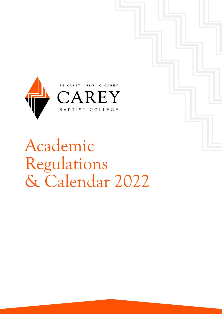

Academic Regulations & Calendar 2022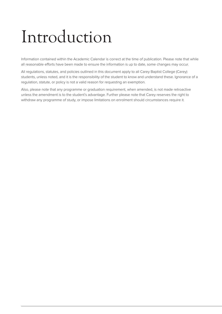# Introduction

Information contained within the Academic Calendar is correct at the time of publication. Please note that while all reasonable efforts have been made to ensure the information is up to date, some changes may occur.

All regulations, statutes, and policies outlined in this document apply to all Carey Baptist College (Carey) students, unless noted, and it is the responsibility of the student to know and understand these. Ignorance of a regulation, statute, or policy is not a valid reason for requesting an exemption.

Also, please note that any programme or graduation requirement, when amended, is not made retroactive unless the amendment is to the student's advantage. Further please note that Carey reserves the right to withdraw any programme of study, or impose limitations on enrolment should circumstances require it.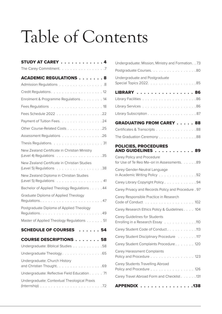# Table of Contents

| STUDY AT CAREY 4                                                                                                                 |
|----------------------------------------------------------------------------------------------------------------------------------|
| The Carey Commitment. 7                                                                                                          |
| <b>ACADEMIC REGULATIONS 8</b>                                                                                                    |
| Admission Regulations 8                                                                                                          |
|                                                                                                                                  |
| Enrolment & Programme Regulations 14                                                                                             |
|                                                                                                                                  |
|                                                                                                                                  |
| Payment of Tuition Fees. 24                                                                                                      |
| Other Course-Related Costs 25                                                                                                    |
| Assessment Regulations 26                                                                                                        |
|                                                                                                                                  |
| New Zealand Certificate in Christian Ministry<br>(Level 4) Regulations $\ldots \ldots \ldots \ldots \ldots \ldots \ldots 35$     |
| New Zealand Certificate in Christian Studies<br>(Level 5) Regulations 38                                                         |
| New Zealand Diploma in Christian Studies<br>(Level 5) Regulations 41                                                             |
| Bachelor of Applied Theology Regulations 44                                                                                      |
| Graduate Diploma of Applied Theology                                                                                             |
| Postgraduate Diploma of Applied Theology                                                                                         |
| Master of Applied Theology Regulations 51                                                                                        |
| <b>SCHEDULE OF COURSES</b><br>54                                                                                                 |
| <b>COURSE DESCRIPTIONS 58</b>                                                                                                    |
| Undergraduate: Biblical Studies 58                                                                                               |
| Undergraduate Theology. 65                                                                                                       |
| Undergraduate: Church History<br>and Christian Thought. 69                                                                       |
| Undergraduate: Reflective Field Education 71                                                                                     |
| Undergraduate: Contextual Theological Praxis<br>(Internship) $\ldots \ldots \ldots \ldots \ldots \ldots \ldots \ldots \ldots 72$ |

| Undergraduate: Mission, Ministry and Formation. . 73                      |
|---------------------------------------------------------------------------|
| Postgraduate Courses. 80                                                  |
| Undergraduate and Postgraduate                                            |
|                                                                           |
| LIBRARY 86                                                                |
|                                                                           |
|                                                                           |
|                                                                           |
| <b>GRADUATING FROM CAREY 88</b>                                           |
| Certificates & Transcripts 88                                             |
| The Graduation Ceremony88                                                 |
| <b>POLICIES, PROCEDURES</b><br><b>AND GUIDELINES </b><br>. <i>.</i><br>89 |
| Carey Policy and Procedure<br>for Use of Te Reo Ma-ori in Assessments. 89 |
| Carey Gender-Neutral Language<br>in Academic Writing Policy 92            |
| Carey Library Copyright Policy 94                                         |
| Carey Privacy and Records Policy and Procedure . 97                       |
| Carey Responsible Practice in Research<br>Code of Conduct 102             |
| Carey Research Ethics Policy & Guidelines 104                             |
| Carey Guidelines for Students                                             |
| Enrolling in a Research Essay 110                                         |
| Carey Student Code of Conduct. 113                                        |
| Carey Student Disciplinary Procedure 117                                  |
| Carey Student Complaints Procedure 120                                    |
| Carey Harassment Complaints<br>Policy and Procedure<br>$\ldots$ 123       |
| Carey Students Travelling Abroad<br>Policy and Procedure<br>126           |
| Carey Travel Abroad Form and Checklist 131                                |
| APPENDIX 138                                                              |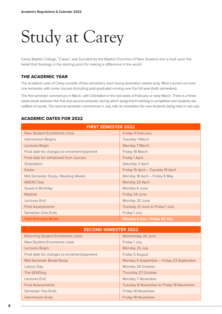# Study at Carey

Carey Baptist College, "Carey", was founded by the Baptist Churches of New Zealand and is built upon the belief that theology is the starting point for making a difference in the world.

# THE ACADEMIC YEAR

The academic year of Carey consists of two semesters, each being seventeen weeks long. Most courses run over one semester, with some courses (including post-graduate) running over the full year (both semesters).

The first semester commences in March, with Orientation in the last week of February or early March. There is a threeweek break between the first and second semester during which assignment marking is completed and students are notified of results. The second semester commences in July, with an orientation for new students being held in mid-July.

# ACADEMIC DATES FOR 2022

| <b>FIRST SEMESTER 2022</b>                  |                                    |  |  |
|---------------------------------------------|------------------------------------|--|--|
| <b>New Student Enrolments close</b>         | Friday 11 February                 |  |  |
| <b>Intermission Begins</b>                  | Tuesday 1 March                    |  |  |
| Lectures Begin                              | Monday 7 March                     |  |  |
| Final date for changes to enrolment/payment | Friday 18 March                    |  |  |
| Final date for withdrawal from courses      | Friday 1 April                     |  |  |
| Graduation                                  | Saturday 2 April                   |  |  |
| Easter                                      | Friday 15 April - Tuesday 19 April |  |  |
| Mid-Semester Study / Reading Weeks          | Monday 18 April - Friday 6 May     |  |  |
| <b>ANZAC Day</b>                            | Monday 25 April                    |  |  |
| Queen's Birthday                            | Monday 6 June                      |  |  |
| Matariki                                    | Friday 24 June                     |  |  |
| Lectures End                                | Monday 20 June                     |  |  |
| <b>Final Assessments</b>                    | Tuesday 21 June to Friday 1 July   |  |  |
| Semester One Ends                           | Friday 1 July                      |  |  |
| <b>Inter Semester Break</b>                 | Monday 4 July - Friday 22 July     |  |  |

| Wednesday 24 June<br>Returning Student Enrolments close<br>New Student Enrolments close<br>Friday 1 July<br>Monday 25 July<br>Lectures Begin<br>Final date for changes to enrolment/payment<br>Friday 5 August<br>Monday 5 September - Friday 23 September<br>Mid-Semester Break/Study<br>Labour Day<br>Monday 24 October<br>Thursday 27 October<br>The SENDing<br>Lectures End<br>Monday 7 November<br><b>Final Assessments</b><br>Tuesday 8 November to Friday 18 November<br>Semester Two Ends<br>Friday 18 November | <b>SECOND SEMESTER 2022</b> |                    |  |  |
|-------------------------------------------------------------------------------------------------------------------------------------------------------------------------------------------------------------------------------------------------------------------------------------------------------------------------------------------------------------------------------------------------------------------------------------------------------------------------------------------------------------------------|-----------------------------|--------------------|--|--|
|                                                                                                                                                                                                                                                                                                                                                                                                                                                                                                                         |                             |                    |  |  |
|                                                                                                                                                                                                                                                                                                                                                                                                                                                                                                                         |                             |                    |  |  |
|                                                                                                                                                                                                                                                                                                                                                                                                                                                                                                                         |                             |                    |  |  |
|                                                                                                                                                                                                                                                                                                                                                                                                                                                                                                                         |                             |                    |  |  |
|                                                                                                                                                                                                                                                                                                                                                                                                                                                                                                                         |                             |                    |  |  |
|                                                                                                                                                                                                                                                                                                                                                                                                                                                                                                                         |                             |                    |  |  |
|                                                                                                                                                                                                                                                                                                                                                                                                                                                                                                                         |                             |                    |  |  |
|                                                                                                                                                                                                                                                                                                                                                                                                                                                                                                                         |                             |                    |  |  |
|                                                                                                                                                                                                                                                                                                                                                                                                                                                                                                                         |                             |                    |  |  |
|                                                                                                                                                                                                                                                                                                                                                                                                                                                                                                                         |                             |                    |  |  |
|                                                                                                                                                                                                                                                                                                                                                                                                                                                                                                                         | Intermission Ends           | Friday 18 November |  |  |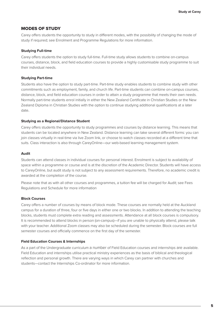# MODES OF STUDY

Carey offers students the opportunity to study in different modes, with the possibility of changing the mode of study if required; see Enrolment and Programme Regulations for more information.

#### **Studying Full-time**

Carey offers students the option to study full-time. Full-time study allows students to combine on-campus courses, distance, block, and field education courses to provide a highly customisable study programme to suit their individual needs.

#### **Studying Part-time**

Students also have the option to study part-time. Part-time study enables students to combine study with other commitments such as employment, family, and church life. Part-time students can combine on-campus courses, distance, block, and field education courses in order to attain a study programme that meets their own needs. Normally part-time students enrol initially in either the New Zealand Certificate in Christian Studies or the New Zealand Diploma in Christian Studies with the option to continue studying additional qualifications at a later date.

#### **Studying as a Regional/Distance Student**

Carey offers students the opportunity to study programmes and courses by distance learning. This means that students can be located anywhere in New Zealand. Distance learning can take several different forms: you can join classes virtually in real-time via live Zoom link, or choose to watch classes recorded at a different time that suits. Class interaction is also through CareyOnline—our web-based learning management system.

#### **Audit**

Students can attend classes in individual courses for personal interest. Enrolment is subject to availability of space within a programme or course and is at the discretion of the Academic Director. Students will have access to CareyOnline, but audit study is not subject to any assessment requirements. Therefore, no academic credit is awarded at the completion of the course.

Please note that as with all other courses and programmes, a tuition fee will be charged for Audit; see Fees Regulations and Schedule for more information

#### **Block Courses**

Carey offers a number of courses by means of block mode. These courses are normally held at the Auckland campus for a duration of three, four or five days in either one or two blocks. In addition to attending the teaching blocks, students must complete extra reading and assessments. Attendance at all block courses is compulsory. It is recommended to attend blocks in person (on-campus)—if you are unable to physically attend, please talk with your teacher. Additional Zoom classes may also be scheduled during the semester. Block courses are full semester courses and officially commence on the first day of the semester.

#### **Field Education Courses & Internships**

As a part of the Undergraduate curriculum a number of Field Education courses and internships are available. Field Education and internships utilise practical ministry experiences as the basis of biblical and theological reflection and personal growth. There are varying ways in which Carey can partner with churches and students—contact the Internships Co-ordinator for more information.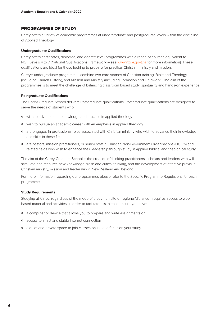# PROGRAMMES OF STUDY

Carey offers a variety of academic programmes at undergraduate and postgraduate levels within the discipline of Applied Theology.

#### **Undergraduate Qualifications**

Carey offers certificates, diplomas, and degree level programmes with a range of courses equivalent to NQF Levels 4 to 7 (National Qualifications Framework – see www.nzqa.govt.nz for more information). These qualifications are ideal for those looking to prepare for practical Christian ministry and mission.

Carey's undergraduate programmes combine two core strands of Christian training; Bible and Theology (including Church History), and Mission and Ministry (including Formation and Fieldwork). The aim of the programmes is to meet the challenge of balancing classroom based study, spirituality and hands-on experience.

#### **Postgraduate Qualifications**

The Carey Graduate School delivers Postgraduate qualifications. Postgraduate qualifications are designed to serve the needs of students who:

- ◊ wish to advance their knowledge and practice in applied theology
- ◊ wish to pursue an academic career with an emphasis in applied theology
- ◊ are engaged in professional roles associated with Christian ministry who wish to advance their knowledge and skills in these fields
- ◊ are pastors, mission practitioners, or senior staff in Christian Non-Government Organisations (NGO's) and related fields who wish to enhance their leadership through study in applied biblical and theological study.

The aim of the Carey Graduate School is the creation of thinking practitioners, scholars and leaders who will stimulate and resource new knowledge, fresh and critical thinking, and the development of effective praxis in Christian ministry, mission and leadership in New Zealand and beyond.

For more information regarding our programmes please refer to the Specific Programme Regulations for each programme.

#### **Study Requirements**

Studying at Carey, regardless of the mode of study—on-site or regional/distance—requires access to webbased material and activities. In order to facilitate this. please ensure you have:

- ◊ a computer or device that allows you to prepare and write assignments on
- ◊ access to a fast and stable internet connection
- ◊ a quiet and private space to join classes online and focus on your study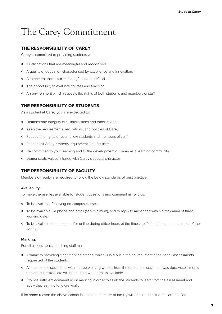# The Carey Commitment

# THE RESPONSIBILITY OF CAREY

Carey is committed to providing students with:

- ◊ Qualifications that are meaningful and recognised.
- ◊ A quality of education characterised by excellence and innovation.
- ◊ Assessment that is fair, meaningful and beneficial.
- ◊ The opportunity to evaluate courses and teaching.
- ◊ An environment which respects the rights of both students and members of staff.

# THE RESPONSIBILITY OF STUDENTS

As a student at Carey you are expected to:

- ◊ Demonstrate integrity in all interactions and transactions.
- ◊ Keep the requirements, regulations, and policies of Carey.
- ◊ Respect the rights of your fellow students and members of staff.
- ◊ Respect all Carey property, equipment, and facilities.
- ◊ Be committed to your learning and to the development of Carey as a learning community.
- ◊ Demonstrate values aligned with Carey's special character

# THE RESPONSIBILITY OF FACULTY

Members of faculty are required to follow the below standards of best practice.

#### **Availability:**

To make themselves available for student questions and comment as follows:

- ◊ To be available following on-campus classes.
- ◊ To be available via phone and email (at a minimum), and to reply to messages within a maximum of three working days.
- ◊ To be available in person and/or online during office-hours at the times notified at the commencement of the course.

#### **Marking:**

For all assessments, teaching staff must:

- ◊ Commit to providing clear marking criteria, which is laid out in the course information, for all assessments requested of the students.
- ◊ Aim to mark assessments within three working weeks, from the date the assessment was due. Assessments that are submitted late will be marked when time is available.
- ◊ Provide sufficient comment upon marking in order to assist the students to learn from the assessment and apply that learning to future work.

If for some reason the above cannot be met the member of faculty will ensure that students are notified.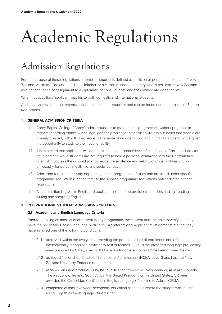# Academic Regulations

# Admission Regulations

For the purpose of these regulations a domestic student is defined as a citizen or permanent resident of New Zealand, Australia, Cook Islands, Niue, Tokelau, or a citizen of another country who is resident in New Zealand as a consequence of assignment to a diplomatic or consular post, and their immediate dependents.

When not specified, 'applicant' applies to both domestic and international students.

Additional admission requirements apply to international students and can be found under International Student Regulations.

#### **1. GENERAL ADMISSION CRITERIA**

- 1.1 Carey Baptist College, "Carey", admits students to its academic programmes without prejudice in matters regarding ethnicity/race, age, gender, physical or other disability. It is our belief that people are divinely created, with gifts that render all capable of service to God and humanity, and should be given the opportunity to study to their level of ability.
- 1.2 It is expected that applicants will demonstrate an appropriate level of maturity and Christian character development. While students are not required to hold a personal commitment to the Christian faith, to enrol in courses they should acknowledge the existence and validity of Christianity as a ruling philosophy for personal daily life and social conduct.
- 1.3 Admission requirements vary depending on the programme of study and are listed under specific programme regulations. Please refer to the specific programme regulations outlined later in these regulations.
- 1.4 As most tuition is given in English, all applicants need to be proficient in understanding, reading, writing and speaking English.

#### **2. INTERNATIONAL STUDENT ADMISSIONS CRITERIA**

#### **2.1 Academic and English Language Criteria**

Prior to enrolling an international student in any programme, the student must be able to verify that they have the necessary English language proficiency. An international applicant must demonstrate that they have satisfied one of the following conditions:

- 2.1.1 achieved, within the two years preceding the proposed date of enrolment, one of the internationally recognised proficiency test outcomes. IELTS is the preferred language proficiency measure used by Carey, specific IELTS levels for different programmes are outlined below
- 2.1.2 achieved National Certificate of Educational Achievement (NCEA) Level 3 and has met New Zealand University Entrance requirements
- 2.1.3 received an undergraduate or higher qualification from either, New Zealand, Australia, Canada, The Republic of Ireland, South Africa, the United Kingdom, or the United States, OR been awarded the Cambridge Certificate in English Language Teaching to Adults (CELTA)
- 2.1.4 completed at least five years secondary education at schools where the student was taught using English as the language of instruction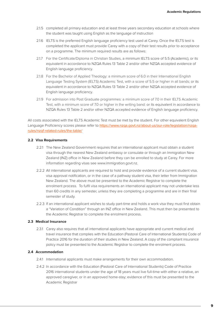- 2.1.5 completed all primary education and at least three years secondary education at schools where the student was taught using English as the language of instruction
- 2.1.6 IELTS is the preferred English language proficiency test used at Carey. Once the IELTS test is completed the applicant must provide Carey with a copy of their test results prior to acceptance on a programme. The minimum required results are as follows:
- 2.1.7 For the Certificate/Diploma in Christian Studies, a minimum IELTS score of 5.5 (Academic), or its equivalent in accordance to NZQA Rules 13 Table 2 and/or other NZQA accepted evidence of English language proficiency.
- 2.1.8 For the Bachelor of Applied Theology: a minimum score of 6.0 in their International English Language Testing System (IELTS) Academic Test, with a score of 5.5 or higher in all bands; or its equivalent in accordance to NZQA Rules 13 Table 2 and/or other NZQA accepted evidence of English language proficiency.
- 2.1.9 For admission into Post Graduate programmes: a minimum score of 7.0 in their IELTS Academic Test, with a minimum score of 7.0 or higher in the writing band: or its equivalent in accordance to NZQA Rules 13 Table 2 and/or other NZQA accepted evidence of English language proficiency.

All costs associated with the IELTS Academic Test must be met by the student. For other equivalent English Language Proficiency scores please refer to https://www.nzqa.govt.nz/about-us/our-role/legislation/nzqarules/nzqf-related-rules/the-table/

#### **2.2 Visa Requirements**

- 2.2.1 The New Zealand Government requires that an international applicant must obtain a student visa through the nearest New Zealand embassy or consulate or through an Immigration New Zealand (INZ) office in New Zealand before they can be enrolled to study at Carey. For more information regarding visas see www.immigration.govt.nz.
- 2.2.2 All international applicants are required to hold and provide evidence of a current student visa, visa approval notification, or in the case of a pathway student visa, their letter from Immigration New Zealand. The above must be presented to the Academic Registrar to complete the enrolment process. To fulfil visa requirements an international applicant may not undertake less than 60 credits in any semester, unless they are completing a programme and are in their final semester of study.
- 2.2.3 If an international applicant wishes to study part-time and holds a work visa they must first obtain a "Variation of Condition" through an INZ office in New Zealand. This must then be presented to the Academic Registrar to complete the enrolment process.

#### **2.3 Medical Insurance**

2.3.1 Carey also requires that all international applicants have appropriate and current medical and travel insurance that complies with the Education (Pastoral Care of International Students) Code of Practice 2016 for the duration of their studies in New Zealand. A copy of the compliant insurance policy must be presented to the Academic Registrar to complete the enrolment process.

#### **2.4 Accommodation**

- 2.4.1 International applicants must make arrangements for their own accommodation.
- 2.4.2 In accordance with the Education (Pastoral Care of International Students) Code of Practice 2016 international students under the age of 18 years must live full-time with either a relative, an approved caregiver, or in an approved home-stay; evidence of this must be presented to the Academic Registrar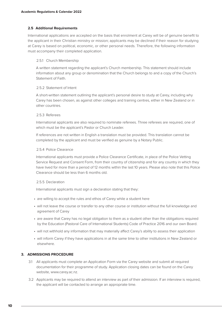# **2.5 Additional Requirements**

International applications are accepted on the basis that enrolment at Carey will be of genuine benefit to the applicant in their Christian ministry or mission; applicants may be declined if their reason for studying at Carey is based on political, economic, or other personal needs. Therefore, the following information must accompany their completed application.

# 2.5.1 Church Membership

A written statement regarding the applicant's Church membership. This statement should include information about any group or denomination that the Church belongs to and a copy of the Church's Statement of Faith.

## 2.5.2 Statement of Intent

A short-written statement outlining the applicant's personal desire to study at Carey, including why Carey has been chosen, as against other colleges and training centres, either in New Zealand or in other countries.

# 2.5.3 Referees

International applicants are also required to nominate referees. Three referees are required, one of which must be the applicant's Pastor or Church Leader.

If references are not written in English a translation must be provided. This translation cannot be completed by the applicant and must be verified as genuine by a Notary Public.

## 2.5.4 Police Clearance

International applicants must provide a Police Clearance Certificate, in place of the Police Vetting Service Request and Consent Form, from their country of citizenship and for any country in which they have lived for more than a period of 12 months within the last 10 years. Please also note that this Police Clearance should be less than 6 months old.

# 2.5.5 Declaration

International applicants must sign a declaration stating that they:

- are willing to accept the rules and ethos of Carey while a student here
- will not leave the course or transfer to any other course or institution without the full knowledge and agreement of Carey
- are aware that Carey has no legal obligation to them as a student other than the obligations required by the Education (Pastoral Care of International Students) Code of Practice 2016 and our own Board.
- will not withhold any information that may materially affect Carey's ability to assess their application
- will inform Carey if they have applications in at the same time to other institutions in New Zealand or elsewhere.

# **3. ADMISSIONS PROCEDURE**

- 3.1 All applicants must complete an Application Form via the Carey website and submit all required documentation for their programme of study. Application closing dates can be found on the Carey website, www.carey.ac.nz.
- 3.2 Applicants may be required to attend an interview as part of their admission. If an interview is required, the applicant will be contacted to arrange an appropriate time.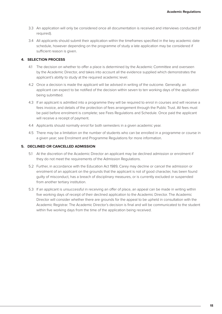- 3.3 An application will only be considered once all documentation is received and interviews conducted (if required).
- 3.4 All applicants should submit their application within the timeframes specified in the key academic date schedule, however depending on the programme of study a late application may be considered if sufficient reason is given.

# **4. SELECTION PROCESS**

- 4.1 The decision on whether to offer a place is determined by the Academic Committee and overseen by the Academic Director, and takes into account all the evidence supplied which demonstrates the applicant's ability to study at the required academic level.
- 4.2 Once a decision is made the applicant will be advised in writing of the outcome. Generally, an applicant can expect to be notified of the decision within seven to ten working days of the application being submitted.
- 4.3 If an applicant is admitted into a programme they will be required to enrol in courses and will receive a fees invoice, and details of the protection of fees arrangement through the Public Trust. All fees must be paid before enrolment is complete; see Fees Regulations and Schedule. Once paid the applicant will receive a receipt of payment.
- 4.4 Applicants should normally enrol for both semesters in a given academic year.
- 4.5 There may be a limitation on the number of students who can be enrolled in a programme or course in a given year; see Enrolment and Programme Regulations for more information.

#### **5. DECLINED OR CANCELLED ADMISSION**

- 5.1 At the discretion of the Academic Director an applicant may be declined admission or enrolment if they do not meet the requirements of the Admission Regulations.
- 5.2 Further, in accordance with the Education Act 1989, Carey may decline or cancel the admission or enrolment of an applicant on the grounds that the applicant is not of good character, has been found guilty of misconduct, has a breach of disciplinary measures, or is currently excluded or suspended from another tertiary institution.
- 5.3 If an applicant is unsuccessful in receiving an offer of place, an appeal can be made in writing within five working days of receipt of their declined application to the Academic Director. The Academic Director will consider whether there are grounds for the appeal to be upheld in consultation with the Academic Registrar. The Academic Director's decision is final and will be communicated to the student within five working days from the time of the application being received.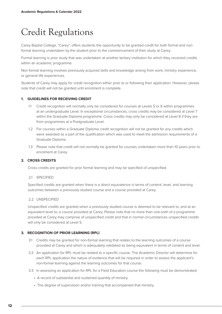# Credit Regulations

Carey Baptist College, "Carey", offers students the opportunity to be granted credit for both formal and nonformal learning undertaken by the student prior to the commencement of their study at Carey.

Formal learning is prior study that was undertaken at another tertiary institution for which they received credits within an academic programme.

Non-formal learning involves previously acquired skills and knowledge arising from work, ministry experience, or general life experiences.

Students of Carey may apply for credit recognition either prior to or following their application. However, please note that credit will not be granted until enrolment is complete.

# **1. GUIDELINES FOR RECEIVING CREDIT**

- 1.1 Credit recognition will normally only be considered for courses at Levels 5 or 6 within programmes at an undergraduate Level. In exceptional circumstances, cross credits may be considered at Level 7 within the Graduate Diploma programme. Cross credits may only be considered at Level 8 if they are from programmes at a Postgraduate Level.
- 1.2 For courses within a Graduate Diploma credit recognition will not be granted for any credits which were awarded as a part of the qualification which was used to meet the admission requirements of a Graduate Diploma.
- 1.3 Please note that credit will not normally be granted for courses undertaken more than 10 years prior to enrolment at Carey.

# **2. CROSS CREDITS**

Cross credits are granted for prior formal learning and may be specified of unspecified.

#### 2.1 SPECIFIED

Specified credits are granted when there is a direct equivalence in terms of content, level, and learning outcomes between a previously studied course and a course provided at Carey.

# 2.2 UNSPECIFIED

Unspecified credits are granted when a previously studied course is deemed to be relevant to, and at an equivalent level to, a course provided at Carey. Please note that no more than one-sixth of a programme provided at Carey may comprise of unspecified credit and that in normal circumstances unspecified credits will only be considered at Level 5.

# **3. RECOGNITION OF PRIOR LEARNING (RPL)**

- 3.1 Credits may be granted for non-formal learning that relates to the learning outcomes of a course provided at Carey and which is adequately validated as being equivalent in terms of content and level.
- 3.2 An application for RPL must be related to a specific course. The Academic Director will determine for each RPL application the nature of evidence that will be required in order to assess the applicant's non-formal learning against the learning outcomes for that course.
- 3.3 In assessing an application for RPL for a Field Education course the following must be demonstrated:
	- A record of substantial and sustained quantity of ministry.
	- The degree of supervision and/or training that accompanied that ministry.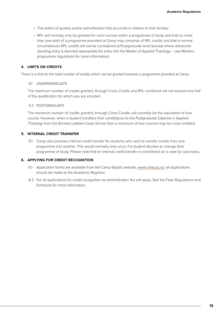- The extent of guided and/or self-reflection that occurred in relation to that ministry.
- RPL will normally only be granted for core courses within a programme of study and that no more than one-sixth of a programme provided at Carey may comprise of RPL credits and that in normal circumstances RPL credits will not be considered at Postgraduate level (except where advanced standing entry is deemed appropriate for entry into the Master of Applied Theology – see Masters programme regulations for more information).

## **4. LIMITS ON CREDITS**

There is a limit on the total number of credits which can be granted towards a programme provided at Carey.

#### 4.1 UNDERGRADUATE

The maximum number of credits granted, through Cross Credits and RPL combined will not exceed one-half of the qualification for which you are enrolled.

#### 4.2 POSTGRADUATE

The maximum number of credits granted, through Cross Credits, will normally be the equivalent of one course. However, when a student transfers their candidature to the Postgraduate Diploma in Applied Theology from the (former) Laidlaw-Carey School then a maximum of two courses may be cross credited.

# **5. INTERNAL CREDIT TRANSFER**

5.1 Carey also provides internal credit transfer for students who wish to transfer credits from one programme into another. This would normally only occur if a student decides to change their programme of study. Please note that an internal credit transfer is considered on a case by case basis.

#### **6. APPLYING FOR CREDIT RECOGNITION**

- 6.1 Application forms are available from the Carey Baptist website, www.carey.ac.nz; all applications should be made to the Academic Registrar.
- 6.2 For all applications for credit recognition as administration fee will apply. See the Fees Regulations and Schedule for more information.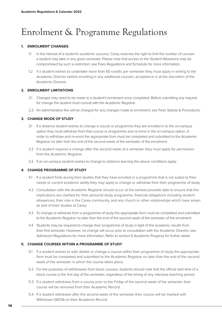# Enrolment & Programme Regulations

# **1. ENROLMENT CHANGES**

- 1.1 In the interest of a student's academic success, Carey reserves the right to limit the number of courses a student may take in any given semester. Please note that access to the Student Allowance may be compromised by such a restriction; see Fees Regulations and Schedule for more information.
- 1.2 If a student wishes to undertake more than 60 credits per semester they must apply in writing to the Academic Director before enrolling in any additional courses; acceptance is at the discretion of the Academic Director.

## **2. ENROLMENT LIMITATIONS**

- 2.1 Changes may need to be made to a student's enrolment once completed. Before submitting any request for change the student must consult with the Academic Registrar.
- 2.2 An administrative fee will be charged for any changes made to enrolment; see Fees Statute & Procedures.

# **3. CHANGE MODE OF STUDY**

- 3.1 If a distance student wishes to change a course or programme they are enrolled in to the on-campus option they must withdraw from that course or programme and re-enrol in the on-campus option. In order to withdraw and re-enrol the appropriate form must be completed and submitted to the Academic Registrar no later than the end of the second week of the semester of the enrolment.
- 3.2 If a student requires a change after the second week of a semester they must apply for permission from the Academic Registrar.
- 3.3 If an on-campus student wishes to change to distance learning the above conditions apply.

# **4. CHANGE PROGRAMME OF STUDY**

- 4.1 If a student finds during their studies that they have enrolled in a programme that is not suited to their needs or current academic ability they may apply to change or withdraw from their programme of study.
- 4.2 Consultation with the Academic Registrar should occur at the earliest possible date to ensure that the implications are clarified for their personal study programme, financial obligations including student allowances, their role in the Carey community, and any church or other relationships which have arisen as part of their studies at Carey.
- 4.3 To change or withdraw from a programme of study the appropriate form must be completed and submitted to the Academic Registrar no later than the end of the second week of the semester of the enrolment.
- 4.4 Students may be required to change their programme of study in light of the academic results from their first semester. However, no change will occur prior to consultation with the Academic Director; see Admission Regulations for more information. Refer to section 6 Academic Progress for further detail.

# **5. CHANGE COURSES WITHIN A PROGRAMME OF STUDY**

- 5.1 If a student wishes to add, delete or change a course within their programme of study the appropriate form must be completed and submitted to the Academic Registrar no later than the end of the second week of the semester in which the course takes place.
- 5.2 For the purposes of withdrawals from block courses, students should note that the official start time of a block course is the first day of the semester, regardless of the timing of any intensive teaching period.
- 5.3 If a student withdraws from a course prior to the Friday of the second week of the semester their course will be removed from their Academic Record.
- 5.4 If a student withdraws after the second week of the semester their course will be marked with Withdrawn (WDN) on their Academic Record.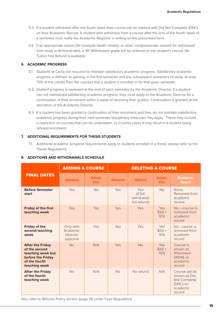- 5.5 If a student withdraws after the fourth week their course will be marked with Did Not Complete (DNC) on their Academic Record. A student who withdraws from a course after the end of the fourth week of a semester must notify the Academic Registrar in writing on the prescribed form.
- 5.6 If an appropriate reason (for example health related, or other compassionate reason) for withdrawal from study is demonstrated, a 'W' (Withdrawn) grade will be entered on the student's record. No Tuition Fee Refund is available.

# **6. ACADEMIC PROGRESS**

- 6.1 Students at Carey are required to maintain satisfactory academic progress. Satisfactory academic progress is defined as gaining, in the first semester and any subsequent semesters of study, at least 75% of the credits from the courses that a student is enrolled in for that given semester.
- 6.2 Student progress is reviewed at the end of each semester by the Academic Director. If a student has not maintained satisfactory academic progress, they must apply to the Academic Director for a continuation of their enrolment within a week of receiving their grades. Continuation is granted at the discretion of the Academic Director.
- 6.3 If a student has been granted a continuation of their enrolment and they do not maintain satisfactory academic progress during their next semester disciplinary measures may apply. These may include a restriction on courses that can be undertaken, or in some cases it may result in a student being refused enrolment.

# **7. ADDITIONAL REQUIREMENTS FOR THESIS STUDENTS**

7.1 Additional academic progress requirements apply to students enrolled in a thesis; please refer to the Thesis Regulations.

|                                                                                                                      | <b>ADDING A COURSE</b>                        |                            | <b>DELETING A COURSE</b> |                                               |                              |                                                                                  |
|----------------------------------------------------------------------------------------------------------------------|-----------------------------------------------|----------------------------|--------------------------|-----------------------------------------------|------------------------------|----------------------------------------------------------------------------------|
| <b>FINAL DATES</b>                                                                                                   | <b>Allowed</b>                                | <b>Admin</b><br><b>Fee</b> | <b>Allowed</b>           | <b>Refund</b>                                 | <b>Admin</b><br><b>Fee</b>   | <b>Academic</b><br><b>Result</b>                                                 |
| <b>Before Semester</b><br>start                                                                                      | Yes                                           | No                         | Yes                      | Yes<br>(if full<br>withdrawal<br>full refund) | <b>No</b>                    | None.<br>Removed from<br>academic<br>record.                                     |
| <b>Friday of the first</b><br>teaching week                                                                          | Yes                                           | Yes                        | Yes                      | Yes                                           | <b>Yes</b><br>$$50 +$<br>10% | $No$ – course is<br>removed from<br>academic<br>record                           |
| <b>Friday of the</b><br>second teaching<br>week                                                                      | Only with<br>Academic<br>Director<br>approval | Yes                        | Yes                      | Yes                                           | Yes<br>$$50 +$<br>10%        | No - course is<br>removed from<br>academic<br>record                             |
| <b>After the Friday</b><br>of the second<br>teaching week but<br>before the Friday<br>of the fourth<br>teaching week | <b>No</b>                                     | N/A                        | Yes                      | <b>No</b>                                     | Yes<br>$$50 +$<br>10%        | Course is<br>shown as<br>Withdrawn<br>(WDN) on<br>academic<br>record             |
| <b>After the Friday</b><br>of the fourth<br>teaching week                                                            | No                                            | N/A                        | <b>No</b>                | No refund                                     | N/A                          | Course will be<br>shown as Did<br>Not Complete<br>(DNC) on<br>academic<br>record |

# **8. ADDITIONS AND WITHDRAWALS SCHEDULE**

Also refer to Refunds Policy section (page 19) under Fees Regulations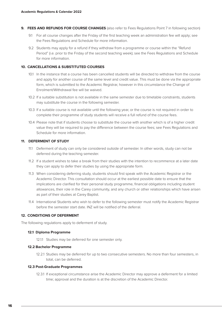- **9. FEES AND REFUNDS FOR COURSE CHANGES** (also refer to Fees Regulations Point 7 in following section)
	- 9.1 For all course changes after the Friday of the first teaching week an administration fee will apply; see the Fees Regulations and Schedule for more information.
	- 9.2 Students may apply for a refund if they withdraw from a programme or course within the "Refund Period" (i.e. prior to the Friday of the second teaching week); see the Fees Regulations and Schedule for more information.

# **10. CANCELLATIONS & SUBSTITUTED COURSES**

- 10.1 In the instance that a course has been cancelled students will be directed to withdraw from the course and apply for another course of the same level and credit value. This must be done via the appropriate form, which is submitted to the Academic Registrar, however in this circumstance the Change of Enrolment/Withdrawal fee will be waived.
- 10.2 If a suitable substitution is not available in the same semester due to timetable constraints, students may substitute the course in the following semester.
- 10.3 If a suitable course is not available until the following year, or the course is not required in order to complete their programme of study students will receive a full refund of the course fees.
- 10.4 Please note that if students choose to substitute the course with another which is of a higher credit value they will be required to pay the difference between the course fees; see Fees Regulations and Schedule for more information.

# **11. DEFERMENT OF STUDY**

- 11.1 Deferment of study can only be considered outside of semester. In other words, study can not be deferred during the teaching semester.
- 11.2 If a student wishes to take a break from their studies with the intention to recommence at a later date they can apply to defer their studies by using the appropriate form.
- 11.3 When considering deferring study, students should first speak with the Academic Registrar or the Academic Director. This consultation should occur at the earliest possible date to ensure that the implications are clarified for their personal study programme, financial obligations including student allowances, their role in the Carey community, and any church or other relationships which have arisen as part of their studies at Carey Baptist.
- 11.4 International Students who wish to defer to the following semester must notify the Academic Registrar before the semester start date. INZ will be notified of the deferral.

#### **12. CONDITIONS OF DEFERMENT**

The following regulations apply to deferment of study.

#### **12.1 Diploma Programme**

12.1.1 Studies may be deferred for one semester only.

#### **12.2 Bachelor Programme**

12.2.1 Studies may be deferred for up to two consecutive semesters. No more than four semesters, in total, can be deferred.

## **12.3 Post-Graduate Programmes**

12.3.1 If exceptional circumstance arise the Academic Director may approve a deferment for a limited time; approval and the duration is at the discretion of the Academic Director.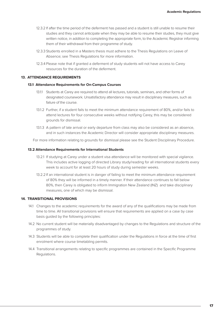- 12.3.2 If after the time period of the deferment has passed and a student is still unable to resume their studies and they cannot anticipate when they may be able to resume their studies, they must give written notice, in addition to completing the appropriate form, to the Academic Registrar informing them of their withdrawal from their programme of study.
- 12.3.3 Students enrolled in a Masters thesis must adhere to the Thesis Regulations on Leave of Absence; see Thesis Regulations for more information.
- 12.3.4 Please note that if granted a deferment of study students will not have access to Carey resources for the duration of the deferment.

#### **13. ATTENDANCE REQUIREMENTS**

#### **13.1 Attendance Requirements for On-Campus Courses**

- 13.1.1 Students at Carey are required to attend all lectures, tutorials, seminars, and other forms of designated coursework. Unsatisfactory attendance may result in disciplinary measures, such as failure of the course.
- 13.1.2 Further, if a student fails to meet the minimum attendance requirement of 80%, and/or fails to attend lectures for four consecutive weeks without notifying Carey, this may be considered grounds for dismissal.
- 13.1.3 A pattern of late arrival or early departure from class may also be considered as an absence, and in such instances the Academic Director will consider appropriate disciplinary measures.

For more information relating to grounds for dismissal please see the Student Disciplinary Procedure.

#### **13.2 Attendance Requirements for International Students**

- 13.2.1 If studying at Carey under a student visa attendance will be monitored with special vigilance. This includes active logging of directed Library study/reading for all international students every week to account for at least 20 hours of study during semester weeks.
- 13.2.2 If an international student is in danger of failing to meet the minimum attendance requirement of 80% they will be informed in a timely manner. If their attendance continues to fall below 80%, then Carey is obligated to inform Immigration New Zealand (INZ) and take disciplinary measures, one of which may be dismissal.

#### **14. TRANSITIONAL PROVISIONS**

- 14.1 Changes to the academic requirements for the award of any of the qualifications may be made from time to time. All transitional provisions will ensure that requirements are applied on a case by case basis guided by the following principles:
- 14.2 No current student will be materially disadvantaged by changes to the Regulations and structure of the programmes of study.
- 14.3 Students will be able to complete their qualification under the Regulations in force at the time of first enrolment where course timetabling permits.
- 14.4 Transitional arrangements relating to specific programmes are contained in the Specific Programme Regulations.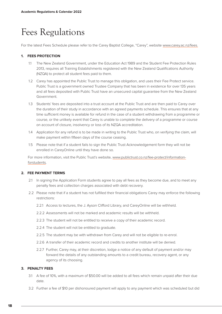# Fees Regulations

For the latest Fees Schedule please refer to the Carey Baptist College, "Carey", website www.carey.ac.nz/fees.

# **1. FEES PROTECTION**

- 1.1 The New Zealand Government, under the Education Act 1989 and the Student Fee Protection Rules 2013, requires all Training Establishments registered with the New Zealand Qualifications Authority (NZQA) to protect all student fees paid to them.
- 1.2 Carey has appointed the Public Trust to manage this obligation, and uses their Fee Protect service. Public Trust is a government owned Trustee Company that has been in existence for over 135 years and all fees deposited with Public Trust have an unsecured capital guarantee from the New Zealand Government.
- 1.3 Students' fees are deposited into a trust account at the Public Trust and are then paid to Carey over the duration of their study in accordance with an agreed payments schedule. This ensures that at any time sufficient money is available for refund in the case of a student withdrawing from a programme or course, or the unlikely event that Carey is unable to complete the delivery of a programme or course on account of closure, insolvency or loss of its NZQA accreditation.
- 1.4 Application for any refund is to be made in writing to the Public Trust who, on verifying the claim, will make payment within fifteen days of the course ceasing.
- 1.5 Please note that if a student fails to sign the Public Trust Acknowledgement form they will not be enrolled in CareyOnline until they have done so.

For more information, visit the Public Trust's website, www.publictrust.co.nz/fee-protect/informationforstudents.

# **2. FEE PAYMENT TERMS**

- 2.1 In signing the Application Form students agree to pay all fees as they become due, and to meet any penalty fees and collection charges associated with debt recovery.
- 2.2 Please note that if a student has not fulfilled their financial obligations Carey may enforce the following restrictions:
	- 2.2.1 Access to lectures, the J. Ayson Clifford Library, and CareyOnline will be withheld.
	- 2.2.2 Assessments will not be marked and academic results will be withheld.
	- 2.2.3 The student will not be entitled to receive a copy of their academic record.
	- 2.2.4 The student will not be entitled to graduate.
	- 2.2.5 The student may be with withdrawn from Carey and will not be eligible to re-enrol.
	- 2.2.6 A transfer of their academic record and credits to another institute will be denied.
	- 2.2.7 Further, Carey may, at their discretion, lodge a notice of any default of payment and/or may forward the details of any outstanding amounts to a credit bureau, recovery agent, or any agency of its choosing.

# **3. PENALTY FEES**

- 3.1 A fee of 10%, with a maximum of \$50.00 will be added to all fees which remain unpaid after their due date.
- 3.2 Further a fee of \$10 per dishonoured payment will apply to any payment which was scheduled but did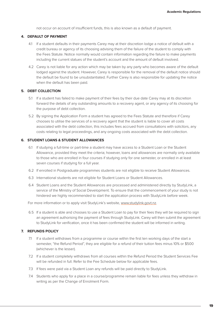not occur on account of insufficient funds, this is also known as a default of payment.

#### **4. DEFAULT OF PAYMENT**

- 4.1 If a student defaults in their payments Carey may at their discretion lodge a notice of default with a credit bureau or agency of its choosing advising them of the failure of the student to comply with the Fees Statute. Notice normally would contain information regarding the failure to make payments including the current statues of the student's account and the amount of default involved.
- 4.2 Carey is not liable for any action which may be taken by any party who becomes aware of the default lodged against the student. However, Carey is responsible for the removal of the default notice should the default be found to be unsubstantiated. Further Carey is also responsible for updating the notice when the default has been paid.

#### **5. DEBT COLLECTION**

- 5.1 If a student has failed to make payment of their fees by their due date Carey may at its discretion forward the details of any outstanding amounts to a recovery agent, or any agency of its choosing for the purpose of debt collection.
- 5.2 By signing the Application Form a student has agreed to the Fees Statute and therefore if Carey chooses to utilise the services of a recovery agent that the student is liable to cover all costs associated with the debt collection, this includes fees accrued from consultations with solicitors, any costs relating to legal proceedings, and any ongoing costs associated with the debt collection.

#### **6. STUDENT LOANS & STUDENT ALLOWANCES**

- 6.1 If studying a full-time or part-time a student may have access to a Student Loan or the Student Allowance, provided they meet the criteria; however, loans and allowances are normally only available to those who are enrolled in four courses if studying only for one semester, or enrolled in at least seven courses if studying for a full year.
- 6.2 If enrolled in Postgraduate programmes students are not eligible to receive Student Allowances.
- 6.3 International students are not eligible for Student Loans or Student Allowances.
- 6.4 Student Loans and the Student Allowances are processed and administered directly by StudyLink, a service of the Ministry of Social Development. To ensure that the commencement of your study is not hindered we highly recommended to start the application process with StudyLink before week.

For more information or to apply visit StudyLink's website, www.studylink.govt.nz.

6.5 If a student is able and chooses to use a Student Loan to pay for their fees they will be required to sign an agreement authorising the payment of fees through StudyLink. Carey will then submit the agreement to StudyLink for verification, once it has been confirmed the student will be informed in writing.

# **7. REFUNDS POLICY**

- 7.1 If a student withdraws from a programme or course within the first ten working days of the start a semester, "the Refund Period", they are eligible for a refund of their tuition fees minus 10% or \$500 (whichever is the lesser).
- 7.2 If a student completely withdraws from all courses within the Refund Period the Student Services Fee will be refunded in full. Refer to the Fee Schedule below for applicable fees.
- 7.3 If fees were paid via a Student Loan any refunds will be paid directly to StudyLink.
- 7.4 Students who apply for a place in a course/programme remain liable for fees unless they withdraw in writing as per the Change of Enrolment Form.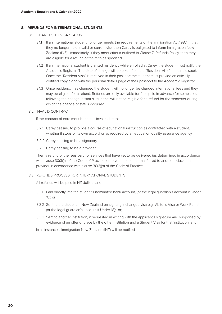## **8. REFUNDS FOR INTERNATIONAL STUDENTS**

- 8.1 CHANGES TO VISA STATUS
	- 8.1.1 If an international student no longer meets the requirements of the Immigration Act 1987 in that they no longer hold a valid or current visa then Carey is obligated to inform Immigration New Zealand (INZ) immediately. If they meet criteria outlined in Clause 7: Refunds Policy, then they are eligible for a refund of the fees as specified.
	- 8.1.2 If an international student is granted residency while enrolled at Carey, the student must notify the Academic Registrar. The date of change will be taken from the "Resident Visa" in their passport. Once the "Resident Visa" is received in their passport the student must provide an officially certified copy along with the personal details page of their passport to the Academic Registrar.
	- 8.1.3 Once residency has changed the student will no longer be charged international fees and they may be eligible for a refund. Refunds are only available for fees paid in advance for semesters following the change in status, students will not be eligible for a refund for the semester during which the change of status occurred.
- 8.2 INVALID CONTRACT

If the contract of enrolment becomes invalid due to:

- 8.2.1 Carey ceasing to provide a course of educational instruction as contracted with a student, whether it stops of its own accord or as required by an education quality assurance agency
- 8.2.2 Carey ceasing to be a signatory
- 8.2.3 Carey ceasing to be a provider.

Then a refund of the fees paid for services that have yet to be delivered (as determined in accordance with clause 30(3)(a) of the Code of Practice; or have the amount transferred to another education provider in accordance with clause 30(3)(b) of the Code of Practice.

#### 8.3 REFUNDS PROCESS FOR INTERNATIONAL STUDENTS

All refunds will be paid in NZ dollars, and

- 8.3.1 Paid directly into the student's nominated bank account, (or the legal guardian's account if Under 18); or
- 8.3.2 Sent to the student in New Zealand on sighting a changed visa e.g. Visitor's Visa or Work Permit (or the legal guardian's account if Under 18); or;
- 8.3.3 Sent to another institution, if requested in writing with the applicant's signature and supported by evidence of an offer of place by the other institution and a Student Visa for that institution, and

In all instances, Immigration New Zealand (INZ) will be notified.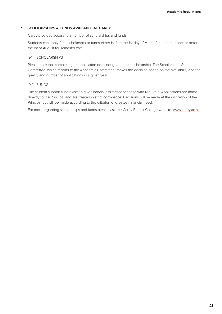# **9. SCHOLARSHIPS & FUNDS AVAILABLE AT CAREY**

Carey provides access to a number of scholarships and funds.

Students can apply for a scholarship or funds either before the 1st day of March for semester one, or before the 1st of August for semester two.

#### 9.1 SCHOLARSHIPS

Please note that completing an application does not guarantee a scholarship. The Scholarships Sub-Committee, which reports to the Academic Committee, makes the decision based on the availability and the quality and number of applications in a given year.

#### 9.2 FUNDS

The student support fund exists to give financial assistance to those who require it. Applications are made directly to the Principal and are treated in strict confidence. Decisions will be made at the discretion of the Principal but will be made according to the criterion of greatest financial need.

For more regarding scholarships and funds please visit the Carey Baptist College website, www.carey.ac.nz.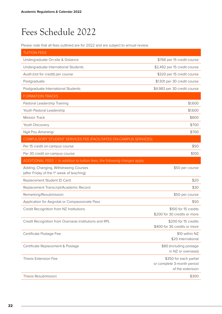# Fees Schedule 2022

Please note that all fees outlined are for 2022 and are subject to annual review.

| <b>TUITION FEES</b>                                                                 |                                                                          |
|-------------------------------------------------------------------------------------|--------------------------------------------------------------------------|
| Undergraduate On-site & Distance                                                    | \$766 per 15 credit course                                               |
| Undergraduate International Students                                                | \$2,492 per 15 credit course                                             |
| Audit (not for credit) per course                                                   | \$320 per 15 credit course                                               |
| Postgraduate                                                                        | \$1,931 per 30 credit course                                             |
| Postgraduate International Students                                                 | \$4,983 per 30 credit course                                             |
| <b>FORMATION TRACKS</b>                                                             |                                                                          |
| Pastoral Leadership Training                                                        | \$1,600                                                                  |
| Youth Pastoral Leadership                                                           | \$1,600                                                                  |
| <b>Mission Track</b>                                                                | \$800                                                                    |
| Youth Discovery                                                                     | \$700                                                                    |
| Ngā Pou Amorangi                                                                    | \$700                                                                    |
| COMPULSORY STUDENT SERVICES FEE (FACILITATES ON-CAMPUS SERVICES)                    |                                                                          |
| Per 15 credit on-campus course                                                      | \$50                                                                     |
| Per 30 credit on-campus course                                                      | \$100                                                                    |
| ADDITIONAL FEES   In addition to tuition fees, the following charges apply          |                                                                          |
| Adding, Changing, Withdrawing Courses<br>(after Friday of the 1st week of teaching) | \$50 per course                                                          |
| Replacement Student ID Card                                                         | \$20                                                                     |
| Replacement Transcript/Academic Record                                              | \$30                                                                     |
| Remarking/Resubmission                                                              | \$50 per course                                                          |
|                                                                                     |                                                                          |
| Application for Aegrotat or Compassionate Pass                                      | \$50                                                                     |
| Credit Recognition from NZ Institutions                                             | \$100 for 15 credits<br>\$200 for 30 credits or more                     |
| Credit Recognition from Overseas Institutions and RPL                               | \$200 for 15 credits<br>\$400 for 30 credits or more                     |
| Certificate Postage Fee                                                             | \$10 within NZ<br>\$20 International                                     |
| Certificate Replacement & Postage                                                   | \$80 (including postage<br>in NZ or overseas)                            |
| Thesis Extension Fee                                                                | \$350 for each partial<br>or complete 3-month period<br>of the extension |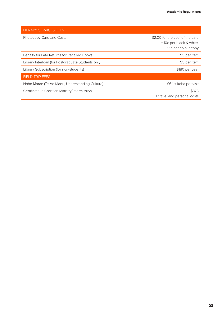| <b>LIBRARY SERVICES FEES</b>                       |                                 |
|----------------------------------------------------|---------------------------------|
| Photocopy Card and Costs                           | \$2.00 for the cost of the card |
|                                                    | +10c per black & white,         |
|                                                    | 15c per colour copy             |
| Penalty for Late Returns for Recalled Books        | \$5 per item                    |
| Library Interloan (for Postgraduate Students only) | \$5 per item                    |
| Library Subscription (for non-students)            | \$180 per year                  |
| <b>FIELD TRIP FEES</b>                             |                                 |
| Noho Marae (Te Ao Māori, Understanding Culture)    | \$64 + koha per visit           |
| Certificate in Christian Ministry/Intermission     | \$373                           |
|                                                    | + travel and personal costs     |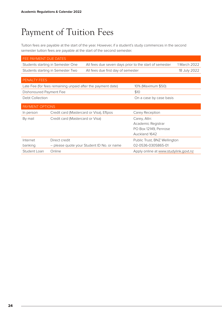# Payment of Tuition Fees

Tuition fees are payable at the start of the year. However, if a student's study commences in the second semester tuition fees are payable at the start of the second semester.

| FEE PAYMENT DUE DATES   |                                                                                             |  |                                       |              |
|-------------------------|---------------------------------------------------------------------------------------------|--|---------------------------------------|--------------|
|                         | All fees due seven days prior to the start of semester<br>Students starting in Semester One |  |                                       | 1 March 2022 |
|                         | Students starting in Semester Two<br>All fees due first day of semester                     |  | 18 July 2022                          |              |
|                         |                                                                                             |  |                                       |              |
| PENALTY FEES            |                                                                                             |  |                                       |              |
|                         | Late Fee (for fees remaining unpaid after the payment date)                                 |  | 10% (Maximum \$50)                    |              |
| Dishonoured Payment Fee |                                                                                             |  | \$10                                  |              |
| Debt Collection         |                                                                                             |  | On a case by case basis               |              |
| PAYMENT OPTIONS         |                                                                                             |  |                                       |              |
| In person               | Credit card (Mastercard or Visa), Eftpos                                                    |  | Carey Reception                       |              |
| By mail                 | Credit card (Mastercard or Visa)                                                            |  | Carey, Attn:                          |              |
|                         |                                                                                             |  | Academic Registrar                    |              |
|                         |                                                                                             |  | PO Box 12149, Penrose                 |              |
|                         |                                                                                             |  | Auckland 1642                         |              |
| Internet                | Direct credit                                                                               |  | Public Trust, BNZ Wellington          |              |
| banking                 | - please quote your Student ID No. or name                                                  |  | 02-0536-0305865-01                    |              |
| Student Loan            | Online                                                                                      |  | Apply online at www.studylink.govt.nz |              |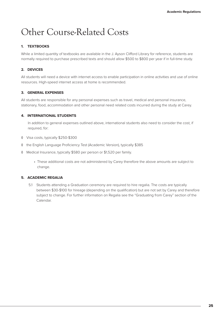# Other Course-Related Costs

# **1. TEXTBOOKS**

While a limited quantity of textbooks are available in the J. Ayson Clifford Library for reference, students are normally required to purchase prescribed texts and should allow \$500 to \$800 per year if in full-time study.

# **2. DEVICES**

All students will need a device with internet access to enable participation in online activities and use of online resources. High-speed internet access at home is recommended.

# **3. GENERAL EXPENSES**

All students are responsible for any personal expenses such as travel, medical and personal insurance, stationary, food, accommodation and other personal need related costs incurred during the study at Carey.

# **4. INTERNATIONAL STUDENTS**

In addition to general expenses outlined above, international students also need to consider the cost, if required, for:

- ◊ Visa costs, typically \$250-\$300
- ◊ the English Language Proficiency Test (Academic Version), typically \$385
- ◊ Medical Insurance, typically \$580 per person or \$1,520 per family.
	- These additional costs are not administered by Carey therefore the above amounts are subject to change.

# **5. ACADEMIC REGALIA**

5.1 Students attending a Graduation ceremony are required to hire regalia. The costs are typically between \$30-\$100 for hireage (depending on the qualification) but are not set by Carey and therefore subject to change. For further information on Regalia see the "Graduating from Carey" section of the Calendar.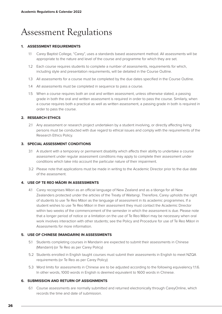# Assessment Regulations

# **1. ASSESSMENT REQUIREMENTS**

- 1.1 Carey Baptist College, "Carey", uses a standards based assessment method. All assessments will be appropriate to the nature and level of the course and programme for which they are set.
- 1.2 Each course requires students to complete a number of assessments, requirements for which, including style and presentation requirements, will be detailed in the Course Outline.
- 1.3 All assessments for a course must be completed by the due dates specified in the Course Outline.
- 1.4 All assessments must be completed in sequence to pass a course.
- 1.5 When a course requires both an oral and written assessment, unless otherwise stated, a passing grade in both the oral and written assessment is required in order to pass the course. Similarly, when a course requires both a practical as well as written assessment, a passing grade in both is required in order to pass the course.

# **2. RESEARCH ETHICS**

2.1 Any assessment or research project undertaken by a student involving, or directly affecting living persons must be conducted with due regard to ethical issues and comply with the requirements of the Research Ethics Policy.

## **3. SPECIAL ASSESSMENT CONDITIONS**

- 3.1 A student with a temporary or permanent disability which affects their ability to undertake a course assessment under regular assessment conditions may apply to complete their assessment under conditions which take into account the particular nature of their impairment.
- 3.2 Please note that applications must be made in writing to the Academic Director prior to the due date of the assessment.

# **4. USE OF TE REO MĀORI IN ASSESSMENTS**

4.1 Carey recognises Māori as an official language of New Zealand and as a tāonga for all New Zealanders protected under the articles of the Treaty of Waitangi. Therefore, Carey upholds the right of students to use Te Reo Māori as the language of assessment in its academic programmes. If a student wishes to use Te Reo Māori in their assessment they must contact the Academic Director within two weeks of the commencement of the semester in which the assessment is due. Please note that a longer period of notice or a limitation on the use of Te Reo Māori may be necessary when oral work involves interaction with other students; see the Policy and Procedure for use of Te Reo Māori in Assessments for more information.

# **5. USE OF CHINESE (MANDARIN) IN ASSESSMENTS**

- 5.1 Students completing courses in Mandarin are expected to submit their assessments in Chinese (Mandarin) (or Te Reo as per Carey Policy)
- 5.2 Students enrolled in English taught courses must submit their assessments in English to meet NZQA requirements (or Te Reo as per Carey Policy)
- 5.3 Word limits for assessments in Chinese are to be adjusted according to the following equivalency 1:1.6. In other words, 1000 words in English is deemed equivalent to 1600 words in Chinese.

# **6. SUBMISSION AND RETURN OF ASSIGNMENTS**

6.1 Course assessments are normally submitted and returned electronically through CareyOnline, which records the time and date of submission.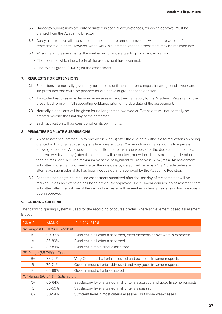- 6.2 Hardcopy submissions are only permitted in special circumstances, for which approval must be granted from the Academic Director.
- 6.3 Carey aims to have all assessments marked and returned to students within three weeks of the assessment due date. However, when work is submitted late the assessment may be returned late.
- 6.4 When marking assessments, the marker will provide a grading comment explaining:
	- The extent to which the criteria of the assessment has been met.
	- The overall grade (0-100%) for the assessment.

### **7. REQUESTS FOR EXTENSIONS**

- 7.1 Extensions are normally given only for reasons of ill-health or on compassionate grounds; work and life pressures that could be planned for are not valid grounds for extension.
- 7.2 If a student requires an extension on an assessment they can apply to the Academic Registrar on the prescribed form with full supporting evidence prior to the due date of the assessment.
- 7.3 Normally extensions will be given for no longer than two weeks. Extensions will not normally be granted beyond the final day of the semester.
- 7.4 Each application will be considered on its own merits.

## **8. PENALTIES FOR LATE SUBMISSIONS**

- 8.1 An assessment submitted up to one week (7 days) after the due date without a formal extension being granted will incur an academic penalty equivalent to a 10% reduction in marks, normally equivalent to two grade steps. An assessment submitted more than one week after the due date but no more than two weeks (14 days) after the due date will be marked, but will not be awarded a grade other than a "Pass" or "Fail". The maximum mark the assignment will receive is 50% (Pass). An assignment submitted more than two weeks after the due date by default will receive a "Fail" grade unless an alternative submission date has been negotiated and approved by the Academic Registrar.
- 8.2 For semester length courses, no assessment submitted after the last day of the semester will be marked unless an extension has been previously approved. For full-year courses, no assessment item submitted after the last day of the second semester will be marked unless an extension has previously been approved.

# **9. GRADING CRITERIA**

The following grading system is used for the recording of course grades where achievement based assessment is used.

| <b>GRADE</b>                        | <b>MARK</b> | <b>DESCRIPTOR</b>                                                              |  |  |
|-------------------------------------|-------------|--------------------------------------------------------------------------------|--|--|
| "A" Range (80-100%) = Excellent     |             |                                                                                |  |  |
| $A+$                                | 90-100%     | Excellent in all criteria assessed, extra elements above what is expected      |  |  |
| A                                   | 85-89%      | Excellent in all criteria assessed                                             |  |  |
| $A-$                                | 80-84%      | Excellent in most criteria assessed                                            |  |  |
| "B" Range (65-79%) = Good           |             |                                                                                |  |  |
| $B+$                                | 75-79%      | Very Good in all criteria assessed and excellent in some respects.             |  |  |
| B                                   | 70-74%      | Good in most criteria addressed and very good in some respects.                |  |  |
| B-                                  | 65-69%      | Good in most criteria assessed.                                                |  |  |
| "C" Range $(50-64%)$ = Satisfactory |             |                                                                                |  |  |
| $C+$                                | 60-64%      | Satisfactory level attained in all criteria assessed and good in some respects |  |  |
| C                                   | 55-59%      | Satisfactory level attained in all criteria assessed                           |  |  |
| $C-$                                | 50-54%      | Sufficient level in most criteria assessed, but some weaknesses                |  |  |
|                                     |             |                                                                                |  |  |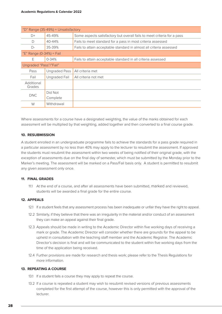| "D" Range $(35-49%)$ = Unsatisfactory |                      |                                                                         |  |
|---------------------------------------|----------------------|-------------------------------------------------------------------------|--|
| $\Box$ +                              | 45-49%               | Some aspects satisfactory but overall fails to meet criteria for a pass |  |
| $\Box$                                | 40-44%               | Fails to meet standard for a pass in most criteria assessed             |  |
| $D-$                                  | 35-39%               | Fails to attain acceptable standard in almost all criteria assessed     |  |
| "E" Range $(0-34%) =$ Fail            |                      |                                                                         |  |
| F                                     | $0 - 34%$            | Fails to attain acceptable standard in all criteria assessed            |  |
| Ungraded "Pass"/"Fail"                |                      |                                                                         |  |
| Pass                                  | <b>Ungraded Pass</b> | All criteria met                                                        |  |
| Fail                                  | Ungraded Fail        | All criteria not met                                                    |  |
| Additional<br>Grades                  |                      |                                                                         |  |
| <b>DNC</b>                            | Did Not              |                                                                         |  |
|                                       | Complete             |                                                                         |  |
| W                                     | Withdrawal           |                                                                         |  |

Where assessments for a course have a designated weighting, the value of the marks obtained for each assessment will be multiplied by that weighting, added together and then converted to a final course grade.

#### **10. RESUBMISSION**

A student enrolled in an undergraduate programme fails to achieve the standards for a pass grade required in a particular assessment by no less than 40% may apply to the lecturer to resubmit the assessment. If approved the students must resubmit the assessment within two weeks of being notified of their original grade, with the exception of assessments due on the final day of semester, which must be submitted by the Monday prior to the Marker's meeting. The assessment will be marked on a Pass/Fail basis only. A student is permitted to resubmit any given assessment only once.

#### **11. FINAL GRADES**

11.1 At the end of a course, and after all assessments have been submitted, marked and reviewed, students will be awarded a final grade for the entire course.

# **12. APPEALS**

- 12.1 If a student feels that any assessment process has been inadequate or unfair they have the right to appeal.
- 12.2 Similarly, if they believe that there was an irregularity in the material and/or conduct of an assessment they can make an appeal against their final grade.
- 12.3 Appeals should be made in writing to the Academic Director within five working days of receiving a mark or grade. The Academic Director will consider whether there are grounds for the appeal to be upheld in consultation with the teaching staff member and the Academic Registrar. The Academic Director's decision is final and will be communicated to the student within five working days from the time of the application being received.
- 12.4 Further provisions are made for research and thesis work; please refer to the Thesis Regulations for more information.

# **13. REPEATING A COURSE**

- 13.1 If a student fails a course they may apply to repeat the course.
- 13.2 If a course is repeated a student may wish to resubmit revised versions of previous assessments completed for the first attempt of the course, however this is only permitted with the approval of the lecturer.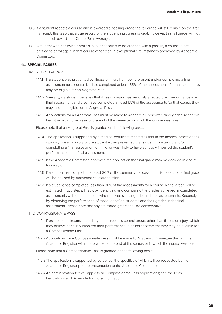- 13.3 If a student repeats a course and is awarded a passing grade the fail grade will still remain on the first transcript, this is so that a true record of the student's progress is kept. However, this fail grade will not be counted towards the Grade Point Average.
- 13.4 A student who has twice enrolled in, but has failed to be credited with a pass in, a course is not entitled to enrol again in that course other than in exceptional circumstances approved by Academic Committee.

## **14. SPECIAL PASSES**

- 14.1 AEGROTAT PASS
	- 14.1.1 If a student was prevented by illness or injury from being present and/or completing a final assessment for a course but has completed at least 55% of the assessments for that course they may be eligible for an Aegrotat Pass.
	- 14.1.2 Similarly, if a student believes that illness or injury has seriously affected their performance in a final assessment and they have completed at least 55% of the assessments for that course they may also be eligible for an Aegrotat Pass.
	- 14.1.3 Applications for an Aegrotat Pass must be made to Academic Committee through the Academic Registrar within one week of the end of the semester in which the course was taken.

Please note that an Aegrotat Pass is granted on the following basis:

- 14.1.4 The application is supported by a medical certificate that states that in the medical practitioner's opinion, illness or injury of the student either prevented that student from taking and/or completing a final assessment on time, or was likely to have seriously impaired the student's performance in the final assessment.
- 14.1.5 If the Academic Committee approves the application the final grade may be decided in one of two ways.
- 14.1.6 If a student has completed at least 80% of the summative assessments for a course a final grade will be devised by mathematical extrapolation.
- 14.1.7 If a student has completed less than 80% of the assessments for a course a final grade will be estimated in two steps. Firstly, by identifying and comparing the grades achieved in completed assessments with other students who received similar grades in those assessments. Secondly, by observing the performance of those identified students and their grades in the final assessment. Please note that any estimated grade shall be conservative.

#### 14.2 COMPASSIONATE PASS

- 14.2.1 If exceptional circumstances beyond a student's control arose, other than illness or injury, which they believe seriously impaired their performance in a final assessment they may be eligible for a Compassionate Pass.
- 14.2.2Applications for a Compassionate Pass must be made to Academic Committee through the Academic Registrar within one week of the end of the semester in which the course was taken.
- Please note that a Compassionate Pass is granted on the following basis:
- 14.2.3 The application is supported by evidence, the specifics of which will be requested by the Academic Registrar prior to presentation to the Academic Committee.
- 14.2.4 An administration fee will apply to all Compassionate Pass applications; see the Fees Regulations and Schedule for more information.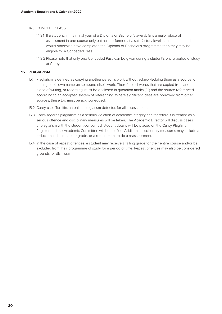#### 14.3 CONCEDED PASS

- 14.3.1 If a student, in their final year of a Diploma or Bachelor's award, fails a major piece of assessment in one course only but has performed at a satisfactory level in that course and would otherwise have completed the Diploma or Bachelor's programme then they may be eligible for a Conceded Pass.
- 14.3.2 Please note that only one Conceded Pass can be given during a student's entire period of study at Carey.

# **15. PLAGIARISM**

- 15.1 Plagiarism is defined as copying another person's work without acknowledging them as a source, or putting one's own name on someone else's work. Therefore, all words that are copied from another piece of writing, or recording, must be enclosed in quotation marks (" ") and the source referenced according to an accepted system of referencing. Where significant ideas are borrowed from other sources, these too must be acknowledged.
- 15.2 Carey uses Turnitin, an online plagiarism detector, for all assessments.
- 15.3 Carey regards plagiarism as a serious violation of academic integrity and therefore it is treated as a serious offence and disciplinary measures will be taken. The Academic Director will discuss cases of plagiarism with the student concerned, student details will be placed on the Carey Plagiarism Register and the Academic Committee will be notified. Additional disciplinary measures may include a reduction in their mark or grade, or a requirement to do a reassessment.
- 15.4 In the case of repeat offences, a student may receive a failing grade for their entire course and/or be excluded from their programme of study for a period of time. Repeat offences may also be considered grounds for dismissal.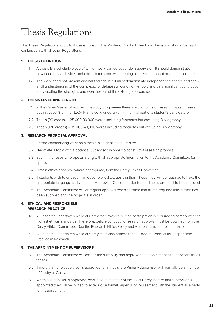# Thesis Regulations

The Thesis Regulations apply to those enrolled in the Master of Applied Theology Thesis and should be read in conjunction with all other Regulations.

# **1. THESIS DEFINITION**

- 1.1 A thesis is a scholarly piece of written work carried out under supervision. It should demonstrate advanced research skills and critical interaction with existing academic publications in the topic area.
- 1.2 The work need not present original findings, but it must demonstrate independent research and show a full understanding of the complexity of debate surrounding the topic and be a significant contribution to evaluating the strengths and weaknesses of the existing approaches.

# **2. THESIS LEVEL AND LENGTH**

- 2.1 In the Carey Master of Applied Theology programme there are two forms of research based theses both at Level 9 on the NZQA Framework, undertaken in the final part of a student's candidature:
- 2.2 Thesis (90 credits) 25,000-30,000 words including footnotes but excluding Bibliography.
- 2.3 Thesis (120 credits) 35,000-40,000 words including footnotes but excluding Bibliography.

## **3. RESEARCH PROPOSAL APPROVAL**

- 3.1 Before commencing work on a thesis, a student is required to:
- 3.2 Negotiate a topic with a potential Supervisor, in order to construct a research proposal.
- 3.3 Submit the research proposal along with all appropriate information to the Academic Committee for approval.
- 3.4 Obtain ethics approval, where appropriate, from the Carey Ethics Committee.
- 3.5 If students wish to engage in in-depth biblical exegesis in their Thesis they will be required to have the appropriate language skills in either Hebrew or Greek in order for the Thesis proposal to be approved.
- 3.6 The Academic Committee will only grant approval when satisfied that all the required information has been supplied and the project is in order.

# **4. ETHICAL AND RESPONSIBLE RESEARCH PRACTICE**

- 4.1 All research undertaken while at Carey that involves human participation is required to comply with the highest ethical standards. Therefore, before conducting research approval must be obtained from the Carey Ethics Committee. See the Research Ethics Policy and Guidelines for more information.
- 4.2 All research undertaken while at Carey must also adhere to the Code of Conduct for Responsible Practice in Research.

# **5. THE APPOINTMENT OF SUPERVISORS**

- 5.1 The Academic Committee will assess the suitability and approve the appointment of supervisors for all theses.
- 5.2 If more than one supervisor is approved for a thesis, the Primary Supervisor will normally be a member of faculty at Carey.
- 5.3 When a supervisor is approved, who is not a member of faculty at Carey, before that supervisor is appointed they will be invited to enter into a formal Supervision Agreement with the student as a party to this agreement.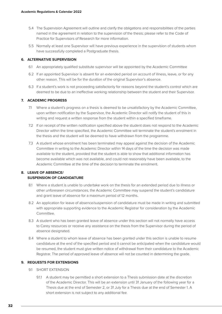- 5.4 The Supervision Agreement will outline and clarify the obligations and responsibilities of the parties named in the agreement in relation to the supervision of the thesis; please refer to the Code of Practice for Supervisors of Research for more information.
- 5.5 Normally at least one Supervisor will have previous experience in the supervision of students whom have successfully completed a Postgraduate thesis.

# **6. ALTERNATIVE SUPERVISION**

- 6.1 An appropriately qualified substitute supervisor will be appointed by the Academic Committee
- 6.2 If an appointed Supervisor is absent for an extended period on account of illness, leave, or for any other reason. This will be for the duration of the original Supervisor's absence.
- 6.3 If a student's work is not proceeding satisfactorily for reasons beyond the student's control which are deemed to be due to an ineffective working relationship between the student and their Supervisor.

# **7. ACADEMIC PROGRESS**

- 7.1 Where a student's progress on a thesis is deemed to be unsatisfactory by the Academic Committee, upon written notification by the Supervisor, the Academic Director will notify the student of this in writing and request a written response from the student within a specified timeframe.
- 7.2 If on receipt of the written notification specified above the student does not respond to the Academic Director within the time specified, the Academic Committee will terminate the student's enrolment in the thesis and the student will be deemed to have withdrawn from the programme.
- 7.3 A student whose enrolment has been terminated may appeal against the decision of the Academic Committee in writing to the Academic Director within 14 days of the time the decision was made available to the student, provided that the student is able to show that additional information has become available which was not available, and could not reasonably have been available, to the Academic Committee at the time of the decision to terminate the enrolment.

# **8. LEAVE OF ABSENCE/ SUSPENSION OF CANDIDATURE**

- 8.1 Where a student is unable to undertake work on the thesis for an extended period due to illness or other unforeseen circumstances, the Academic Committee may suspend the student's candidature and grant leave of absence for a maximum period of 12 months.
- 8.2 An application for leave of absence/suspension of candidature must be made in writing and submitted with appropriate supporting evidence to the Academic Registrar for consideration by the Academic Committee.
- 8.3 A student who has been granted leave of absence under this section will not normally have access to Carey resources or receive any assistance on the thesis from the Supervisor during the period of absence designated.
- 8.4 Where a student to whom leave of absence has been granted under this section is unable to resume candidature at the end of the specified period and it cannot be anticipated when the candidature would be resumed, the student must give written notice of withdrawal from their candidature to the Academic Registrar. The period of approved leave of absence will not be counted in determining the grade.

#### **9. REQUESTS FOR EXTENSIONS**

- 91 SHORT EXTENSION
	- 9.1.1 A student may be permitted a short extension to a Thesis submission date at the discretion of the Academic Director. This will be an extension until 31 January of the following year for a Thesis due at the end of Semester 2, or 31 July for a Thesis due at the end of Semester 1. A short extension is not subject to any additional fee.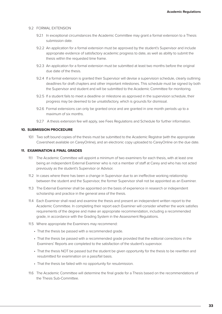#### 9.2 FORMAL EXTENSION

- 9.2.1 In exceptional circumstances the Academic Committee may grant a formal extension to a Thesis submission date.
- 9.2.2 An application for a formal extension must be approved by the student's Supervisor and include appropriate evidence of satisfactory academic progress to date, as well as ability to submit the thesis within the requested time frame.
- 9.2.3 An application for a formal extension must be submitted at least two months before the original due date of the thesis.
- 9.2.4 If a formal extension is granted their Supervisor will devise a supervision schedule, clearly outlining deadlines for draft chapters and other important milestones. This schedule must be signed by both the Supervisor and student and will be submitted to the Academic Committee for monitoring.
- 9.2.5 If a student fails to meet a deadline or milestone as approved in the supervision schedule, their progress may be deemed to be unsatisfactory, which is grounds for dismissal.
- 9.2.6 Formal extensions can only be granted once and are granted in one month periods up to a maximum of six months.
- 9.2.7 A thesis extension fee will apply, see Fees Regulations and Schedule for further information.

### **10. SUBMISSION PROCEDURE**

10.1 Two soft bound copies of the thesis must be submitted to the Academic Registrar (with the appropriate Coversheet available on CareyOnline), and an electronic copy uploaded to CareyOnline on the due date.

#### **11. EXAMINATION & FINAL GRADES**

- 11.1 The Academic Committee will appoint a minimum of two examiners for each thesis, with at least one being an independent External Examiner who is not a member of staff at Carey and who has not acted previously as the student's Supervisor or Advisor.
- 11.2 In cases where there has been a change in Supervisor due to an ineffective working relationship between the student and the Supervisor, the former Supervisor shall not be appointed as an Examiner.
- 11.3 The External Examiner shall be appointed on the basis of experience in research or independent scholarship and practice in the general area of the thesis.
- 11.4 Each Examiner shall read and examine the thesis and present an independent written report to the Academic Committee. In completing their report each Examiner will consider whether the work satisfies requirements of the degree and make an appropriate recommendation, including a recommended grade, in accordance with the Grading System in the Assessment Regulations.
- 11.5 Where appropriate the Examiners may recommend:
	- That the thesis be passed with a recommended grade.
	- That the thesis be passed with a recommended grade provided that the editorial corrections in the Examiners' Reports are completed to the satisfaction of the student's supervisor.
	- That the thesis NOT be passed but the student be given opportunity for the thesis to be rewritten and resubmitted for examination on a pass/fail basis.
	- That the thesis be failed with no opportunity for resubmission.
- 11.6 The Academic Committee will determine the final grade for a Thesis based on the recommendations of the Thesis Sub-Committee.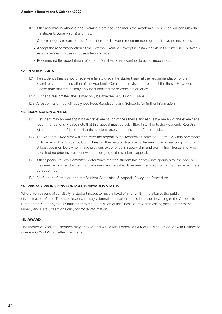- 11.7 If the recommendations of the Examiners are not unanimous the Academic Committee will consult with the students Supervisor(s) and may:
	- Seek to negotiate consensus, if the difference between recommended grades is two points or less.
	- Accept the recommendation of the External Examiner, except in instances when the difference between recommended grades includes a failing grade.
	- Recommend the appointment of an additional External Examiner to act as moderator.

## **12. RESUBMISSION**

- 12.1 If a student's thesis should receive a failing grade the student may, at the recommendation of the Examiners and the discretion of the Academic Committee, revise and resubmit the thesis. However, please note that theses may only be submitted for re-examination once.
- 12.2 Further a resubmitted thesis may only be awarded a C, D, or E Grade.
- 12.3 A resubmission fee will apply, see Fees Regulations and Schedule for further information.

# **13. EXAMINATION APPEAL**

- 13.1 A student may appeal against the first examination of their thesis and request a review of the examiner's recommendations. Please note that this appeal must be submitted in writing to the Academic Registrar within one month of the date that the student received notification of their results.
- 13.2 The Academic Registrar will then refer the appeal to the Academic Committee normally within one month of its receipt. The Academic Committee will then establish a Special Review Committee, comprising of at least two members whom have previous experience in supervising and examining Theses and who have had no prior involvement with the lodging of the student's appeal.
- 13.3 If the Special Review Committee determines that the student has appropriate grounds for the appeal, they may recommend either that the examiners be asked to review their decision or that new examiners be appointed.
- 13.4 For further information, see the Student Complaints & Appeals Policy and Procedure.

# **14. PRIVACY PROVISIONS FOR PSEUDONYMOUS STATUS**

Where, for reasons of sensitivity, a student needs to have a level of anonymity in relation to the public dissemination of their Thesis or research essay, a formal application should be made in writing to the Academic Director for Pseudonymous Status prior to the submission of the Thesis or research essay; please refer to the Privacy and Data Collection Policy for more information.

# **15. AWARD**

The Master of Applied Theology may be awarded with a Merit where a GPA of B+ is achieved, or with Distinction where a GPA of A- or better is achieved.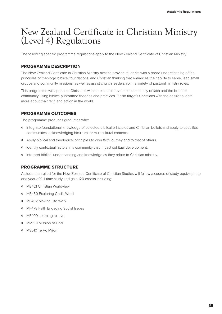# New Zealand Certificate in Christian Ministry (Level 4) Regulations

The following specific programme regulations apply to the New Zealand Certificate of Christian Ministry.

# **PROGRAMME DESCRIPTION**

The New Zealand Certificate in Christian Ministry aims to provide students with a broad understanding of the principles of theology, biblical foundations, and Christian thinking that enhances their ability to serve, lead small groups and community missions, as well as assist church leadership in a variety of pastoral ministry roles.

This programme will appeal to Christians with a desire to serve their community of faith and the broader community using biblically informed theories and practices. It also targets Christians with the desire to learn more about their faith and action in the world.

# **PROGRAMME OUTCOMES**

The programme produces graduates who:

- ◊ Integrate foundational knowledge of selected biblical principles and Christian beliefs and apply to specified communities, acknowledging bicultural or multicultural contexts.
- ◊ Apply biblical and theological principles to own faith journey and to that of others.
- ◊ Identify contextual factors in a community that impact spiritual development.
- ◊ Interpret biblical understanding and knowledge as they relate to Christian ministry.

# PROGRAMME STRUCTURE

A student enrolled for the New Zealand Certificate of Christian Studies will follow a course of study equivalent to one year of full-time study and gain 120 credits including:

- ◊ MB421 Christian Worldview
- ◊ MB430 Exploring God's Word
- ◊ MF402 Making Life Work
- ◊ MF478 Faith Engaging Social Issues
- ◊ MF409 Learning to Live
- ◊ MM581 Mission of God
- ◊ MS510 Te Ao Māori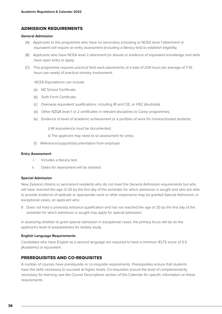# ADMISSION REQUIREMENTS

#### **General Admission**

- (A) Applicants to this programme who have no secondary schooling or NCEA level 1 attainment or equivalent will require an entry assessment (including a literacy test) to establish eligibility.
- (B) Applicants who have NCEA level 2 attainment (or above) or evidence of equivalent knowledge and skills have open entry to apply.
- (C) This programme requires practical field work-placements of a total of 204 hours (an average of 7-10 hours per week) of practical ministry involvement.

NCEA Equivalence can include:

- (a) NZ School Certificate;
- (b) Sixth Form Certificate;
- (c) Overseas equivalent qualifications, including IB and CIE, or HSC (Australia);
- (d) Other NZQA level 1 or 2 certificates in relevant disciplines to Carey programmes;
- (e) Evidence of level of academic achievement or a portfolio of work for homeschooled students;

i) All equivalence must be documented;

- ii) The applicant may need to sit assessment for entry;
- (f) Reference/support/documentation from employer.

#### **Entry Assessment**

- i. Includes a literacy test.
- ii. Dates for assessment will be advised.

#### **Special Admission**

New Zealand citizens or permanent residents who do not meet the General Admission requirements but who will have reached the age of 20 by the first day of the semester for which admission is sought and who are able to provide evidence of aptitude or appropriate work or other experience may be granted Special Admission, in exceptional cases, an applicant who:

◊ Does not hold a university entrance qualification and has not reached the age of 20 by the first day of the semester for which admission is sought may apply for special admission.

In assessing whether to grant special admission in exceptional cases, the primary focus will be on the applicant's level of preparedness for tertiary study.

#### **English Language Requirements**

Candidates who have English as a second language are required to have a minimum IELTS score of 5.5 (Academic) or equivalent.

# PREREQUISITES AND CO-REQUISITES

A number of courses have prerequisite or co-requisite requirements. Prerequisites ensure that students have the skills necessary to succeed at higher levels. Co-requisites ensure the level of complementarity necessary for learning; see the Course Descriptions section of this Calendar for specific information on these requirements.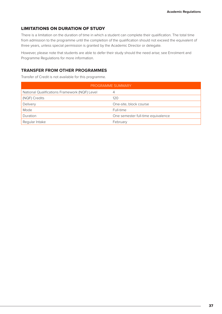#### LIMITATIONS ON DURATION OF STUDY

There is a limitation on the duration of time in which a student can complete their qualification. The total time from admission to the programme until the completion of the qualification should not exceed the equivalent of three years, unless special permission is granted by the Academic Director or delegate.

However, please note that students are able to defer their study should the need arise; see Enrolment and Programme Regulations for more information.

#### **TRANSFER FROM OTHER PROGRAMMES**

Transfer of Credit is not available for this programme.

| PROGRAMME SUMMARY                             |                                    |  |  |
|-----------------------------------------------|------------------------------------|--|--|
| National Qualifications Framework (NQF) Level | 4                                  |  |  |
| (NQF) Credits                                 | 120                                |  |  |
| Delivery                                      | One-site, block course             |  |  |
| Mode                                          | Full-time                          |  |  |
| Duration                                      | One semester full-time equivalence |  |  |
| Regular Intake                                | February                           |  |  |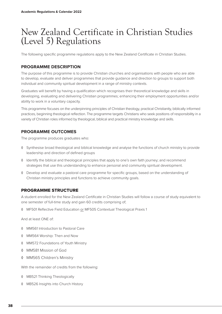## New Zealand Certificate in Christian Studies (Level 5) Regulations

The following specific programme regulations apply to the New Zealand Certificate in Christian Studies.

#### **PROGRAMME DESCRIPTION**

The purpose of this programme is to provide Christian churches and organisations with people who are able to develop, evaluate and deliver programmes that provide guidance and direction to groups to support both individual and community spiritual development in a range of ministry contexts.

Graduates will benefit by having a qualification which recognises their theoretical knowledge and skills in developing, evaluating and delivering Christian programmes; enhancing their employment opportunities and/or ability to work in a voluntary capacity.

This programme focuses on the underpinning principles of Christian theology, practical Christianity, biblically informed practices, beginning theological reflection. The programme targets Christians who seek positions of responsibility in a variety of Christian roles informed by theological, biblical and practical ministry knowledge and skills.

#### **PROGRAMME OUTCOMES**

The programme produces graduates who:

- ◊ Synthesise broad theological and biblical knowledge and analyse the functions of church ministry to provide leadership and direction of defined groups
- ◊ Identify the biblical and theological principles that apply to one's own faith journey; and recommend strategies that use this understanding to enhance personal and community spiritual development.
- ◊ Develop and evaluate a pastoral care programme for specific groups, based on the understanding of Christian ministry principles and functions to achieve community goals.

#### PROGRAMME STRUCTURE

A student enrolled for the New Zealand Certificate in Christian Studies will follow a course of study equivalent to one semester of full-time study and gain 60 credits comprising of;

◊ MF501 Reflective Field Education or MF505 Contextual Theological Praxis 1

And at least ONE of:

- ◊ MM561 Introduction to Pastoral Care
- ◊ MM564 Worship: Then and Now
- ◊ MM572 Foundations of Youth Ministry
- ◊ MM581 Mission of God
- ◊ MM565 Children's Ministry

With the remainder of credits from the following:

- ◊ MB521 Thinking Theologically
- ◊ MB526 Insights into Church History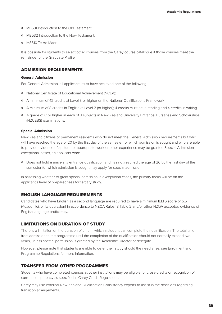- ◊ MB531 Introduction to the Old Testament
- ◊ MB532 Introduction to the New Testament;
- ◊ MS510 Te Ao Māori

It is possible for students to select other courses from the Carey course catalogue if those courses meet the remainder of the Graduate Profile.

#### ADMISSION REQUIREMENTS

#### **General Admission**

For General Admission, all applicants must have achieved one of the following:

- ◊ National Certificate of Educational Achievement (NCEA):
- ◊ A minimum of 42 credits at Level 3 or higher on the National Qualifications Framework
- ◊ A minimum of 8 credits in English at Level 2 (or higher); 4 credits must be in reading and 4 credits in writing.
- ◊ A grade of C or higher in each of 3 subjects in New Zealand University Entrance, Bursaries and Scholarships (NZUEBS) examinations.

#### **Special Admission**

New Zealand citizens or permanent residents who do not meet the General Admission requirements but who will have reached the age of 20 by the first day of the semester for which admission is sought and who are able to provide evidence of aptitude or appropriate work or other experience may be granted Special Admission, in exceptional cases, an applicant who:

◊ Does not hold a university entrance qualification and has not reached the age of 20 by the first day of the semester for which admission is sought may apply for special admission.

In assessing whether to grant special admission in exceptional cases, the primary focus will be on the applicant's level of preparedness for tertiary study.

#### ENGLISH LANGUAGE REQUIREMENTS

Candidates who have English as a second language are required to have a minimum IELTS score of 5.5 (Academic), or its equivalent in accordance to NZQA Rules 13 Table 2 and/or other NZQA accepted evidence of English language proficiency.

#### LIMITATIONS ON DURATION OF STUDY

There is a limitation on the duration of time in which a student can complete their qualification. The total time from admission to the programme until the completion of the qualification should not normally exceed two years, unless special permission is granted by the Academic Director or delegate.

However, please note that students are able to defer their study should the need arise; see Enrolment and Programme Regulations for more information.

#### TRANSFER FROM OTHER PROGRAMMES

Students who have completed courses at other institutions may be eligible for cross-credits or recognition of current competency as specified in Carey Credit Regulations.

Carey may use external New Zealand Qualification Consistency experts to assist in the decisions regarding transition arrangements.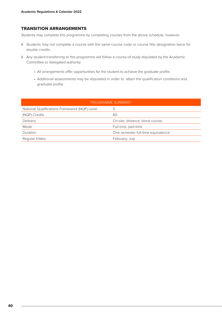#### TRANSITION ARRANGEMENTS

Students may complete this programme by completing courses from the above schedule, however:

- ◊ Students may not complete a course with the same course code or course title designation twice for double credits.
- ◊ Any student transferring to this programme will follow a course-of-study stipulated by the Academic Committee or delegated authority.
	- All arrangements offer opportunities for the student to achieve the graduate profile.
	- Additional assessments may be stipulated in order to attain the qualification conditions and graduate profile.

| PROGRAMME SUMMARY                             |                                    |  |  |
|-----------------------------------------------|------------------------------------|--|--|
| National Qualifications Framework (NQF) Level | ს                                  |  |  |
| (NQF) Credits                                 | 60                                 |  |  |
| Delivery                                      | On-site, distance, block course    |  |  |
| Mode                                          | Full-time, part-time               |  |  |
| Duration                                      | One semester full-time equivalence |  |  |
| Regular Intake                                | February, July                     |  |  |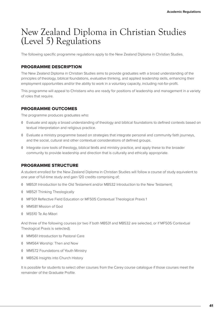## New Zealand Diploma in Christian Studies (Level 5) Regulations

The following specific programme regulations apply to the New Zealand Diploma in Christian Studies.

#### PROGRAMME DESCRIPTION

The New Zealand Diploma in Christian Studies aims to provide graduates with a broad understanding of the principles of theology, biblical foundations, evaluative thinking, and applied leadership skills, enhancing their employment opportunities and/or the ability to work in a voluntary capacity, including not-for-profit.

This programme will appeal to Christians who are ready for positions of leadership and management in a variety of roles that require.

#### PROGRAMME OUTCOMES

The programme produces graduates who:

- ◊ Evaluate and apply a broad understanding of theology and biblical foundations to defined contexts based on textual interpretation and religious practice.
- ◊ Evaluate a ministry programme based on strategies that integrate personal and community faith journeys, and the social, cultural and other contextual considerations of defined groups.
- ◊ Integrate core tools of theology, biblical texts and ministry practice, and apply these to the broader community to provide leadership and direction that is culturally and ethically appropriate.

#### PROGRAMME STRUCTURE

A student enrolled for the New Zealand Diploma in Christian Studies will follow a course of study equivalent to one year of full-time study and gain 120 credits comprising of;

- ◊ MB531 Introduction to the Old Testament and/or MB532 Introduction to the New Testament;
- ◊ MB521 Thinking Theologically
- ◊ MF501 Reflective Field Education or MF505 Contextual Theological Praxis 1
- ◊ MM581 Mission of God
- ◊ MS510 Te Ao Māori

And three of the following courses (or two if both MB531 and MB532 are selected, or if MF505 Contextual Theological Praxis is selected);

- ◊ MM561 Introduction to Pastoral Care
- ◊ MM564 Worship: Then and Now
- ◊ MM572 Foundations of Youth Ministry
- ◊ MB526 Insights into Church History

It is possible for students to select other courses from the Carey course catalogue if those courses meet the remainder of the Graduate Profile.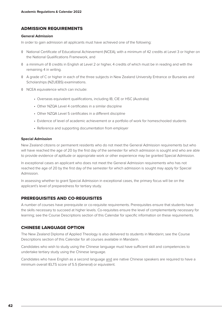#### ADMISSION REQUIREMENTS

#### **General Admission**

In order to gain admission all applicants must have achieved one of the following:

- ◊ National Certificate of Educational Achievement (NCEA), with a minimum of 42 credits at Level 3 or higher on the National Qualifications Framework, and
- ◊ a minimum of 8 credits in English at Level 2 or higher, 4 credits of which must be in reading and with the remaining 4 in writing.
- ◊ A grade of C or higher in each of the three subjects in New Zealand University Entrance or Bursaries and Scholarships (NZUEBS) examinations.
- ◊ NCEA equivalence which can include:
	- Overseas equivalent qualifications, including IB, CIE or HSC (Australia)
	- Other NZQA Level 4 certificates in a similar discipline
	- Other NZQA Level 5 certificates in a different discipline
	- Evidence of level of academic achievement or a portfolio of work for homeschooled students
	- Reference and supporting documentation from employer

#### **Special Admission**

New Zealand citizens or permanent residents who do not meet the General Admission requirements but who will have reached the age of 20 by the first day of the semester for which admission is sought and who are able to provide evidence of aptitude or appropriate work or other experience may be granted Special Admission.

In exceptional cases an applicant who does not meet the General Admission requirements who has not reached the age of 20 by the first day of the semester for which admission is sought may apply for Special Admission.

In assessing whether to grant Special Admission in exceptional cases, the primary focus will be on the applicant's level of preparedness for tertiary study.

#### PREREQUISITES AND CO-REQUISITES

A number of courses have prerequisite or co-requisite requirements. Prerequisites ensure that students have the skills necessary to succeed at higher levels. Co-requisites ensure the level of complementarity necessary for learning; see the Course Descriptions section of this Calendar for specific information on these requirements.

#### CHINESE LANGUAGE OPTION

The New Zealand Diploma of Applied Theology is also delivered to students in Mandarin; see the Course Descriptions section of this Calendar for all courses available in Mandarin.

Candidates who wish to study using the Chinese language must have sufficient skill and competencies to undertake tertiary study using the Chinese language.

Candidates who have English as a second language and are native Chinese speakers are required to have a minimum overall IELTS score of 5.5 (General) or equivalent.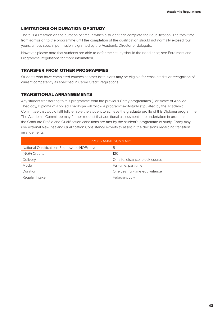#### LIMITATIONS ON DURATION OF STUDY

There is a limitation on the duration of time in which a student can complete their qualification. The total time from admission to the programme until the completion of the qualification should not normally exceed four years, unless special permission is granted by the Academic Director or delegate.

However, please note that students are able to defer their study should the need arise; see Enrolment and Programme Regulations for more information.

#### TRANSFER FROM OTHER PROGRAMMES

Students who have completed courses at other institutions may be eligible for cross-credits or recognition of current competency as specified in Carey Credit Regulations.

#### TRANSITIONAL ARRANGEMENTS

Any student transferring to this programme from the previous Carey programmes (Certificate of Applied Theology, Diploma of Applied Theology) will follow a programme-of-study stipulated by the Academic Committee that would faithfully enable the student to achieve the graduate profile of this Diploma programme. The Academic Committee may further request that additional assessments are undertaken in order that the Graduate Profile and Qualification conditions are met by the student's programme of study. Carey may use external New Zealand Qualification Consistency experts to assist in the decisions regarding transition arrangements.

| PROGRAMME SUMMARY                             |                                 |  |  |
|-----------------------------------------------|---------------------------------|--|--|
| National Qualifications Framework (NQF) Level | 5                               |  |  |
| (NQF) Credits                                 | 120                             |  |  |
| Delivery                                      | On-site, distance, block course |  |  |
| Mode                                          | Full-time, part-time            |  |  |
| Duration                                      | One year full-time equivalence  |  |  |
| Regular Intake                                | February, July                  |  |  |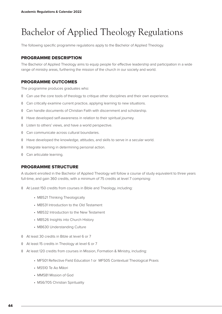# Bachelor of Applied Theology Regulations

The following specific programme regulations apply to the Bachelor of Applied Theology.

#### PROGRAMME DESCRIPTION

The Bachelor of Applied Theology aims to equip people for effective leadership and participation in a wide range of ministry areas, furthering the mission of the church in our society and world.

#### PROGRAMME OUTCOMES

The programme produces graduates who:

- ◊ Can use the core tools of theology to critique other disciplines and their own experience.
- ◊ Can critically examine current practice, applying learning to new situations.
- ◊ Can handle documents of Christian Faith with discernment and scholarship.
- ◊ Have developed self-awareness in relation to their spiritual journey.
- ◊ Listen to others' views, and have a world perspective.
- ◊ Can communicate across cultural boundaries.
- ◊ Have developed the knowledge, attitudes, and skills to serve in a secular world.
- ◊ Integrate learning in determining personal action.
- ◊ Can articulate learning.

#### PROGRAMME STRUCTURE

A student enrolled in the Bachelor of Applied Theology will follow a course of study equivalent to three years full-time, and gain 360 credits, with a minimum of 75 credits at level 7 comprising:

- ◊ At Least 150 credits from courses in Bible and Theology, including:
	- MB521 Thinking Theologically
	- MB531 Introduction to the Old Testament
	- MB532 Introduction to the New Testament
	- MB526 Insights into Church History
	- MB630 Understanding Culture
- ◊ At least 30 credits in Bible at level 6 or 7
- ◊ At least 15 credits in Theology at level 6 or 7
- ◊ At least 120 credits from courses in Mission, Formation & Ministry, including:
	- MF501 Reflective Field Education 1 or MF505 Contextual Theological Praxis
	- MS510 Te Ao Māori
	- MM581 Mission of God
	- MS6/705 Christian Spirituality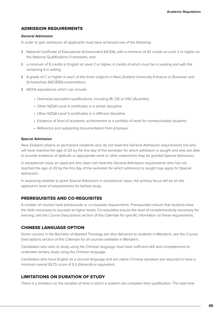#### ADMISSION REQUIREMENTS

#### **General Admission**

In order to gain admission all applicants must have achieved one of the following:

- ◊ National Certificate of Educational Achievement (NCEA), with a minimum of 42 credits at Level 3 or higher on the National Qualifications Framework, and
- ◊ a minimum of 8 credits in English at Level 2 or higher, 4 credits of which must be in reading and with the remaining 4 in writing.
- ◊ A grade of C or higher in each of the three subjects in New Zealand University Entrance or Bursaries and Scholarships (NZUEBS) examinations.
- ◊ NCEA equivalence which can include:
	- Overseas equivalent qualifications, including IB, CIE or HSC (Australia)
	- Other NZQA Level 4 certificates in a similar discipline
	- Other NZQA Level 5 certificates in a different discipline
	- Evidence of level of academic achievement or a portfolio of work for homeschooled students
	- Reference and supporting documentation from employer

#### **Special Admission**

New Zealand citizens or permanent residents who do not meet the General Admission requirements but who will have reached the age of 20 by the first day of the semester for which admission is sought and who are able to provide evidence of aptitude or appropriate work or other experience may be granted Special Admission.

In exceptional cases an applicant who does not meet the General Admission requirements who has not reached the age of 20 by the first day of the semester for which admission is sought may apply for Special Admission.

In assessing whether to grant Special Admission in exceptional cases, the primary focus will be on the applicant's level of preparedness for tertiary study.

#### PREREQUISITES AND CO-REQUISITES

A number of courses have prerequisite or co-requisite requirements. Prerequisites ensure that students have the skills necessary to succeed at higher levels. Co-requisites ensure the level of complementarity necessary for learning; see the Course Descriptions section of this Calendar for specific information on these requirements.

#### CHINESE LANGUAGE OPTION

Some courses in the Bachelor of Applied Theology are also delivered to students in Mandarin; see the Course Descriptions section of this Calendar for all courses available in Mandarin.

Candidates who wish to study using the Chinese language must have sufficient skill and competencies to undertake tertiary study using the Chinese language.

Candidates who have English as a second language and are native Chinese speakers are required to have a minimum overall IELTS score of 5.5 (General) or equivalent.

#### LIMITATIONS ON DURATION OF STUDY

There is a limitation on the duration of time in which a student can complete their qualification. The total time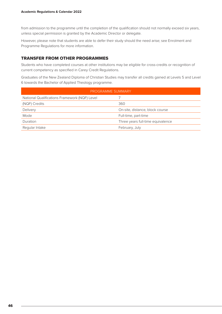from admission to the programme until the completion of the qualification should not normally exceed six years, unless special permission is granted by the Academic Director or delegate.

However, please note that students are able to defer their study should the need arise; see Enrolment and Programme Regulations for more information.

#### TRANSFER FROM OTHER PROGRAMMES

Students who have completed courses at other institutions may be eligible for cross-credits or recognition of current competency as specified in Carey Credit Regulations.

Graduates of the New Zealand Diploma of Christian Studies may transfer all credits gained at Levels 5 and Level 6 towards the Bachelor of Applied Theology programme.

| PROGRAMME SUMMARY                             |                                   |  |  |
|-----------------------------------------------|-----------------------------------|--|--|
| National Qualifications Framework (NQF) Level |                                   |  |  |
| (NQF) Credits                                 | 360                               |  |  |
| Delivery                                      | On-site, distance, block course   |  |  |
| Mode                                          | Full-time, part-time              |  |  |
| Duration                                      | Three years full-time equivalence |  |  |
| Regular Intake                                | February, July                    |  |  |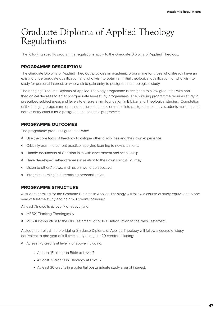## Graduate Diploma of Applied Theology Regulations

The following specific programme regulations apply to the Graduate Diploma of Applied Theology.

#### PROGRAMME DESCRIPTION

The Graduate Diploma of Applied Theology provides an academic programme for those who already have an existing undergraduate qualification and who wish to obtain an initial theological qualification, or who wish to study for personal interest, or who wish to gain entry to postgraduate theological study.

The bridging Graduate Diploma of Applied Theology programme is designed to allow graduates with nontheological degrees to enter postgraduate level study programmes. The bridging programme requires study in prescribed subject areas and levels to ensure a firm foundation in Biblical and Theological studies. Completion of the bridging programme does not ensure automatic entrance into postgraduate study; students must meet all normal entry criteria for a postgraduate academic programme.

#### PROGRAMME OUTCOMES

The programme produces graduates who:

- ◊ Use the core tools of theology to critique other disciplines and their own experience.
- ◊ Critically examine current practice, applying learning to new situations.
- ◊ Handle documents of Christian faith with discernment and scholarship.
- ◊ Have developed self-awareness in relation to their own spiritual journey.
- ◊ Listen to others' views, and have a world perspective.
- ◊ Integrate learning in determining personal action.

#### PROGRAMME STRUCTURE

A student enrolled for the Graduate Diploma in Applied Theology will follow a course of study equivalent to one year of full-time study and gain 120 credits including:

At least 75 credits at level 7 or above, and

- ◊ MB521 Thinking Theologically
- ◊ MB531 Introduction to the Old Testament, or MB532 Introduction to the New Testament.

A student enrolled in the bridging Graduate Diploma of Applied Theology will follow a course of study equivalent to one year of full-time study and gain 120 credits including:

- ◊ At least 75 credits at level 7 or above including:
	- At least 15 credits in Bible at Level 7
	- At least 15 credits in Theology at Level 7
	- At least 30 credits in a potential postgraduate study area of interest.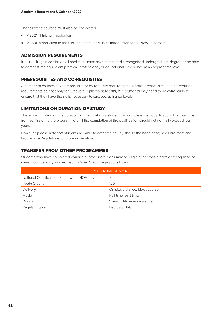The following courses must also be completed

- ◊ MB521 Thinking Theologically
- ◊ MB531 Introduction to the Old Testament, or MB532 Introduction to the New Testament.

#### ADMISSION REQUIREMENTS

In order to gain admission all applicants must have completed a recognised undergraduate degree or be able to demonstrate equivalent practical, professional, or educational experience at an appropriate level.

#### PREREQUISITES AND CO-REQUISITES

A number of courses have prerequisite or co-requisite requirements. Normal prerequisites and co-requisite requirements do not apply for Graduate Diploma students, but students may need to do extra study to ensure that they have the skills necessary to succeed at higher levels.

#### LIMITATIONS ON DURATION OF STUDY

There is a limitation on the duration of time in which a student can complete their qualification. The total time from admission to the programme until the completion of the qualification should not normally exceed four years.

However, please note that students are able to defer their study should the need arise; see Enrolment and Programme Regulations for more information.

#### TRANSFER FROM OTHER PROGRAMMES

Students who have completed courses at other institutions may be eligible for cross-credits or recognition of current competency as specified in Carey Credit Regulations Policy.

| <b>PROGRAMME SUMMARY</b>                      |                                 |  |  |
|-----------------------------------------------|---------------------------------|--|--|
| National Qualifications Framework (NQF) Level |                                 |  |  |
| (NQF) Credits                                 | 120                             |  |  |
| Delivery                                      | On-site, distance, block course |  |  |
| Mode                                          | Full-time, part-time            |  |  |
| Duration                                      | 1 year full-time equivalence    |  |  |
| Regular Intake                                | February, July                  |  |  |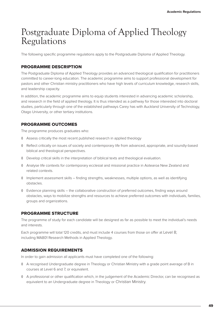## Postgraduate Diploma of Applied Theology Regulations

The following specific programme regulations apply to the Postgraduate Diploma of Applied Theology.

#### PROGRAMME DESCRIPTION

The Postgraduate Diploma of Applied Theology provides an advanced theological qualification for practitioners committed to career-long education. The academic programme aims to support professional development for pastors and other Christian ministry practitioners who have high levels of curriculum knowledge, research skills, and leadership capacity.

In addition, the academic programme aims to equip students interested in advancing academic scholarship, and research in the field of applied theology. It is thus intended as a pathway for those interested into doctoral studies, particularly through one of the established pathways Carey has with Auckland University of Technology, Otago University, or other tertiary institutions.

#### PROGRAMME OUTCOMES

The programme produces graduates who:

- ◊ Assess critically the most recent published research in applied theology
- ◊ Reflect critically on issues of society and contemporary life from advanced, appropriate, and soundly-based biblical and theological perspectives.
- ◊ Develop critical skills in the interpretation of biblical texts and theological evaluation.
- ◊ Analyse life contexts for contemporary ecclesial and missional practice in Aotearoa New Zealand and related contexts.
- ◊ Implement assessment skills finding strengths, weaknesses, multiple options, as well as identifying obstacles.
- ◊ Evidence planning skills the collaborative construction of preferred outcomes, finding ways around obstacles, ways to mobilize strengths and resources to achieve preferred outcomes with individuals, families, groups and organizations.

#### PROGRAMME STRUCTURE

The programme of study for each candidate will be designed as far as possible to meet the individual's needs and interests.

Each programme will total 120 credits, and must include 4 courses from those on offer at Level 8; including MA801 Research Methods in Applied Theology.

#### ADMISSION REQUIREMENTS

In order to gain admission all applicants must have completed one of the following:

- ◊ A recognised Undergraduate degree in Theology or Christian Ministry with a grade point average of B in courses at Level 6 and 7, or equivalent.
- ◊ A professional or other qualification which, in the judgement of the Academic Director, can be recognised as equivalent to an Undergraduate degree in Theology or Christian Ministry.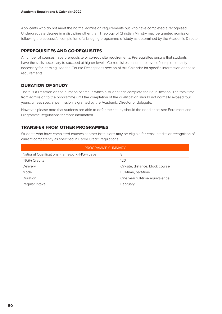Applicants who do not meet the normal admission requirements but who have completed a recognised Undergraduate degree in a discipline other than Theology of Christian Ministry may be granted admission following the successful completion of a bridging programme of study as determined by the Academic Director.

#### PREREQUISITES AND CO-REQUISITES

A number of courses have prerequisite or co-requisite requirements. Prerequisites ensure that students have the skills necessary to succeed at higher levels. Co-requisites ensure the level of complementarity necessary for learning; see the Course Descriptions section of this Calendar for specific information on these requirements.

#### DURATION OF STUDY

There is a limitation on the duration of time in which a student can complete their qualification. The total time from admission to the programme until the completion of the qualification should not normally exceed four years, unless special permission is granted by the Academic Director or delegate.

However, please note that students are able to defer their study should the need arise; see Enrolment and Programme Regulations for more information.

#### TRANSFER FROM OTHER PROGRAMMES

Students who have completed courses at other institutions may be eligible for cross-credits or recognition of current competency as specified in Carey Credit Regulations.

| PROGRAMME SUMMARY                             |                                 |  |  |  |
|-----------------------------------------------|---------------------------------|--|--|--|
| National Qualifications Framework (NQF) Level | 8                               |  |  |  |
| (NQF) Credits                                 | 120                             |  |  |  |
| Delivery                                      | On-site, distance, block course |  |  |  |
| Mode                                          | Full-time, part-time            |  |  |  |
| Duration                                      | One year full-time equivalence  |  |  |  |
| Regular Intake                                | February                        |  |  |  |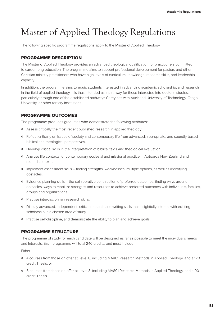# Master of Applied Theology Regulations

The following specific programme regulations apply to the Master of Applied Theology.

#### PROGRAMME DESCRIPTION

The Master of Applied Theology provides an advanced theological qualification for practitioners committed to career-long education. The programme aims to support professional development for pastors and other Christian ministry practitioners who have high levels of curriculum knowledge, research skills, and leadership capacity.

In addition, the programme aims to equip students interested in advancing academic scholarship, and research in the field of applied theology. It is thus intended as a pathway for those interested into doctoral studies, particularly through one of the established pathways Carey has with Auckland University of Technology, Otago University, or other tertiary institutions.

#### PROGRAMME OUTCOMES

The programme produces graduates who demonstrate the following attributes:

- ◊ Assess critically the most recent published research in applied theology
- ◊ Reflect critically on issues of society and contemporary life from advanced, appropriate, and soundly-based biblical and theological perspectives.
- ◊ Develop critical skills in the interpretation of biblical texts and theological evaluation.
- ◊ Analyse life contexts for contemporary ecclesial and missional practice in Aotearoa New Zealand and related contexts.
- ◊ Implement assessment skills finding strengths, weaknesses, multiple options, as well as identifying obstacles.
- ◊ Evidence planning skills the collaborative construction of preferred outcomes, finding ways around obstacles, ways to mobilize strengths and resources to achieve preferred outcomes with individuals, families, groups and organizations.
- ◊ Practise interdisciplinary research skills.
- ◊ Display advanced, independent, critical research and writing skills that insightfully interact with existing scholarship in a chosen area of study.
- ◊ Practise self-discipline, and demonstrate the ability to plan and achieve goals.

#### PROGRAMME STRUCTURE

The programme of study for each candidate will be designed as far as possible to meet the individual's needs and interests. Each programme will total 240 credits, and must include:

Either

- ◊ 4 courses from those on offer at Level 8, including MA801 Research Methods in Applied Theology, and a 120 credit Thesis, or
- ◊ 5 courses from those on offer at Level 8, including MA801 Research Methods in Applied Theology, and a 90 credit Thesis.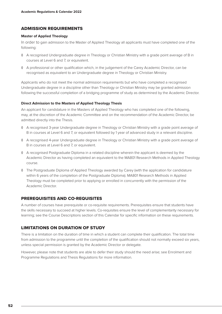#### ADMISSION REQUIREMENTS

#### **Master of Applied Theology**

In order to gain admission to the Master of Applied Theology all applicants must have completed one of the following:

- ◊ A recognised Undergraduate degree in Theology or Christian Ministry with a grade point average of B in courses at Level 6 and 7, or equivalent.
- ◊ A professional or other qualification which, in the judgement of the Carey Academic Director, can be recognised as equivalent to an Undergraduate degree in Theology or Christian Ministry.

Applicants who do not meet the normal admission requirements but who have completed a recognised Undergraduate degree in a discipline other than Theology or Christian Ministry may be granted admission following the successful completion of a bridging programme of study as determined by the Academic Director.

#### **Direct Admission to the Masters of Applied Theology Thesis**

An applicant for candidature in the Masters of Applied Theology who has completed one of the following, may, at the discretion of the Academic Committee and on the recommendation of the Academic Director, be admitted directly into the Thesis.

- ◊ A recognised 3-year Undergraduate degree in Theology or Christian Ministry with a grade point average of B in courses at Level 6 and 7, or equivalent followed by 1 year of advanced study in a relevant discipline.
- ◊ A recognised 4-year Undergraduate degree in Theology or Christian Ministry with a grade point average of B in courses at Level 6 and 7, or equivalent.
- ◊ A recognised Postgraduate Diploma in a related discipline wherein the applicant is deemed by the Academic Director as having completed an equivalent to the MA801 Research Methods in Applied Theology course.
- ◊ The Postgraduate Diploma of Applied Theology awarded by Carey (with the application for candidature within 6 years of the completion of the Postgraduate Diploma). MA801 Research Methods in Applied Theology must be completed prior to applying or enrolled in concurrently with the permission of the Academic Director.

#### PREREQUISITES AND CO-REQUISITES

A number of courses have prerequisite or co-requisite requirements. Prerequisites ensure that students have the skills necessary to succeed at higher levels. Co-requisites ensure the level of complementarity necessary for learning; see the Course Descriptions section of this Calendar for specific information on these requirements.

#### LIMITATIONS ON DURATION OF STUDY

There is a limitation on the duration of time in which a student can complete their qualification. The total time from admission to the programme until the completion of the qualification should not normally exceed six years, unless special permission is granted by the Academic Director or delegate.

However, please note that students are able to defer their study should the need arise; see Enrolment and Programme Regulations and Thesis Regulations for more information.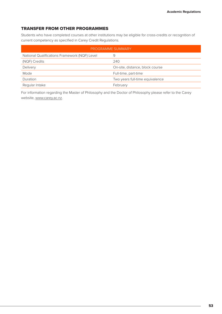#### TRANSFER FROM OTHER PROGRAMMES

Students who have completed courses at other institutions may be eligible for cross-credits or recognition of current competency as specified in Carey Credit Regulations.

| PROGRAMME SUMMARY                             |                                 |  |  |
|-----------------------------------------------|---------------------------------|--|--|
| National Qualifications Framework (NQF) Level | 9                               |  |  |
| (NQF) Credits                                 | 240                             |  |  |
| Delivery                                      | On-site, distance, block course |  |  |
| Mode                                          | Full-time, part-time            |  |  |
| Duration                                      | Two years full-time equivalence |  |  |
| Regular Intake                                | February                        |  |  |

For information regarding the Master of Philosophy and the Doctor of Philosophy please refer to the Carey website, www.carey.ac.nz.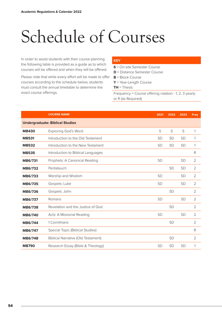# Schedule of Courses

In order to assist students with their course planning the following table is provided as a guide as to which courses will be offered and when they will be offered.

Please note that while every effort will be made to offer courses according to the schedule below, students must consult the annual timetable to determine the exact course offerings.

#### **KEY**

**S** = On-site Semester Course

- **D** = Distance Semester Course
- **B** = Block Course
- **Y** = Year-Length Course

**TH** = Thesis

Frequency = Course offering rotation - 1, 2, 3 yearly or R (as Required)

|                | <b>COURSE NAME</b>                        | 2021      | 2022      | 2023      | <b>Freq</b>    |  |  |
|----------------|-------------------------------------------|-----------|-----------|-----------|----------------|--|--|
|                | <b>Undergraduate: Biblical Studies</b>    |           |           |           |                |  |  |
| <b>MB430</b>   | <b>Exploring God's Word</b>               | S         | S         | S         | 1              |  |  |
| <b>MB531</b>   | Introduction to the Old Testament         | <b>SD</b> | <b>SD</b> | <b>SD</b> | 1              |  |  |
| <b>MB532</b>   | Introduction to the New Testament         | <b>SD</b> | <b>SD</b> | <b>SD</b> | 1              |  |  |
| <b>MB535</b>   | Introduction to Biblical Languages        |           |           |           | R              |  |  |
| <b>MB6/731</b> | Prophets: A Canonical Reading             | <b>SD</b> |           | <b>SD</b> | $\overline{2}$ |  |  |
| <b>MB6/732</b> | Pentateuch                                |           | <b>SD</b> | <b>SD</b> | $\overline{2}$ |  |  |
| MB6/733        | Worship and Wisdom                        | <b>SD</b> |           | <b>SD</b> | $\overline{2}$ |  |  |
| <b>MB6/735</b> | Gospels: Luke                             | <b>SD</b> |           | <b>SD</b> | 2              |  |  |
| <b>MB6/736</b> | Gospels: John                             |           | <b>SD</b> |           | 2              |  |  |
| <b>MB6/737</b> | Romans                                    | <b>SD</b> |           | <b>SD</b> | $\overline{2}$ |  |  |
| <b>MB6/738</b> | Revelation and the Justice of God         |           | <b>SD</b> |           | $\overline{2}$ |  |  |
| <b>MB6/740</b> | Acts: A Missional Reading                 | <b>SD</b> |           | <b>SD</b> | $\overline{2}$ |  |  |
| MB6/744        | 1 Corinthians                             |           | <b>SD</b> |           | $\overline{2}$ |  |  |
| <b>MB6/747</b> | Special Topic (Biblical Studies)          |           |           |           | R              |  |  |
| <b>MB6/748</b> | <b>Biblical Narrative (Old Testament)</b> |           | <b>SD</b> |           | $\overline{2}$ |  |  |
| <b>MB790</b>   | Research Essay (Bible & Theology)         | <b>SD</b> | <b>SD</b> | <b>SD</b> | 1              |  |  |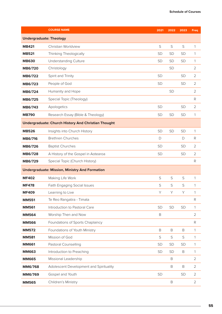|                                | <b>COURSE NAME</b>                                         | 2021         | 2022        | 2023        | <b>Freq</b>        |  |
|--------------------------------|------------------------------------------------------------|--------------|-------------|-------------|--------------------|--|
| <b>Undergraduate: Theology</b> |                                                            |              |             |             |                    |  |
| <b>MB421</b>                   | Christian Worldview                                        | S            | S           | S           | $\mathbf{1}$       |  |
| <b>MB521</b>                   | Thinking Theologically                                     | SD           | <b>SD</b>   | SD          | 1                  |  |
| <b>MB630</b>                   | <b>Understanding Culture</b>                               | <b>SD</b>    | <b>SD</b>   | <b>SD</b>   | 1                  |  |
| <b>MB6/720</b>                 | Christology                                                |              | SD          |             | $\overline{2}$     |  |
| <b>MB6/722</b>                 | Spirit and Trinity                                         | <b>SD</b>    |             | SD          | $\overline{2}$     |  |
| MB6/723                        | People of God                                              | SD           |             | SD          | $\overline{2}$     |  |
| <b>MB6/724</b>                 | Humanity and Hope                                          |              | <b>SD</b>   |             | $\overline{2}$     |  |
| MB6/725                        | Special Topic (Theology)                                   |              |             |             | R                  |  |
| MB6/743                        | Apologetics                                                | SD           |             | SD          | $\overline{2}$     |  |
| <b>MB790</b>                   | Research Essay (Bible & Theology)                          | <b>SD</b>    | SD          | <b>SD</b>   | 1                  |  |
|                                | <b>Undergraduate: Church History And Christian Thought</b> |              |             |             |                    |  |
| <b>MB526</b>                   | Insights into Church History                               | SD           | <b>SD</b>   | SD          | 1                  |  |
| <b>MB6/716</b>                 | <b>Brethren Churches</b>                                   | $\mathsf{D}$ |             | D           | R                  |  |
| <b>MB6/726</b>                 | <b>Baptist Churches</b>                                    | <b>SD</b>    |             | <b>SD</b>   | $\overline{2}$     |  |
| MB6/728                        | A History of the Gospel in Aotearoa                        | SD           |             | SD          | $\overline{2}$     |  |
| MB6/729                        | Special Topic (Church History)                             |              |             |             | $\mathsf{R}% _{T}$ |  |
|                                | <b>Undergraduate: Mission, Ministry And Formation</b>      |              |             |             |                    |  |
| <b>MF402</b>                   | Making Life Work                                           | S            | S           | S           | 1                  |  |
| <b>MF478</b>                   | <b>Faith Engaging Social Issues</b>                        | S            | $\mathsf S$ | S           | 1                  |  |
| <b>MF409</b>                   | Learning to Live                                           | Y            | Y           | Y           | 1                  |  |
| <b>MM551</b>                   | Te Reo Rangatira - Timata                                  |              |             |             | R                  |  |
| <b>MM561</b>                   | Introduction to Pastoral Care                              | SD           | SD          | SD          | 1                  |  |
| <b>MM564</b>                   | Worship Then and Now                                       | $\mathsf B$  |             |             | $\overline{2}$     |  |
| <b>MM566</b>                   | Foundations of Sports Chaplaincy                           |              |             |             | ${\sf R}$          |  |
| <b>MM572</b>                   | Foundations of Youth Ministry                              | $\mathsf B$  | $\mathsf B$ | $\mathsf B$ | $\mathbf{1}$       |  |
| <b>MM581</b>                   | Mission of God                                             | S            | S           | $\mathsf S$ | 1                  |  |
| <b>MM661</b>                   | Pastoral Counselling                                       | SD           | SD          | SD          | 1                  |  |
| <b>MM663</b>                   | Introduction to Preaching                                  | SD           | SD          | B           | 1                  |  |
| <b>MM665</b>                   | Missional Leadership                                       |              | B           |             | $\overline{2}$     |  |
| MM6/768                        | Adolescent Development and Spirituality                    |              | $\mathsf B$ | $\mathsf B$ | $\overline{2}$     |  |
| MM6/769                        | Gospel and Youth                                           | SD           |             | SD          | $\overline{2}$     |  |
| <b>MM565</b>                   | Children's Ministry                                        |              | $\mathsf B$ |             | $\overline{2}$     |  |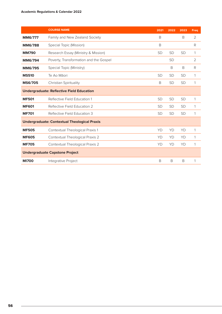|                | <b>COURSE NAME</b>                                  | 2021      | 2022      | 2023      | Freq           |
|----------------|-----------------------------------------------------|-----------|-----------|-----------|----------------|
| <b>MM6/777</b> | Family and New Zealand Society                      | B         |           | B         | 2              |
| <b>MM6/788</b> | Special Topic (Mission)                             | B         |           |           | R              |
| <b>MM790</b>   | Research Essay (Ministry & Mission)                 | <b>SD</b> | <b>SD</b> | <b>SD</b> | 1              |
| <b>MM6/794</b> | Poverty, Transformation and the Gospel              |           | <b>SD</b> |           | $\overline{2}$ |
| <b>MM6/795</b> | Special Topic (Ministry)                            |           | B         | B         | R              |
| <b>MS510</b>   | Te Ao Māori                                         | <b>SD</b> | <b>SD</b> | <b>SD</b> | 1              |
| <b>MS6/705</b> | Christian Spirituality                              | B         | <b>SD</b> | <b>SD</b> | 1              |
|                | <b>Undergraduate: Reflective Field Education</b>    |           |           |           |                |
| <b>MF501</b>   | Reflective Field Education 1                        | <b>SD</b> | <b>SD</b> | <b>SD</b> | 1              |
| <b>MF601</b>   | Reflective Field Education 2                        | <b>SD</b> | <b>SD</b> | <b>SD</b> | 1              |
| <b>MF701</b>   | Reflective Field Education 3                        | <b>SD</b> | <b>SD</b> | <b>SD</b> | 1              |
|                | <b>Undergraduate: Contextual Theological Praxis</b> |           |           |           |                |
| <b>MF505</b>   | Contextual Theological Praxis 1                     | YD        | YD        | YD        | 1              |
| <b>MF605</b>   | Contextual Theological Praxis 2                     | YD        | YD        | YD        | 1              |
| <b>MF705</b>   | Contextual Theological Praxis 2                     | YD        | YD        | YD        | 1              |
|                | <b>Undergraduate Capstone Project</b>               |           |           |           |                |
| <b>MI700</b>   | Integrative Project                                 | B         | B         | B         | 1              |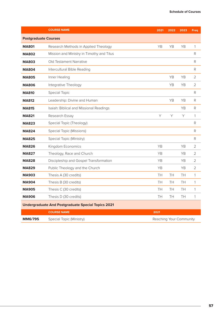|                             | <b>COURSE NAME</b>                                        | 2021                    | 2022 | 2023      | <b>Freq</b>    |
|-----------------------------|-----------------------------------------------------------|-------------------------|------|-----------|----------------|
| <b>Postgraduate Courses</b> |                                                           |                         |      |           |                |
| <b>MA801</b>                | Research Methods in Applied Theology                      | YB                      | YB   | YB        | 1              |
| <b>MA802</b>                | Mission and Ministry in Timothy and Titus                 |                         |      |           | R              |
| <b>MA803</b>                | Old Testament Narrative                                   |                         |      |           | R              |
| <b>MA804</b>                | Intercultural Bible Reading                               |                         |      |           | R              |
| <b>MA805</b>                | Inner Healing                                             |                         | YB   | YB        | 2              |
| <b>MA806</b>                | Integrative Theology                                      |                         | YB   | YB        | $\overline{2}$ |
| <b>MA810</b>                | <b>Special Topic</b>                                      |                         |      |           | R              |
| <b>MA812</b>                | Leadership: Divine and Human                              |                         | YB   | YB        | R              |
| <b>MA815</b>                | Isaiah: Biblical and Missional Readings                   |                         |      | <b>YB</b> | R              |
| <b>MA821</b>                | Research Essay                                            | Y                       | Υ    | Y         | 1              |
| <b>MA823</b>                | Special Topic (Theology)                                  |                         |      |           | R              |
| <b>MA824</b>                | <b>Special Topic (Missions)</b>                           |                         |      |           | R              |
| <b>MA825</b>                | Special Topic (Ministry)                                  |                         |      |           | R              |
| <b>MA826</b>                | Kingdom Economics                                         | YB                      |      | YB        | $\overline{2}$ |
| <b>MA827</b>                | Theology, Race and Church                                 | YB                      |      | YB        | $\overline{2}$ |
| <b>MA828</b>                | Discipleship and Gospel Transformation                    | YB                      |      | <b>YB</b> | 2              |
| <b>MA829</b>                | Public Theology and the Church                            | <b>YB</b>               |      | <b>YB</b> | 2              |
| <b>MA903</b>                | Thesis A (30 credits)                                     | TН                      | TH   | TH        | 1              |
| <b>MA904</b>                | Thesis B (30 credits)                                     | TH                      | TH   | TH        | 1              |
| <b>MA905</b>                | Thesis C (30 credits)                                     | TH                      | TН   | TН        | 1              |
| <b>MA906</b>                | Thesis D (30 credits)                                     | TH                      | TH   | TН        | 1              |
|                             | <b>Undergraduate And Postgraduate Special Topics 2021</b> |                         |      |           |                |
|                             | <b>COURSE NAME</b>                                        | 2021                    |      |           |                |
| MM6/795                     | Special Topic (Ministry)                                  | Reaching Your Community |      |           |                |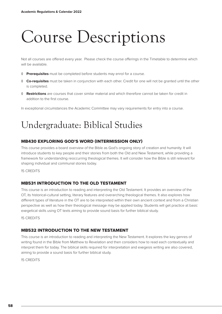# Course Descriptions

Not all courses are offered every year. Please check the course offerings in the Timetable to determine which will be available.

- ◊ **Prerequisites** must be completed before students may enrol for a course.
- ◊ **Co-requisites** must be taken in conjunction with each other. Credit for one will not be granted until the other is completed.
- ◊ **Restrictions** are courses that cover similar material and which therefore cannot be taken for credit in addition to the first course.

In exceptional circumstances the Academic Committee may vary requirements for entry into a course.

# Undergraduate: Biblical Studies

#### MB430 EXPLORING GOD'S WORD (INTERMISSION ONLY)

This course provides a board overview of the Bible as God's ongoing story of creation and humanity. It will introduce students to key people and their stories from both the Old and New Testament, while providing a framework for understanding reoccurring theological themes. It will consider how the Bible is still relevant for shaping individual and communal stories today.

15 CREDITS

#### MB531 INTRODUCTION TO THE OLD TESTAMENT

This course is an introduction to reading and interpreting the Old Testament. It provides an overview of the OT, its historical-cultural setting, literary features and overarching theological themes. It also explores how different types of literature in the OT are to be interpreted within their own ancient context and from a Christian perspective as well as how their theological message may be applied today. Students will get practice at basic exegetical skills using OT texts aiming to provide sound basis for further biblical study.

15 CREDITS

#### MB532 INTRODUCTION TO THE NEW TESTAMENT

This course is an introduction to reading and interpreting the New Testament. It explores the key genres of writing found in the Bible from Matthew to Revelation and then considers how to read each contextually and interpret them for today. The biblical skills required for interpretation and exegesis writing are also covered, aiming to provide a sound basis for further biblical study.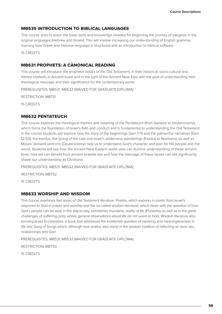#### MB535 INTRODUCTION TO BIBLICAL LANGUAGES

This course aims to teach the basic skills and knowledge needed for beginning the journey of exegesis in the original languages (Hebrew and Greek). This will involve increasing our understanding of English grammar, learning how Greek and Hebrew language is structured and an introduction to biblical software.

15 CREDITS

#### MB631 PROPHETS: A CANONICAL READING

This course will introduce the prophetic books of the Old Testament, in their historical, socio-cultural and literary contexts in Ancient Israel and in the light of the Ancient Near East with the goal of understanding their theological message and their significance for the contemporary world.

PREREQUISITES: MB531, MB532 (WAIVED FOR GRADUATE DIPLOMA)

RESTRICTION: MB731

15 CREDITS

#### MB632 PENTATEUCH

This course explores the theological themes and meaning of the Pentateuch (from Genesis to Deuteronomy), which forms the foundation of Israel's faith and conduct and is fundamental to understanding the Old Testament. In the course students will explore how the story of the beginnings (Gen 1-11) and the patriarchal narratives (Gen 12-50), the exodus, the giving of the Law and Israel's wilderness wanderings (Exodus to Numbers), as well as Moses' farewell sermons (Deuteronomy) help us to understand God's character and plan for His people and the world. Students will see how the ancient Near Eastern world view can illumine understanding of these ancient texts, how we can benefit from ancient Israelite law and how the message of these books can still significantly shape our understanding as Christians.

PREREQUISITES: MB531, MB532 (WAIVED FOR GRADUATE DIPLOMA)

RESTRICTION: MB732

15 CREDITS

#### MB633 WORSHIP AND WISDOM

This course examines two areas of Old Testament literature: Psalms, which express in poetic form Israel's response to God in prayer and worship and the so-called wisdom literature, which deals with the question of how God's people can be wise in the day-to-day, sometimes mundane, reality of life (Proverbs) as well as in the great challenges of suffering (Job), where general observations about life do not seem to hold. Wisdom literature also encompasses Ecclesiastes, a book that addresses the existential question of meaning and meaninglessness in life and Song of Songs which, although love poetry, also stand in the wisdom tradition of reflecting on love, sex, relationships and God.

PREREQUISITES: MB531, MB532 (WAIVED FOR GRADUATE DIPLOMA)

RESTRICTION: MB733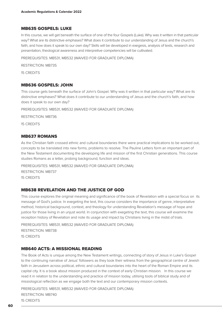#### MB635 GOSPELS: LUKE

In this course, we will get beneath the surface of one of the four Gospels (Luke). Why was it written in that particular way? What are its distinctive emphases? What does it contribute to our understanding of Jesus and the church's faith, and how does it speak to our own day? Skills will be developed in exegesis, analysis of texts, research and presentation, theological awareness and interpretive competencies will be cultivated.

PREREQUISITES: MB531, MB532 (WAIVED FOR GRADUATE DIPLOMA)

RESTRICTION: MB735

15 CREDITS

#### MB636 GOSPELS: JOHN

This course gets beneath the surface of John's Gospel. Why was it written in that particular way? What are its distinctive emphases? What does it contribute to our understanding of Jesus and the church's faith, and how does it speak to our own day?

PREREQUISITES: MB531, MB532 (WAIVED FOR GRADUATE DIPLOMA)

RESTRICTION: MB736

15 CREDITS

#### MB637 ROMANS

As the Christian faith crossed ethnic and cultural boundaries there were practical implications to be worked out, concepts to be translated into new forms, problems to resolve. The Pauline Letters form an important part of the New Testament documenting the developing life and mission of the first Christian generations. This course studies Romans as a letter, probing background, function and ideas.

PREREQUISITES: MB531, MB532 (WAIVED FOR GRADUATE DIPLOMA) RESTRICTION: MB737 15 CREDITS

#### MB638 REVELATION AND THE JUSTICE OF GOD

This course explores the original meaning and significance of the book of Revelation with a special focus on its message of God's justice. In exegeting the text, this course considers the importance of genre, interpretative method, historical background, context, and theology for understanding Revelation's message of hope and justice for those living in an unjust world. In conjunction with exegeting the text, this course will examine the reception history of Revelation and note its usage and impact by Christians living in the midst of trials.

PREREQUISITES: MB531, MB532 (WAIVED FOR GRADUATE DIPLOMA) RESTRICTION: MB738 15 CREDITS

#### MB640 ACTS: A MISSIONAL READING

The Book of Acts is unique among the New Testament writings, connecting of story of Jesus in Luke's Gospel to the continuing narrative of Jesus' followers as they took their witness from the geographical centre of Jewish faith in Jerusalem across political, ethnic and cultural boundaries into the heart of the Roman Empire and its capital city. It is a book about mission produced in the context of early Christian mission. In this course we read it in relation to the understanding and practice of mission today, utilising tools of biblical study and of missiological reflection as we engage both the text and our contemporary mission contexts.

PREREQUISITES: MB531, MB532 (WAIVED FOR GRADUATE DIPLOMA) RESTRICTION: MB740 15 CREDITS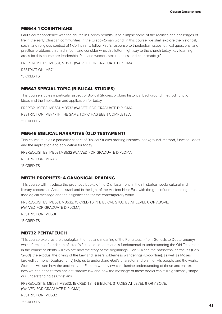#### MB644 1 CORINTHIANS

Paul's correspondence with the church in Corinth permits us to glimpse some of the realities and challenges of life in the early Christian communities in the Greco-Roman world. In this course, we shall explore the historical, social and religious context of 1 Corinthians, follow Paul's response to theological issues, ethical questions, and practical problems that had arisen, and consider what this letter might say to the church today. Key learning areas for this course are leadership, Paul and women, sexual ethics, and charismatic gifts.

PREREQUISITES: MB531, MB532 (WAIVED FOR GRADUATE DIPLOMA) RESTRICTION: MB744 15 CREDITS

#### MB647 SPECIAL TOPIC (BIBLICAL STUDIES)

This course studies a particular aspect of Biblical Studies, probing historical background, method, function, ideas and the implication and application for today.

PREREQUISITES: MB531, MB532 (WAIVED FOR GRADUATE DIPLOMA)

RESTRICTION: MB747 IF THE SAME TOPIC HAS BEEN COMPLETED.

15 CREDITS

#### MB648 BIBLICAL NARRATIVE (OLD TESTAMENT)

This course studies a particular aspect of Biblical Studies probing historical background, method, function, ideas and the implication and application for today.

PREREQUISITES: MB531,MB532 (WAIVED FOR GRADUATE DIPLOMA)

RESTRICTION: MB748

15 CREDITS

#### MB731 PROPHETS: A CANONICAL READING

This course will introduce the prophetic books of the Old Testament, in their historical, socio-cultural and literary contexts in Ancient Israel and in the light of the Ancient Near East with the goal of understanding their theological message and their significance for the contemporary world.

PREREQUISITES: MB531, MB532, 15 CREDITS IN BIBLICAL STUDIES AT LEVEL 6 OR ABOVE. (WAIVED FOR GRADUATE DIPLOMA)

RESTRICTION: MB631

15 CREDITS

#### MB732 PENTATEUCH

This course explores the theological themes and meaning of the Pentateuch (from Genesis to Deuteronomy), which forms the foundation of Israel's faith and conduct and is fundamental to understanding the Old Testament. In the course students will explore how the story of the beginnings (Gen 1-11) and the patriarchal narratives (Gen 12-50), the exodus, the giving of the Law and Israel's wilderness wanderings (Exod-Num), as well as Moses' farewell sermons (Deuteronomy) help us to understand God's character and plan for His people and the world. Students will see how the ancient Near Eastern world view can illumine understanding of these ancient texts, how we can benefit from ancient Israelite law and how the message of these books can still significantly shape our understanding as Christians.

PREREQUISITE: MB531, MB532, 15 CREDITS IN BIBLICAL STUDIES AT LEVEL 6 OR ABOVE. (WAIVED FOR GRADUATE DIPLOMA)

RESTRICTION: MB632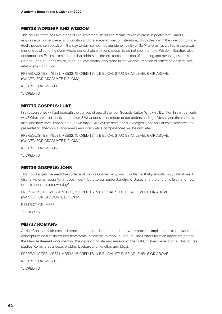#### MB733 WORSHIP AND WISDOM

This course examines two areas of Old Testament literature: Psalms, which express in poetic form Israel's response to God in prayer and worship and the so-called wisdom literature, which deals with the question of how God's people can be wise in the day-to-day, sometimes mundane, reality of life (Proverbs) as well as in the great challenges of suffering (Job), where general observations about life do not seem to hold. Wisdom literature also encompasses Ecclesiastes, a book that addresses the existential question of meaning and meaninglessness in life and Song of Songs which, although love poetry, also stand in the wisdom tradition of reflecting on love, sex, relationships and God.

PREREQUISITES: MB531, MB532, 15 CREDITS IN BIBLICAL STUDIES AT LEVEL 6 OR ABOVE. (WAIVED FOR GRADUATE DIPLOMA)

RESTRICTION: MB633

15 CREDITS

#### MB735 GOSPELS: LUKE

In this course we will get beneath the surface of one of the four Gospels (Luke). Why was it written in that particular way? What are its distinctive emphases? What does it contribute to our understanding of Jesus and the church's faith, and how does it speak to our own day? Skills will be developed in exegesis, analysis of texts, research and presentation, theological awareness and interpretive competencies will be cultivated.

PREREQUISITES: MB531, MB532, 15 CREDITS IN BIBLICAL STUDIES AT LEVEL 6 OR ABOVE. (WAIVED FOR GRADUATE DIPLOMA)

RESTRICTION: MB635

15 CREDITS

#### MB736 GOSPELS: JOHN

This course gets beneath the surface of John's Gospel. Why was it written in that particular way? What are its distinctive emphases? What does it contribute to our understanding of Jesus and the church's faith, and how does it speak to our own day?

PREREQUISITES: MB531, MB532, 15 CREDITS IN BIBLICAL STUDIES AT LEVEL 6 OR ABOVE. (WAIVED FOR GRADUATE DIPLOMA)

RESTRICTION: M636

15 CREDITS

#### MB737 ROMANS

As the Christian faith crossed ethnic and cultural boundaries there were practical implications to be worked out, concepts to be translated into new forms, problems to resolve. The Pauline Letters form an important part of the New Testament documenting the developing life and mission of the first Christian generations. This course studies Romans as a letter, probing background, function and ideas.

PREREQUISITES: MB531, MB532, 15 CREDITS IN BIBLICAL STUDIES AT LEVEL 6 OR ABOVE

RESTRICTION: MB637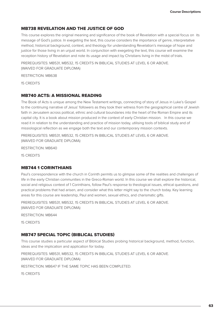#### MB738 REVELATION AND THE JUSTICE OF GOD

This course explores the original meaning and significance of the book of Revelation with a special focus on its message of God's justice. In exegeting the text, this course considers the importance of genre, interpretative method, historical background, context, and theology for understanding Revelation's message of hope and justice for those living in an unjust world. In conjunction with exegeting the text, this course will examine the reception history of Revelation and note its usage and impact by Christians living in the midst of trials.

PREREQUISITES: MB531, MB532, 15 CREDITS IN BIBLICAL STUDIES AT LEVEL 6 OR ABOVE. (WAIVED FOR GRADUATE DIPLOMA)

RESTRICTION: MB638

15 CREDITS

#### MB740 ACTS: A MISSIONAL READING

The Book of Acts is unique among the New Testament writings, connecting of story of Jesus in Luke's Gospel to the continuing narrative of Jesus' followers as they took their witness from the geographical centre of Jewish faith in Jerusalem across political, ethnic and cultural boundaries into the heart of the Roman Empire and its capital city. It is a book about mission produced in the context of early Christian mission. In this course we read it in relation to the understanding and practice of mission today, utilising tools of biblical study and of missiological reflection as we engage both the text and our contemporary mission contexts.

PREREQUISITES: MB531, MB532, 15 CREDITS IN BIBLICAL STUDIES AT LEVEL 6 OR ABOVE. (WAIVED FOR GRADUATE DIPLOMA)

RESTRICTION: MB640

15 CREDITS

#### MB744 1 CORINTHIANS

Paul's correspondence with the church in Corinth permits us to glimpse some of the realities and challenges of life in the early Christian communities in the Greco-Roman world. In this course we shall explore the historical, social and religious context of 1 Corinthians, follow Paul's response to theological issues, ethical questions, and practical problems that had arisen, and consider what this letter might say to the church today. Key learning areas for this course are leadership, Paul and women, sexual ethics, and charismatic gifts.

PREREQUISITES: MB531, MB532, 15 CREDITS IN BIBLICAL STUDIES AT LEVEL 6 OR ABOVE. (WAIVED FOR GRADUATE DIPLOMA)

RESTRICTION: MB644

15 CREDITS

#### MB747 SPECIAL TOPIC (BIBLICAL STUDIES)

This course studies a particular aspect of Biblical Studies probing historical background, method, function, ideas and the implication and application for today.

PREREQUISITES: MB531, MB532, 15 CREDITS IN BIBLICAL STUDIES AT LEVEL 6 OR ABOVE. (WAIVED FOR GRADUATE DIPLOMA)

RESTRICTION: MB647 IF THE SAME TOPIC HAS BEEN COMPLETED.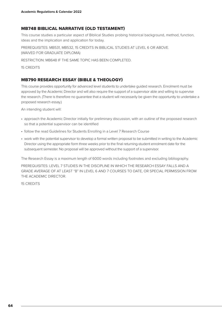#### MB748 BIBLICAL NARRATIVE (OLD TESTAMENT)

This course studies a particular aspect of Biblical Studies probing historical background, method, function, ideas and the implication and application for today.

PREREQUISITES: MB531, MB532, 15 CREDITS IN BIBLICAL STUDIES AT LEVEL 6 OR ABOVE. (WAIVED FOR GRADUATE DIPLOMA)

RESTRICTION: MB648 IF THE SAME TOPIC HAS BEEN COMPLETED.

15 CREDITS

#### MB790 RESEARCH ESSAY (BIBLE & THEOLOGY)

This course provides opportunity for advanced level students to undertake guided research. Enrolment must be approved by the Academic Director and will also require the support of a supervisor able and willing to supervise the research. (There is therefore no guarantee that a student will necessarily be given the opportunity to undertake a proposed research essay.)

An intending student will:

- approach the Academic Director initially for preliminary discussion, with an outline of the proposed research so that a potential supervisor can be identified
- follow the read Guidelines for Students Enrolling in a Level 7 Research Course
- work with the potential supervisor to develop a formal written proposal to be submitted in writing to the Academic Director using the appropriate form three weeks prior to the final returning-student enrolment date for the subsequent semester. No proposal will be approved without the support of a supervisor.

The Research Essay is a maximum length of 6000 words including footnotes and excluding bibliography.

PREREQUISITES: LEVEL 7 STUDIES IN THE DISCIPLINE IN WHICH THE RESEARCH ESSAY FALLS AND A GRADE AVERAGE OF AT LEAST "B" IN LEVEL 6 AND 7 COURSES TO DATE, OR SPECIAL PERMISSION FROM THE ACADEMIC DIRECTOR.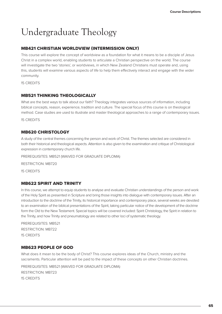# Undergraduate Theology

#### MB421 CHRISTIAN WORLDVIEW (INTERMISSION ONLY)

This course will explore the concept of worldview as a foundation for what it means to be a disciple of Jesus Christ in a complex world, enabling students to articulate a Christian perspective on the world. The course will investigate the two 'stories', or worldviews, in which New Zealand Christians must operate and, using this, students will examine various aspects of life to help them effectively interact and engage with the wider community.

15 CREDITS

#### MB521 THINKING THEOLOGICALLY

What are the best ways to talk about our faith? Theology integrates various sources of information, including biblical concepts, reason, experience, tradition and culture. The special focus of this course is on theological method. Case studies are used to illustrate and master theological approaches to a range of contemporary issues.

15 CREDITS

#### MB620 CHRISTOLOGY

A study of the central themes concerning the person and work of Christ. The themes selected are considered in both their historical and theological aspects. Attention is also given to the examination and critique of Christological expression in contemporary church life.

PREREQUISITES: MB521 (WAIVED FOR GRADUATE DIPLOMA)

RESTRICTION: MB720

15 CREDITS

#### MB622 SPIRIT AND TRINITY

In this course, we attempt to equip students to analyse and evaluate Christian understandings of the person and work of the Holy Spirit as presented in Scripture and bring those insights into dialogue with contemporary issues. After an introduction to the doctrine of the Trinity, its historical importance and contemporary place, several weeks are devoted to an examination of the biblical presentations of the Spirit, taking particular notice of the development of the doctrine form the Old to the New Testament. Special topics will be covered included: Spirit Christology, the Spirit in relation to the Trinity, and how Trinity and pneumatology are related to other loci of systematic theology.

PREREQUISITES: MB521 RESTRICTION: MB722 15 CREDITS

#### MB623 PEOPLE OF GOD

What does it mean to be the body of Christ? This course explores ideas of the Church, ministry and the sacraments. Particular attention will be paid to the impact of these concepts on other Christian doctrines.

PREREQUISITES: MB521 (WAIVED FOR GRADUATE DIPLOMA) RESTRICTION: MB723 15 CREDITS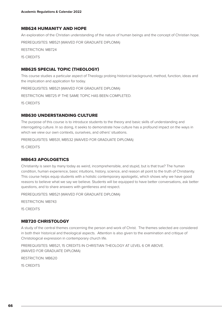#### MB624 HUMANITY AND HOPE

An exploration of the Christian understanding of the nature of human beings and the concept of Christian hope. PREREQUISITES: MB521 (WAIVED FOR GRADUATE DIPLOMA) RESTRICTION: MB724 15 CREDITS

#### MB625 SPECIAL TOPIC (THEOLOGY)

This course studies a particular aspect of Theology probing historical background, method, function, ideas and the implication and application for today.

PREREQUISITES: MB521 (WAIVED FOR GRADUATE DIPLOMA)

RESTRICTION: MB725 IF THE SAME TOPIC HAS BEEN COMPLETED.

15 CREDITS

#### MB630 UNDERSTANDING CULTURE

The purpose of this course is to introduce students to the theory and basic skills of understanding and interrogating culture. In so doing, it seeks to demonstrate how culture has a profound impact on the ways in which we view our own contexts, ourselves, and others' situations.

PREREQUISITES: MB531, MB532 (WAIVED FOR GRADUATE DIPLOMA)

15 CREDITS

#### MB643 APOLOGETICS

Christianity is seen by many today as weird, incomprehensible, and stupid, but is that true? The human condition, human experience, basic intuitions, history, science, and reason all point to the truth of Christianity. This course helps equip students with a holistic contemporary apologetic, which shows why we have good reasons to believe what we say we believe. Students will be equipped to have better conversations, ask better questions, and to share answers with gentleness and respect.

PREREQUISITES: MB521 (WAIVED FOR GRADUATE DIPLOMA)

RESTRICTION: MB743

15 CREDITS

#### MB720 CHRISTOLOGY

A study of the central themes concerning the person and work of Christ. The themes selected are considered in both their historical and theological aspects. Attention is also given to the examination and critique of Christological expression in contemporary church life.

PREREQUISITES: MB521, 15 CREDITS IN CHRISTIAN THEOLOGY AT LEVEL 6 OR ABOVE. (WAIVED FOR GRADUATE DIPLOMA)

RESTRICTION: MB620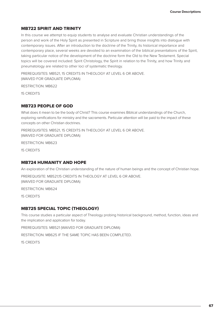#### MB722 SPIRIT AND TRINITY

In this course we attempt to equip students to analyse and evaluate Christian understandings of the person and work of the Holy Spirit as presented in Scripture and bring those insights into dialogue with contemporary issues. After an introduction to the doctrine of the Trinity, its historical importance and contemporary place, several weeks are devoted to an examination of the biblical presentations of the Spirit, taking particular notice of the development of the doctrine form the Old to the New Testament. Special topics will be covered included: Spirit Christology, the Spirit in relation to the Trinity, and how Trinity and pneumatology are related to other loci of systematic theology.

PREREQUISITES: MB521, 15 CREDITS IN THEOLOGY AT LEVEL 6 OR ABOVE. (WAIVED FOR GRADUATE DIPLOMA)

RESTRICTION: MB622

15 CREDITS

#### MB723 PEOPLE OF GOD

What does it mean to be the body of Christ? This course examines Biblical understandings of the Church, exploring ramifications for ministry and the sacraments. Particular attention will be paid to the impact of these concepts on other Christian doctrines.

PREREQUISITES: MB521, 15 CREDITS IN THEOLOGY AT LEVEL 6 OR ABOVE. (WAIVED FOR GRADUATE DIPLOMA)

RESTRICTION: MB623

15 CREDITS

#### MB724 HUMANITY AND HOPE

An exploration of the Christian understanding of the nature of human beings and the concept of Christian hope.

PREREQUISITE: MB521,15 CREDITS IN THEOLOGY AT LEVEL 6 OR ABOVE.

(WAIVED FOR GRADUATE DIPLOMA)

RESTRICTION: MB624

15 CREDITS

#### MB725 SPECIAL TOPIC (THEOLOGY)

This course studies a particular aspect of Theology probing historical background, method, function, ideas and the implication and application for today.

PREREQUISITES: MB521 (WAIVED FOR GRADUATE DIPLOMA)

RESTRICTION: MB625 IF THE SAME TOPIC HAS BEEN COMPLETED.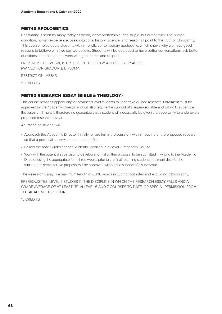#### MB743 APOLOGETICS

Christianity is seen by many today as weird, incomprehensible, and stupid, but is that true? The human condition, human experience, basic intuitions, history, science, and reason all point to the truth of Christianity. This course helps equip students with a holistic contemporary apologetic, which shows why we have good reasons to believe what we say we believe. Students will be equipped to have better conversations, ask better questions, and to share answers with gentleness and respect.

PREREQUISITES: MB521, 15 CREDITS IN THEOLOGY AT LEVEL 6 OR ABOVE. (WAIVED FOR GRADUATE DIPLOMA)

RESTRICTION: MB643

15 CREDITS

#### MB790 RESEARCH ESSAY (BIBLE & THEOLOGY)

This course provides opportunity for advanced level students to undertake guided research. Enrolment must be approved by the Academic Director and will also require the support of a supervisor able and willing to supervise the research. (There is therefore no guarantee that a student will necessarily be given the opportunity to undertake a proposed research essay.)

An intending student will:

- Approach the Academic Director initially for preliminary discussion, with an outline of the proposed research so that a potential supervisor can be identified
- Follow the read Guidelines for Students Enrolling in a Level 7 Research Course
- Work with the potential supervisor to develop a formal written proposal to be submitted in writing to the Academic Director using the appropriate form three weeks prior to the final returning-student enrolment date for the subsequent semester. No proposal will be approved without the support of a supervisor.

The Research Essay is a maximum length of 6000 words including footnotes and excluding bibliography.

PREREQUISITES: LEVEL 7 STUDIES IN THE DISCIPLINE IN WHICH THE RESEARCH ESSAY FALLS AND A GRADE AVERAGE OF AT LEAST "B" IN LEVEL 6 AND 7 COURSES TO DATE, OR SPECIAL PERMISSION FROM THE ACADEMIC DIRECTOR.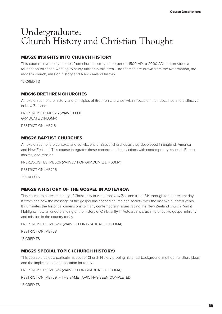# Undergraduate: Church History and Christian Thought

#### MB526 INSIGHTS INTO CHURCH HISTORY

This course covers key themes from church history in the period 1500 AD to 2000 AD and provides a foundation for those wanting to study further in this area. The themes are drawn from the Reformation, the modern church, mission history and New Zealand history.

15 CREDITS

#### MB616 BRETHREN CHURCHES

An exploration of the history and principles of Brethren churches, with a focus on their doctrines and distinctive in New Zealand.

PREREQUISITE: MB526 (WAIVED FOR GRADUATE DIPLOMA)

RESTRICTION: MB716

#### MB626 BAPTIST CHURCHES

An exploration of the contexts and convictions of Baptist churches as they developed in England, America and New Zealand. This course integrates these contexts and convictions with contemporary issues in Baptist ministry and mission.

PREREQUISITES: MB526 (WAIVED FOR GRADUATE DIPLOMA)

RESTRICTION: MB726

15 CREDITS

#### MB628 A HISTORY OF THE GOSPEL IN AOTEAROA

This course explores the story of Christianity in Aotearoa New Zealand from 1814 through to the present day. It examines how the message of the gospel has shaped church and society over the last two hundred years. It illuminates the historical dimensions to many contemporary issues facing the New Zealand church. And it highlights how an understanding of the history of Christianity in Aotearoa is crucial to effective gospel ministry and mission in the country today.

PREREQUISITES: MB526 (WAIVED FOR GRADUATE DIPLOMA)

RESTRICTION: MB728

15 CREDITS

#### MB629 SPECIAL TOPIC (CHURCH HISTORY)

This course studies a particular aspect of Church History probing historical background, method, function, ideas and the implication and application for today.

PREREQUISITES: MB526 (WAIVED FOR GRADUATE DIPLOMA)

RESTRICTION: MB729 IF THE SAME TOPIC HAS BEEN COMPLETED.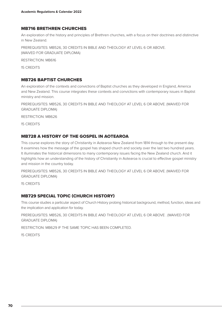#### MB716 BRETHREN CHURCHES

An exploration of the history and principles of Brethren churches, with a focus on their doctrines and distinctive in New Zealand.

PREREQUISITES: MB526, 30 CREDITS IN BIBLE AND THEOLOGY AT LEVEL 6 OR ABOVE. (WAIVED FOR GRADUATE DIPLOMA)

RESTRICTION: MB616

15 CREDITS

#### MB726 BAPTIST CHURCHES

An exploration of the contexts and convictions of Baptist churches as they developed in England, America and New Zealand. This course integrates these contexts and convictions with contemporary issues in Baptist ministry and mission.

PREREQUISITES: MB526, 30 CREDITS IN BIBLE AND THEOLOGY AT LEVEL 6 OR ABOVE. (WAIVED FOR GRADUATE DIPLOMA)

RESTRICTION: MB626

15 CREDITS

#### MB728 A HISTORY OF THE GOSPEL IN AOTEAROA

This course explores the story of Christianity in Aotearoa New Zealand from 1814 through to the present day. It examines how the message of the gospel has shaped church and society over the last two hundred years. It illuminates the historical dimensions to many contemporary issues facing the New Zealand church. And it highlights how an understanding of the history of Christianity in Aotearoa is crucial to effective gospel ministry and mission in the country today.

PREREQUISITES: MB526, 30 CREDITS IN BIBLE AND THEOLOGY AT LEVEL 6 OR ABOVE. (WAIVED FOR GRADUATE DIPLOMA)

15 CREDITS

#### MB729 SPECIAL TOPIC (CHURCH HISTORY)

This course studies a particular aspect of Church History probing historical background, method, function, ideas and the implication and application for today.

PREREQUISITES: MB526, 30 CREDITS IN BIBLE AND THEOLOGY AT LEVEL 6 OR ABOVE . (WAIVED FOR GRADUATE DIPLOMA)

RESTRICTION: MB629 IF THE SAME TOPIC HAS BEEN COMPLETED.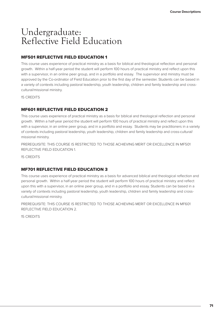## Undergraduate: Reflective Field Education

#### MF501 REFLECTIVE FIELD EDUCATION 1

This course uses experience of practical ministry as a basis for biblical and theological reflection and personal growth. Within a half-year period the student will perform 100 hours of practical ministry and reflect upon this with a supervisor, in an online peer group, and in a portfolio and essay. The supervisor and ministry must be approved by the Co-ordinator of Field Education prior to the first day of the semester. Students can be based in a variety of contexts including pastoral leadership, youth leadership, children and family leadership and crosscultural/missional ministry.

15 CREDITS

#### MF601 REFLECTIVE FIELD EDUCATION 2

This course uses experience of practical ministry as a basis for biblical and theological reflection and personal growth. Within a half-year period the student will perform 100 hours of practical ministry and reflect upon this with a supervisor, in an online peer group, and in a portfolio and essay. Students may be practitioners in a variety of contexts including pastoral leadership, youth leadership, children and family leadership and cross-cultural/ missional ministry.

PREREQUISITE: THIS COURSE IS RESTRICTED TO THOSE ACHIEVING MERIT OR EXCELLENCE IN MF501 REFLECTIVE FIELD EDUCATION 1.

15 CREDITS

#### MF701 REFLECTIVE FIELD EDUCATION 3

This course uses experience of practical ministry as a basis for advanced biblical and theological reflection and personal growth. Within a half-year period the student will perform 100 hours of practical ministry and reflect upon this with a supervisor, in an online peer group, and in a portfolio and essay. Students can be based in a variety of contexts including pastoral leadership, youth leadership, children and family leadership and crosscultural/missional ministry.

PREREQUISITE: THIS COURSE IS RESTRICTED TO THOSE ACHIEVING MERIT OR EXCELLENCE IN MF601 REFLECTIVE FIELD EDUCATION 2.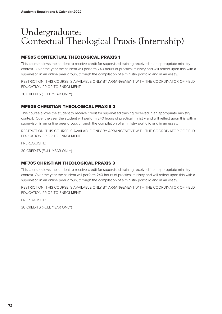## Undergraduate: Contextual Theological Praxis (Internship)

#### MF505 CONTEXTUAL THEOLOGICAL PRAXIS 1

This course allows the student to receive credit for supervised training received in an appropriate ministry context. Over the year the student will perform 240 hours of practical ministry and will reflect upon this with a supervisor, in an online peer group, through the compilation of a ministry portfolio and in an essay.

RESTRICTION: THIS COURSE IS AVAILABLE ONLY BY ARRANGEMENT WITH THE COORDINATOR OF FIELD EDUCATION PRIOR TO ENROLMENT.

30 CREDITS (FULL YEAR ONLY)

#### MF605 CHRISTIAN THEOLOGICAL PRAXIS 2

This course allows the student to receive credit for supervised training received in an appropriate ministry context. Over the year the student will perform 240 hours of practical ministry and will reflect upon this with a supervisor, in an online peer group, through the compilation of a ministry portfolio and in an essay.

RESTRICTION: THIS COURSE IS AVAILABLE ONLY BY ARRANGEMENT WITH THE COORDINATOR OF FIELD EDUCATION PRIOR TO ENROLMENT.

PREREQUISITE:

30 CREDITS (FULL YEAR ONLY)

#### MF705 CHRISTIAN THEOLOGICAL PRAXIS 3

This course allows the student to receive credit for supervised training received in an appropriate ministry context. Over the year the student will perform 240 hours of practical ministry and will reflect upon this with a supervisor, in an online peer group, through the compilation of a ministry portfolio and in an essay.

RESTRICTION: THIS COURSE IS AVAILABLE ONLY BY ARRANGEMENT WITH THE COORDINATOR OF FIELD EDUCATION PRIOR TO ENROLMENT.

PREREQUISITE:

30 CREDITS (FULL YEAR ONLY)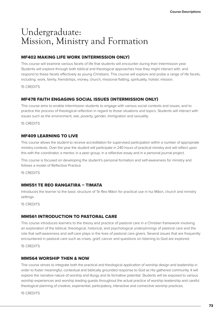### Undergraduate: Mission, Ministry and Formation

#### MF402 MAKING LIFE WORK (INTERMISSION ONLY)

This course will examine various facets of life that students will encounter during their Intermission year. Students will explore through both biblical and theological approaches how they might interact with, and respond to these facets effectively as young Christians. This course will explore and probe a range of life facets, including: work, family, friendships, money, church, missional flatting, spirituality, holistic mission.

15 CREDITS

#### MF478 FAITH ENGAGING SOCIAL ISSUES (INTERMISSION ONLY)

This course aims to enable Intermission students to engage with various social contexts and issues, and to practice the process of theological reflection in regard to those situations and topics. Students will interact with issues such as the environment, war, poverty, gender, immigration and sexuality.

15 CREDITS

#### MF409 LEARNING TO LIVE

This course allows the student to receive accreditation for supervised participation within a number of appropriate ministry contexts. Over the year the student will participate in 240 hours of practical ministry and will reflect upon this with the coordinator, a mentor, in a peer group, in a reflective essay and in a personal journal project.

This course is focused on developing the student's personal formation and self-awareness for ministry and follows a model of Reflective Practice.

15 CREDITS

#### MM551 TE REO RANGATIRA – TIMATA

Introduces the learner to the basic structure of Te Reo Māori for practical use in hui Māori, church and ministry settings.

15 CREDITS

#### MM561 INTRODUCTION TO PASTORAL CARE

This course introduces learners to the theory and practice of pastoral care in a Christian framework involving an exploration of the biblical, theological, historical, and psychological underpinnings of pastoral care and the role that self-awareness and self-care plays in the lives of pastoral care givers. Several issues that are frequently encountered in pastoral care such as crises, grief, cancer and questions on listening to God are explored.

15 CREDITS

#### MM564 WORSHIP THEN & NOW

This course strives to integrate both the practical and theological application of worship design and leadership in order to foster meaningful, contextual and biblically grounded response to God as His gathered community. It will explore the narrative nature of worship and liturgy and its formative potential. Students will be exposed to various worship experiences and worship leading guests throughout the actual practice of worship leadership and careful theological planning of creative, experiential, participatory, interactive and connective worship practices.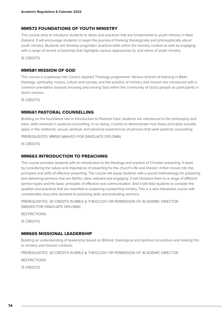#### MM572 FOUNDATIONS OF YOUTH MINISTRY

This course aims to introduce students to ideas and practices that are fundamental to youth ministry in New Zealand. It will encourage students to begin the journey of thinking theologically and philosophically about youth ministry. Students will develop pragmatic/ practical skills within the ministry context as well as engaging with a range of recent scholarship that highlights various approaches to, and ethos of youth ministry.

15 CREDITS

#### MM581 MISSION OF GOD

This course is a gateway into Carey's Applied Theology programme. Various strands of learning in Bible, theology, spirituality, history, culture and society, and the practice of ministry and mission are introduced with a common orientation towards knowing and serving God within the community of God's people as participants in God's mission.

15 CREDITS

#### MM661 PASTORAL COUNSELLING

Building on the foundation laid in Introduction to Pastoral Care, students are introduced to the philosophy and basic skills involved in pastoral counselling. In so doing, it seeks to demonstrate how these principles actually apply in the relational, sexual, spiritual, and personal experiences of persons that seek pastoral counselling.

PREREQUISITES: MM561 (WAIVED FOR GRADUATE DIPLOMA)

15 CREDITS

#### MM663 INTRODUCTION TO PREACHING

This course provides students with an introduction to the theology and practice of Christian preaching. It starts by considering the nature and importance of preaching for the church's life and mission. It then moves into the principles and skills of effective preaching. The course will equip students with a sound methodology for preparing and delivering sermons that are faithful, clear, relevant and engaging. It will introduce them to a range of different sermon types and the basic principles of effective oral communication. And it will help students to consider the qualities and practices that are essential to sustaining a preaching ministry. This is a very interactive course with considerable class time devoted to practising skills and evaluating sermons.

PREREQUISITES: 30 CREDITS IN BIBLE & THEOLOGY OR PERMISSION OF ACADEMIC DIRECTOR. (WAIVED FOR GRADUATE DIPLOMA)

RESTRICTIONS:

15 CREDITS

#### MM665 MISSIONAL LEADERSHIP

Building an understanding of leadership based on Biblical, theological and spiritual convictions and relating this to ministry and mission contexts.

PREREQUISITES: 30 CREDITS IN BIBLE & THEOLOGY OR PERMISSION OF ACADEMIC DIRECTOR.

RESTRICTIONS: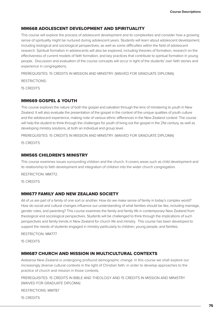#### MM668 ADOLESCENT DEVELOPMENT AND SPIRITUALITY

This course will explore the process of adolescent development and its complexities and consider how a growing sense of spirituality might be nurtured during adolescent years. Students will learn about adolescent development, including biological and sociological perspectives, as well as some difficulties within the field of adolescent research. Spiritual formation in adolescents will also be explored, including theories of formation, research on the effectiveness of current models of faith formation, and key practices that contribute to spiritual formation in young people. Discussion and evaluation of the course concepts will occur in light of the students' own faith stories and experience in congregations.

PREREQUISITES: 15 CREDITS IN MISSION AND MINISTRY. (WAIVED FOR GRADUATE DIPLOMA)

RESTRICTIONS:

15 CREDITS

#### MM669 GOSPEL & YOUTH

This course explores the nature of both the gospel and salvation through the lens of ministering to youth in New Zealand. It will also evaluate the presentation of the gospel in the context of the unique qualities of youth culture and the adolescent experience, making note of various ethnic differences in the New Zealand context. The course will help the student to think through the challenges for youth of living out the gospel in the 21st century, as well as developing ministry solutions, at both an individual and group level.

PREREQUISITES: 15 CREDITS IN MISSION AND MINISTRY. (WAIVED FOR GRADUATE DIPLOMA)

15 CREDITS

#### MM565 CHILDREN'S MINISTRY

This course examines issues surrounding children and the church. It covers areas such as child development and its relationship to faith development and integration of children into the wider church congregation.

RESTRICTION: MM772.

15 CREDITS

#### MM677 FAMILY AND NEW ZEALAND SOCIETY

All of us are part of a family of one sort or another. How do we make sense of family in today's complex world? How do social and cultural changes influence our understanding of what families should be like, including marriage, gender roles, and parenting? This course examines the family and family life in contemporary New Zealand from theological and sociological perspectives. Students will be challenged to think through the implications of such perspectives and family trends in New Zealand for church life and ministry. This course has been developed to support the needs of students engaged in ministry particularly to children, young people, and families.

#### RESTRICTION: MM777

15 CREDITS

#### MM687 CHURCH AND MISSION IN MULTICULTURAL CONTEXTS

Aotearoa New Zealand is undergoing profound demographic change. In this course we shall explore our increasingly diverse cultural contexts in the light of Christian faith, in order to develop approaches to the practice of church and mission in those contexts.

PREREQUISITES: 15 CREDITS IN BIBLE AND THEOLOGY AND 15 CREDITS IN MISSION AND MINISTRY (WAIVED FOR GRADUATE DIPLOMA)

RESTRICTIONS: MM787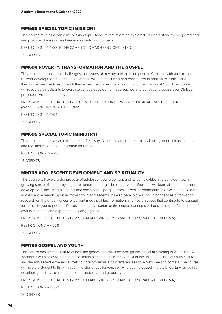#### MM688 SPECIAL TOPIC (MISSION)

This course studies a particular Mission topic. Aspects that might be explored include history, theology, method and practice of mission, and mission in particular contexts.

RESTRICTION: MM788 IF THE SAME TOPIC HAS BEEN COMPLETED.

15 CREDITS

#### MM694 POVERTY, TRANSFORMATION AND THE GOSPEL

This course considers the challenges that issues of poverty and injustice pose to Christian faith and action, Current development theories and practice will be introduced and considered in relation to Biblical and theological perspectives on such themes as the gospel, the kingdom and the mission of God. The course will resource participants to evaluate various development approaches and construct proposals for Christian practice in Aotearoa and overseas.

PREREQUISITES: 30 CREDITS IN BIBLE & THEOLOGY OR PERMISSION OF ACADEMIC DIRECTOR. (WAIVED FOR GRADUATE DIPLOMA)

RESTRICTION: MM794

15 CREDITS

#### MM695 SPECIAL TOPIC (MINISTRY)

This course studies a particular aspect of Ministry. Aspects may include historical background, ideas, practice, and the implication and application for today.

RESTRICTIONS: MM795

15 CREDITS

#### MM768 ADOLESCENT DEVELOPMENT AND SPIRITUALITY

This course will explore the process of adolescent development and its complexities and consider how a growing sense of spirituality might be nurtured during adolescent years. Students will learn about adolescent development, including biological and sociological perspectives, as well as some difficulties within the field of adolescent research. Spiritual formation in adolescents will also be explored, including theories of formation, research on the effectiveness of current models of faith formation, and key practices that contribute to spiritual formation in young people. Discussion and evaluation of the course concepts will occur in light of the students' own faith stories and experience in congregations.

PREREQUISITES: 30 CREDITS IN MISSION AND MINISTRY. (WAIVED FOR GRADUATE DIPLOMA)

RESTRICTIONS:MM668

15 CREDITS

#### MM769 GOSPEL AND YOUTH

This course explores the nature of both the gospel and salvation through the lens of ministering to youth in New Zealand. It will also evaluate the presentation of the gospel in the context of the unique qualities of youth culture and the adolescent experience, making note of various ethnic differences in the New Zealand context. The course will help the student to think through the challenges for youth of living out the gospel in the 21st century, as well as developing ministry solutions, at both an individual and group level.

PREREQUISITES: 30 CREDITS IN MISSION AND MINISTRY. (WAIVED FOR GRADUATE DIPLOMA)

RESTRICTIONS:MM669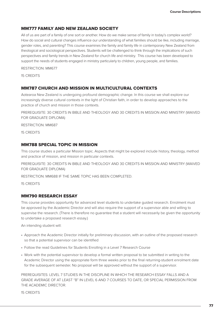#### MM777 FAMILY AND NEW ZEALAND SOCIETY

All of us are part of a family of one sort or another. How do we make sense of family in today's complex world? How do social and cultural changes influence our understanding of what families should be like, including marriage, gender roles, and parenting? This course examines the family and family life in contemporary New Zealand from theological and sociological perspectives. Students will be challenged to think through the implications of such perspectives and family trends in New Zealand for church life and ministry. This course has been developed to support the needs of students engaged in ministry particularly to children, young people, and families.

RESTRICTION: MM677

15 CREDITS

#### MM787 CHURCH AND MISSION IN MULTICULTURAL CONTEXTS

Aotearoa New Zealand is undergoing profound demographic change. In this course we shall explore our increasingly diverse cultural contexts in the light of Christian faith, in order to develop approaches to the practice of church and mission in those contexts.

PREREQUISITE: 30 CREDITS IN BIBLE AND THEOLOGY AND 30 CREDITS IN MISSION AND MINISTRY (WAIVED FOR GRADUATE DIPLOMA)

RESTRICTION: MM687

15 CREDITS

#### MM788 SPECIAL TOPIC IN MISSION

This course studies a particular Mission topic. Aspects that might be explored include history, theology, method and practice of mission, and mission in particular contexts.

PREREQUISITE: 30 CREDITS IN BIBLE AND THEOLOGY AND 30 CREDITS IN MISSION AND MINISTRY (WAIVED FOR GRADUATE DIPLOMA)

RESTRICTION: MM688 IF THE SAME TOPIC HAS BEEN COMPLETED.

15 CREDITS

#### MM790 RESEARCH ESSAY

This course provides opportunity for advanced level students to undertake guided research. Enrolment must be approved by the Academic Director and will also require the support of a supervisor able and willing to supervise the research. (There is therefore no guarantee that a student will necessarily be given the opportunity to undertake a proposed research essay.)

An intending student will:

- Approach the Academic Director initially for preliminary discussion, with an outline of the proposed research so that a potential supervisor can be identified
- Follow the read Guidelines for Students Enrolling in a Level 7 Research Course
- Work with the potential supervisor to develop a formal written proposal to be submitted in writing to the Academic Director using the appropriate form three weeks prior to the final returning-student enrolment date for the subsequent semester. No proposal will be approved without the support of a supervisor.

PREREQUISITES: LEVEL 7 STUDIES IN THE DISCIPLINE IN WHICH THE RESEARCH ESSAY FALLS AND A GRADE AVERAGE OF AT LEAST "B" IN LEVEL 6 AND 7 COURSES TO DATE, OR SPECIAL PERMISSION FROM THE ACADEMIC DIRECTOR.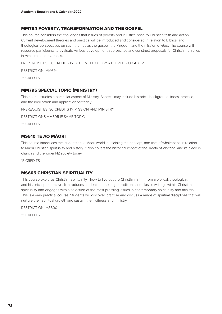#### MM794 POVERTY, TRANSFORMATION AND THE GOSPEL

This course considers the challenges that issues of poverty and injustice pose to Christian faith and action, Current development theories and practice will be introduced and considered in relation to Biblical and theological perspectives on such themes as the gospel, the kingdom and the mission of God. The course will resource participants to evaluate various development approaches and construct proposals for Christian practice in Aotearoa and overseas.

PREREQUISITES: 30 CREDITS IN BIBLE & THEOLOGY AT LEVEL 6 OR ABOVE.

RESTRICTION: MM694

15 CREDITS

#### MM795 SPECIAL TOPIC (MINISTRY)

This course studies a particular aspect of Ministry. Aspects may include historical background, ideas, practice, and the implication and application for today.

PREREQUISITES: 30 CREDITS IN MISSION AND MINISTRY

RESTRICTIONS:MM695 IF SAME TOPIC

15 CREDITS

#### MS510 TE AO MĀORI

This course introduces the student to the Māori world, explaining the concept, and use, of whakapapa in relation to Māori Christian spirituality and history. It also covers the historical impact of the Treaty of Waitangi and its place in church and the wider NZ society today.

15 CREDITS

#### MS605 CHRISTIAN SPIRITUALITY

This course explores Christian Spirituality—how to live out the Christian faith—from a biblical, theological, and historical perspective. It introduces students to the major traditions and classic writings within Christian spirituality and engages with a selection of the most pressing issues in contemporary spirituality and ministry. This is a very practical course. Students will discover, practise and discuss a range of spiritual disciplines that will nurture their spiritual growth and sustain their witness and ministry.

RESTRICTION: MS500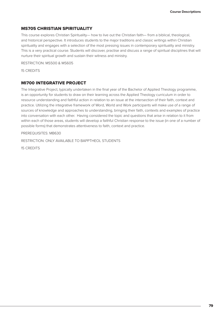#### MS705 CHRISTIAN SPIRITUALITY

This course explores Christian Spirituality— how to live out the Christian faith— from a biblical, theological, and historical perspective. It introduces students to the major traditions and classic writings within Christian spirituality and engages with a selection of the most pressing issues in contemporary spirituality and ministry. This is a very practical course. Students will discover, practise and discuss a range of spiritual disciplines that will nurture their spiritual growth and sustain their witness and ministry.

RESTRICTION: MS500 & MS605

15 CREDITS

#### MI700 INTEGRATIVE PROJECT

The Integrative Project, typically undertaken in the final year of the Bachelor of Applied Theology programme, is an opportunity for students to draw on their learning across the Applied Theology curriculum in order to resource understanding and faithful action in relation to an issue at the intersection of their faith, context and practice. Utilizing the integrative framework of Word, World and Work participants will make use of a range of sources of knowledge and approaches to understanding, bringing their faith, contexts and examples of practice into conversation with each other. Having considered the topic and questions that arise in relation to it from within each of those areas, students will develop a faithful Christian response to the issue (in one of a number of possible forms) that demonstrates attentiveness to faith, context and practice.

PREREQUISITES: MB630

RESTRICTION: ONLY AVAILABLE TO BAPPTHEOL STUDENTS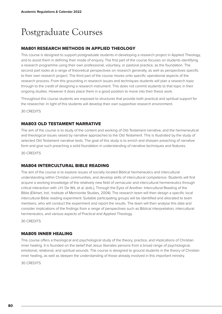# Postgraduate Courses

#### MA801 RESEARCH METHODS IN APPLIED THEOLOGY

This course is designed to support postgraduate students in developing a research project in Applied Theology, and to assist them in defining their mode of enquiry. The first part of the course focuses on students identifying a research programme using their own professional, voluntary, or pastoral practice, as the foundation. The second part looks at a range of theoretical perspectives on research generally, as well as perspectives specific to their own research project. The third part of the course moves onto specific operational aspects of the research process. From this grounding in research issues and techniques students will plan a research topic through to the credit of designing a research instrument. This does not commit students to that topic in their ongoing studies. However it does place them in a good position to move into their thesis work.

Throughout this course students are exposed to structures that provide both practical and spiritual support for the researcher. In light of this students will develop their own supportive research environment.

30 CREDITS

#### MA803 OLD TESTAMENT NARRATIVE

The aim of the course is to study of the content and working of Old Testament narrative, and the hermeneutical and theological issues raised by narrative approaches to the Old Testament. This is illustrated by the study of selected Old Testament narrative texts. The goal of this study is to enrich and sharpen preaching of narrative form and give such preaching a solid foundation in understanding of narrative techniques and features.

30 CREDITS

#### MA804 INTERCULTURAL BIBLE READING

The aim of the course is to explore issues of socially located Biblical hermeneutics and intercultural understanding within Christian communities, and develop skills of intercultural competence. Students will first acquire a working knowledge of the relatively new field of vernacular and intercultural hermeneutics through critical interaction with J.H. De Wit, et al. (eds.), Through the Eyes of Another: Intercultural Reading of the Bible (Elkhart, Ind.: Institute of Mennonite Studies, 2004). The research team will then design a specific local intercultural Bible reading experiment. Suitable participating groups will be identified and allocated to team members, who will conduct the experiment and report the results. The team will then analyse this data and consider implications of the findings from a range of perspectives such as Biblical interpretation, intercultural hermeneutics, and various aspects of Practical and Applied Theology.

30 CREDITS

#### MA805 INNER HEALING

This course offers a theological and psychological study of the theory, practice, and implications of Christian inner healing. It is founded on the belief that Jesus liberates persons from a broad range of psychological, emotional, relational, and spiritual wounds. The course is designed to ground students in the theory of Christian inner healing, as well as deepen the understanding of those already involved in this important ministry.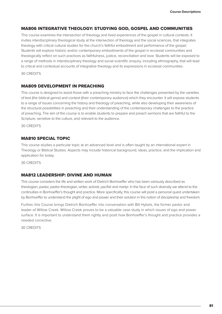#### MA806 INTEGRATIVE THEOLOGY: STUDYING GOD, GOSPEL AND COMMUNITIES

This course examines the intersection of theology and lived experiences of the gospel in cultural contexts. It invites interdisciplinary theological study at the intersection of theology and the social sciences, that integrates theology with critical cultural studies for the church's faithful embodiment and performance of the gospel. Students will explore historic and/or contemporary embodiments of the gospel in ecclesial communities and theologically reflect on such practices as faithfulness, justice, reconciliation and love. Students will be exposed to a range of methods in interdisciplinary theology and social scientific enquiry, including ethnography, that will lead to critical and contextual accounts of integrative theology and its expressions in ecclesial communities.

30 CREDITS

#### MA809 DEVELOPMENT IN PREACHING

This course is designed to assist those with a preaching ministry to face the challenges presented by the varieties of text (the biblical genre) and context (their contemporary audience) which they encounter. It will expose students to a range of issues concerning the history and theology of preaching, while also developing their awareness of the structural possibilities in preaching and their understanding of the contemporary challenges to the practice of preaching. The aim of the course is to enable students to prepare and preach sermons that are faithful to the Scripture, sensitive to the culture, and relevant to the audience.

30 CREDITS

#### MA810 SPECIAL TOPIC

This course studies a particular topic at an advanced level and is often taught by an international expert in Theology or Biblical Studies. Aspects may include historical background, ideas, practice, and the implication and application for today.

30 CREDITS

#### MA812 LEADERSHIP: DIVINE AND HUMAN

This course considers the life and written work of Dietrich Bonhoeffer who has been variously described as theologian, pastor, pastor-theologian, writer, activist, pacifist and martyr. In the face of such diversity we attend to the continuities in Bonhoeffer's thought and practice. More specifically, this course will posit a personal quest undertaken by Bonhoeffer to understand the plight of ego and power and their solution in the notion of discipleship and freedom.

Further, this Course brings Dietrich Bonhoeffer into conversation with Bill Hybels, the former pastor and leader of Willow Creek. Willow Creek proves to be a valuable case study in which issues of ego and power surface. It is important to understand them rightly and posit how Bonhoeffer's thought and practice provides a needed corrective.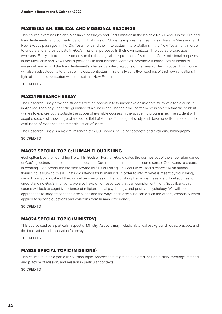#### MA815 ISAIAH: BIBLICAL AND MISSIONAL READINGS

This course examines Isaiah's Messianic passages and God's mission in the Isaianic New Exodus in the Old and New Testaments, and our participation in that mission. Students explore the meanings of Isaiah's Messianic and New Exodus passages in the Old Testament and their intertextual interpretations in the New Testament in order to understand and participate in God's missional purposes in their own contexts. The course progresses in two parts. Firstly, it introduces students to the theological interpretation of Isaiah and God's missional purposes in the Messianic and New Exodus passages in their historical contexts. Secondly, it introduces students to missional readings of the New Testament's intertextual interpretations of the Isaianic New Exodus. This course will also assist students to engage in close, contextual, missionally sensitive readings of their own situations in light of, and in conversation with, the Isaianic New Exodus.

30 CREDITS

#### MA821 RESEARCH ESSAY

The Research Essay provides students with an opportunity to undertake an in-depth study of a topic or issue in Applied Theology under the guidance of a supervisor. The topic will normally be in an area that the student wishes to explore but is outside the scope of available courses in the academic programme. The student will acquire specialist knowledge of a specific field of Applied Theological study and develop skills in research, the evaluation of evidence and the articulation of ideas.

The Research Essay is a maximum length of 12,000 words including footnotes and excluding bibliography.

30 CREDITS

#### MA823 SPECIAL TOPIC: HUMAN FLOURISHING

God epitomizes the flourishing life within Godself. Further, God creates the cosmos out of the sheer abundance of God's goodness and plenitude, not because God needs to create, but in some sense, God wants to create. In creating, God orders the creation toward its full flourishing. This course will focus especially on human flourishing, assuming this is what God intends for humankind. In order to inform what is meant by flourishing, we will look at biblical and theological perspectives on the flourishing life. While these are critical sources for understanding God's intentions, we also have other resources that can complement them. Specifically, this course will look at cognitive science of religion, social psychology, and positive psychology. We will look at approaches to integrating these disciplines and the ways each discipline can enrich the others, especially when applied to specific questions and concerns from human experience.

30 CREDITS

#### MA824 SPECIAL TOPIC (MINISTRY)

This course studies a particular aspect of Ministry. Aspects may include historical background, ideas, practice, and the implication and application for today.

30 CREDITS

#### MA825 SPECIAL TOPIC (MISSIONS)

This course studies a particular Mission topic. Aspects that might be explored include history, theology, method and practice of mission, and mission in particular contexts.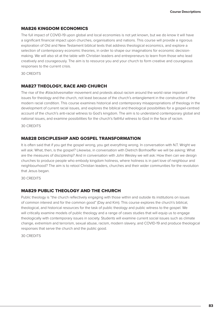#### MA826 KINGDOM ECONOMICS

The full impact of COVID-19 upon global and local economies is not yet known, but we do know it will have a significant financial impact upon churches, organisations and nations. This course will provide a rigorous exploration of Old and New Testament biblical texts that address theological economics, and explore a selection of contemporary economic theories, in order to shape our imaginations for economic decisionmaking. We will also sit at the table with Christian leaders and entrepreneurs to learn from those who lead creatively and courageously. The aim is to resource you and your church to form creative and courageous responses to the current crisis.

30 CREDITS

#### MA827 THEOLOGY, RACE AND CHURCH

The rise of the #blacklivesmatter movement and protests about racism around the world raise important issues for theology and the church, not least because of the church's entanglement in the construction of the modern racial condition. This course examines historical and contemporary misappropriations of theology in the development of current racial issues, and explores the biblical and theological possibilities for a gospel-centred account of the church's anti-racial witness to God's kingdom. The aim is to understand contemporary global and national issues, and examine possibilities for the church's faithful witness to God in the face of racism.

30 CREDITS

#### MA828 DISCIPLESHIP AND GOSPEL TRANSFORMATION

It is often said that if you get the gospel wrong, you get everything wrong. In conversation with N.T. Wright we will ask: What, then, is the gospel? Likewise, in conversation with Dietrich Bonhoeffer we will be asking: What are the measures of discipleship? And in conversation with John Wesley we will ask: How then can we design churches to produce people who embody kingdom holiness, where holiness is in part love of neighbour and neighbourhood? The aim is to retool Christian leaders, churches and their wider communities for the revolution that Jesus began.

30 CREDITS

#### MA829 PUBLIC THEOLOGY AND THE CHURCH

Public theology is "the church reflectively engaging with those within and outside its institutions on issues of common interest and for the common good" (Day and Kim). This course explores the church's biblical, theological, and historical resources for the task of public theology and public witness to the gospel. We will critically examine models of public theology and a range of cases studies that will equip us to engage theologically with contemporary issues in society. Students will examine current social issues such as climate change, extremism and terrorism, sexual abuse, racism, modern slavery, and COVID-19 and produce theological responses that serve the church and the public good.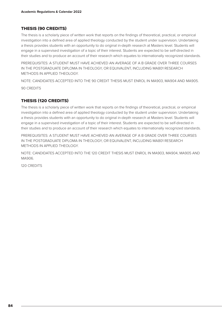#### THESIS (90 CREDITS)

The thesis is a scholarly piece of written work that reports on the findings of theoretical, practical, or empirical investigation into a defined area of applied theology conducted by the student under supervision. Undertaking a thesis provides students with an opportunity to do original in-depth research at Masters level. Students will engage in a supervised investigation of a topic of their interest. Students are expected to be self-directed in their studies and to produce an account of their research which equates to internationally recognized standards.

PREREQUISITES: A STUDENT MUST HAVE ACHIEVED AN AVERAGE OF A B GRADE OVER THREE COURSES IN THE POSTGRADUATE DIPLOMA IN THEOLOGY, OR EQUIVALENT, INCLUDING MA801 RESEARCH METHODS IN APPLIED THEOLOGY.

NOTE: CANDIDATES ACCEPTED INTO THE 90 CREDIT THESIS MUST ENROL IN MA903, MA904 AND MA905. 90 CREDITS

#### THESIS (120 CREDITS)

The thesis is a scholarly piece of written work that reports on the findings of theoretical, practical, or empirical investigation into a defined area of applied theology conducted by the student under supervision. Undertaking a thesis provides students with an opportunity to do original in-depth research at Masters level. Students will engage in a supervised investigation of a topic of their interest. Students are expected to be self-directed in their studies and to produce an account of their research which equates to internationally recognized standards.

PREREQUISITES: A STUDENT MUST HAVE ACHIEVED AN AVERAGE OF A B GRADE OVER THREE COURSES IN THE POSTGRADUATE DIPLOMA IN THEOLOGY, OR EQUIVALENT, INCLUDING MA801 RESEARCH METHODS IN APPLIED THEOLOGY.

NOTE: CANDIDATES ACCEPTED INTO THE 120 CREDIT THESIS MUST ENROL IN MA903, MA904, MA905 AND MA906.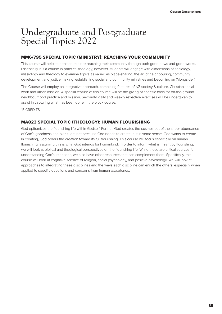### Undergraduate and Postgraduate Special Topics 2022

#### MM6/795 SPECIAL TOPIC (MINISTRY): REACHING YOUR COMMUNITY

This course will help students to explore reaching their community through both good news and good works. Essentially it is a course in practical theology; however, students will engage with dimensions of sociology, missiology and theology to examine topics as varied as place-sharing, the art of neighbouring, community development and justice making, establishing social and community ministries and becoming an 'Alongsider'.

The Course will employ an integrative approach, combining features of NZ society & culture, Christian social work and urban mission. A special feature of this course will be the giving of specific tools for on-the-ground neighbourhood practice and mission. Secondly, daily and weekly reflective exercises will be undertaken to assist in capturing what has been done in the block course.

15 CREDITS

#### MA823 SPECIAL TOPIC (THEOLOGY): HUMAN FLOURISHING

God epitomizes the flourishing life within Godself. Further, God creates the cosmos out of the sheer abundance of God's goodness and plenitude, not because God needs to create, but in some sense, God wants to create. In creating, God orders the creation toward its full flourishing. This course will focus especially on human flourishing, assuming this is what God intends for humankind. In order to inform what is meant by flourishing, we will look at biblical and theological perspectives on the flourishing life. While these are critical sources for understanding God's intentions, we also have other resources that can complement them. Specifically, this course will look at cognitive science of religion, social psychology, and positive psychology. We will look at approaches to integrating these disciplines and the ways each discipline can enrich the others, especially when applied to specific questions and concerns from human experience.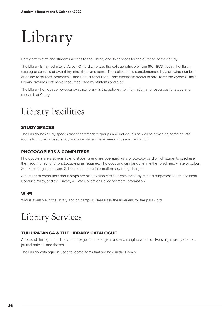# Library

Carey offers staff and students access to the Library and its services for the duration of their study.

The Library is named after J. Ayson Clifford who was the college principle from 1961-1973. Today the library catalogue consists of over thirty-nine-thousand items. This collection is complemented by a growing number of online resources, periodicals, and Baptist resources. From electronic books to rare items the Ayson Clifford Library provides extensive resources used by students and staff.

The Library homepage, www.carey.ac.nz/library, is the gateway to information and resources for study and research at Carey.

## Library Facilities

#### STUDY SPACES

The Library has study spaces that accommodate groups and individuals as well as providing some private rooms for more focused study and as a place where peer discussion can occur.

#### PHOTOCOPIERS & COMPUTERS

Photocopiers are also available to students and are operated via a photocopy card which students purchase, then add money to for photocopying as required. Photocopying can be done in either black and white or colour. See Fees Regulations and Schedule for more information regarding charges.

A number of computers and laptops are also available to students for study related purposes; see the Student Conduct Policy, and the Privacy & Data Collection Policy, for more information.

#### WI-FI

Wi-fi is available in the library and on campus. Please ask the librarians for the password.

### Library Services

#### TUHURATANGA & THE LIBRARY CATALOGUE

Accessed through the Library homepage, Tuhuratanga is a search engine which delivers high quality ebooks, journal articles, and theses.

The Library catalogue is used to locate items that are held in the Library.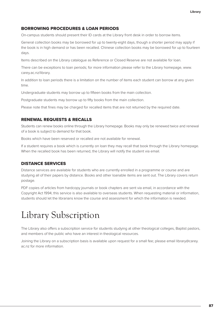#### BORROWING PROCEDURES & LOAN PERIODS

On-campus students should present their ID cards at the Library front desk in order to borrow items.

General collection books may be borrowed for up to twenty-eight days, though a shorter period may apply if the book is in high demand or has been recalled. Chinese collection books may be borrowed for up to fourteen days.

Items described on the Library catalogue as Reference or Closed Reserve are not available for loan.

There can be exceptions to loan periods; for more information please refer to the Library homepage, www. carey.ac.nz/library.

In addition to loan periods there is a limitation on the number of items each student can borrow at any given time.

Undergraduate students may borrow up to fifteen books from the main collection.

Postgraduate students may borrow up to fifty books from the main collection.

Please note that fines may be charged for recalled items that are not returned by the required date.

#### RENEWAL REQUESTS & RECALLS

Students can renew books online through the Library homepage. Books may only be renewed twice and renewal of a book is subject to demand for that book.

Books which have been reserved or recalled are not available for renewal.

If a student requires a book which is currently on loan they may recall that book through the Library homepage. When the recalled book has been returned, the Library will notify the student via email.

#### DISTANCE SERVICES

Distance services are available for students who are currently enrolled in a programme or course and are studying all of their papers by distance. Books and other loanable items are sent out. The Library covers return postage.

PDF copies of articles from hardcopy journals or book chapters are sent via email, in accordance with the Copyright Act 1994; this service is also available to overseas students. When requesting material or information, students should let the librarians know the course and assessment for which the information is needed.

### Library Subscription

The Library also offers a subscription service for students studying at other theological colleges, Baptist pastors, and members of the public who have an interest in theological resources.

Joining the Library on a subscription basis is available upon request for a small fee; please email library@carey. ac.nz for more information.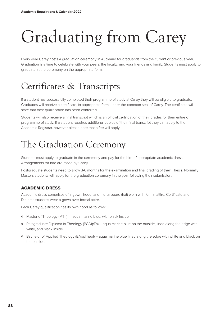# Graduating from Carey

Every year Carey hosts a graduation ceremony in Auckland for graduands from the current or previous year. Graduation is a time to celebrate with your peers, the faculty, and your friends and family. Students must apply to graduate at the ceremony on the appropriate form.

## Certificates & Transcripts

If a student has successfully completed their programme of study at Carey they will be eligible to graduate. Graduates will receive a certificate, in appropriate form, under the common seal of Carey. The certificate will state that their qualification has been conferred.

Students will also receive a final transcript which is an official certification of their grades for their entire of programme of study. If a student requires additional copies of their final transcript they can apply to the Academic Registrar, however please note that a fee will apply.

# The Graduation Ceremony

Students must apply to graduate in the ceremony and pay for the hire of appropriate academic dress. Arrangements for hire are made by Carey.

Postgraduate students need to allow 3-6 months for the examination and final grading of their Thesis. Normally Masters students will apply for the graduation ceremony in the year following their submission.

#### ACADEMIC DRESS

Academic dress comprises of a gown, hood, and mortarboard (hat) worn with formal attire. Certificate and Diploma students wear a gown over formal attire.

Each Carey qualification has its own hood as follows:

- ◊ Master of Theology (MTh) aqua marine blue, with black inside.
- ◊ Postgraduate Diploma in Theology (PGDipTh) aqua marine blue on the outside, lined along the edge with white, and black inside.
- ◊ Bachelor of Applied Theology (BAppTheol) aqua marine blue lined along the edge with white and black on the outside.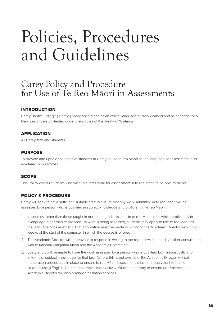# Policies, Procedures and Guidelines

### Carey Policy and Procedure for Use of Te Reo M<del>a</del>ori in Assessments

#### INTRODUCTION

Carey Baptist College ("Carey") recognises Māori as an official language of New Zealand and as a tāonga for all New Zealanders protected under the articles of the Treaty of Waitangi.

#### APPLICATION

All Carey staff and students.

#### **PURPOSE**

To provide and uphold the rights of students at Carey to use te reo Māori as the language of assessment in its academic programmes.

#### **SCOPE**

This Policy covers students who wish to submit work for assessment in te reo Māori to be able to do so.

#### POLICY & PROCEDURE

Carey will seek to have sufficient, suitable staff to ensure that any work submitted in te reo Māori will be assessed by a person who is qualified in subject knowledge and proficient in te reo Māori.

- 1. In courses, other than those taught in or requiring submissions in te reo Māori, or in which proficiency in a language other than te reo Māori is what is being assessed, students may apply to use te reo Māori as the language of assessment. That application must be made in writing to the Academic Director within two weeks of the start of the semester in which the course is offered.
- 2. The Academic Director will endeavour to respond in writing to the request within ten days, after consultation with te Kaiārahi-Rangahau Māori and the Academic Committee.
- 3. Every effort will be made to have the work assessed by a person who is qualified both linguistically and in terms of subject knowledge for that task. Where this is not available, the Academic Director will set moderation procedures in place to ensure te reo Māori assessment is just and equivalent to that for students using English for the same assessment activity. Where necessary to ensure equivalence, the Academic Director will also arrange translation services.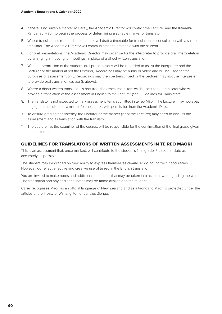- 4. If there is no suitable marker at Carey, the Academic Director will contact the Lecturer and the Kaiārahi-Rangahau Māori to begin the process of determining a suitable marker or translator.
- 5. Where translation is required, the Lecturer will draft a timetable for translation, in consultation with a suitable translator. The Academic Director will communicate the timetable with the student.
- 6. For oral presentations, the Academic Director may organise for the interpreter to provide oral interpretation by arranging a meeting (or meetings) in place of a direct written translation.
- 7. With the permission of the student, oral presentations will be recorded to assist the interpreter and the Lecturer or the marker (if not the Lecturer). Recordings may be audio or video and will be used for the purposes of assessment only. Recordings may then be transcribed or the Lecturer may ask the interpreter to provide oral translation (as per 3. above).
- 8. Where a direct written translation is required, the assessment item will be sent to the translator who will provide a translation of the assessment in English to the Lecturer (see Guidelines for Translators).
- 9. The translator is not expected to mark assessment items submitted in te reo Māori. The Lecturer, may however, engage the translator as a marker for the course, with permission from the Academic Director.
- 10. To ensure grading consistency, the Lecturer or the marker (if not the Lecturer) may need to discuss the assessment and its translation with the translator.
- 11. The Lecturer, as the examiner of the course, will be responsible for the confirmation of the final grade given to that student.

#### GUIDELINES FOR TRANSLATORS OF WRITTEN ASSESSMENTS IN TE REO MĀORI

This is an assessment that, once marked, will contribute to the student's final grade. Please translate as accurately as possible

The student may be graded on their ability to express themselves clearly, so do not correct inaccuracies. However, do reflect effective and creative use of te reo in the English translation.

You are invited to make notes and additional comments that may be taken into account when grading the work. The translation and any additional notes may be made available to the student.

Carey recognises Māori as an official language of New Zealand and as a tāonga to Māori is protected under the articles of the Treaty of Waitangi to honour that tāonga.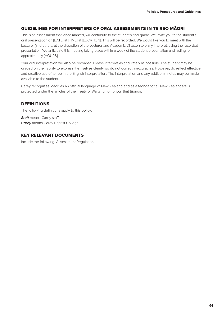#### GUIDELINES FOR INTERPRETERS OF ORAL ASSESSMENTS IN TE REO MĀORI

This is an assessment that, once marked, will contribute to the student's final grade. We invite you to the student's oral presentation on [DATE] at [TIME] at [LOCATION]. This will be recorded. We would like you to meet with the Lecturer (and others, at the discretion of the Lecturer and Academic Director) to orally interpret, using the recorded presentation. We anticipate this meeting taking place within a week of the student presentation and lasting for approximately [HOURS].

Your oral interpretation will also be recorded. Please interpret as accurately as possible. The student may be graded on their ability to express themselves clearly, so do not correct inaccuracies. However, do reflect effective and creative use of te reo in the English interpretation. The interpretation and any additional notes may be made available to the student.

Carey recognises Māori as an official language of New Zealand and as a tāonga for all New Zealanders is protected under the articles of the Treaty of Waitangi to honour that tāonga.

#### DEFINITIONS

The following definitions apply to this policy:

*Staff* means Carey staff *Carey* means Carey Baptist College

#### KEY RELEVANT DOCUMENTS

Include the following: Assessment Regulations.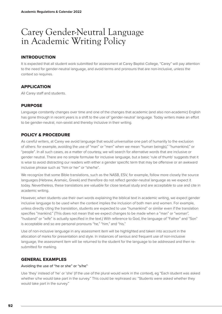### Carey Gender-Neutral Language in Academic Writing Policy

#### INTRODUCTION

It is expected that all student work submitted for assessment at Carey Baptist College, "Carey" will pay attention to the need for gender-neutral language, and avoid terms and pronouns that are non-inclusive, unless the context so requires.

#### APPLICATION

All Carey staff and students.

#### PURPOSE

Language constantly changes over time and one of the changes that academic (and also non-academic) English has gone through in recent years is a shift to the use of 'gender-neutral' language. Today writers make an effort to be gender-neutral, non-sexist and thereby inclusive in their writing.

#### POLICY & PROCEDURE

As careful writers, at Carey we avoid language that would universalise one part of humanity to the exclusion of others: for example, avoiding the use of "man" or "men" when we mean "human being(s)," "humankind," or "people". In all such cases, as a matter of courtesy, we will search for alternative words that are inclusive or gender neutral. There are no simple formulae for inclusive language, but a basic 'rule of thumb' suggests that it is wise to avoid distracting our readers with either a gender specific term that may be offensive or an awkward inclusive phrase such as "him or her" or "she/he".

We recognize that some Bible translations, such as the NASB, ESV, for example, follow more closely the source languages (Hebrew, Aramaic, Greek) and therefore do not reflect gender-neutral language as we expect it today. Nevertheless, these translations are valuable for close textual study and are acceptable to use and cite in academic writing.

However, when students use their own words explaining the biblical text in academic writing, we expect gender inclusive language to be used when the context implies the inclusion of both men and women. For example, unless directly citing the translation, students are expected to use "humankind" or similar even if the translation specifies "mankind." (This does not mean that we expect changes to be made when a "man" or "woman", "husband" or "wife" is actually specified in the text.) With reference to God, the language of "Father" and "Son" is acceptable and so are personal pronouns "he," "him," and "his."

Use of non-inclusive language in any assessment item will be highlighted and taken into account in the allocation of marks for presentation and style. In instances of serious and frequent use of non-inclusive language, the assessment item will be returned to the student for the language to be addressed and then resubmitted for marking.

#### GENERAL EXAMPLES

#### Avoiding the use of "he or she" or "s/he"

Use 'they' instead of 'he' or 'she' (if the use of the plural would work in the context), eg "Each student was asked whether s/he would take part in the survey." This could be rephrased as: "Students were asked whether they would take part in the survey."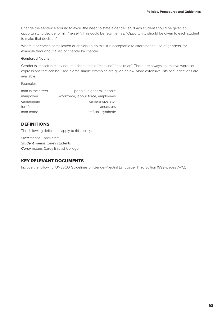Change the sentence around to avoid the need to state a gender, eg "Each student should be given an opportunity to decide for him/herself". This could be rewritten as: "Opportunity should be given to each student to make that decision."

Where it becomes complicated or artificial to do this, it is acceptable to alternate the use of genders, for example throughout a list, or chapter by chapter.

#### Gendered Nouns

Gender is implicit in many nouns – for example "mankind", "chairman". There are always alternative words or expressions that can be used. Some simple examples are given below. More extensive lists of suggestions are available.

Examples:

| man in the street | people in general, people          |
|-------------------|------------------------------------|
| manpower          | workforce, labour force, employees |
| cameraman         | camera operator                    |
| forefathers       | ancestors                          |
| man-made          | artificial, synthetic              |

#### **DEFINITIONS**

The following definitions apply to this policy:

*Staff* means Carey staff *Student* means Carey students *Carey* means Carey Baptist College

#### KEY RELEVANT DOCUMENTS

Include the following: UNESCO Guidelines on Gender-Neutral Language, Third Edition 1999 (pages 7–15).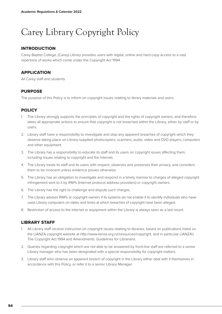# Carey Library Copyright Policy

#### INTRODUCTION

Carey Baptist College, (Carey) Library provides users with digital, online and hard copy access to a vast repertoire of works which come under the Copyright Act 1994.

#### **APPLICATION**

All Carey staff and students

#### PURPOSE

The purpose of this Policy is to inform on copyright issues relating to library materials and users.

#### **POLICY**

- 1. The Library strongly supports the principles of copyright and the rights of copyright owners, and therefore takes all appropriate actions to ensure that copyright is not breached within the Library, either by staff or by users.
- 2. Library staff have a responsibility to investigate and stop any apparent breaches of copyright which they observe taking place on Library-supplied photocopiers, scanners, audio, video and DVD players, computers and other equipment.
- 3. The Library has a responsibility to educate its staff and its users on copyright issues affecting them, including issues relating to copyright and the Internet.
- 4. The Library treats its staff and its users with respect, observes and preserves their privacy, and considers them to be innocent unless evidence proves otherwise.
- 5. The Library has an obligation to investigate and respond in a timely manner to charges of alleged copyright infringement sent to it by IPAPs (Internet protocol address providers) or copyright owners.
- 6. The Library has the right to challenge and dispute such charges.
- 7. The Library advises IPAPs or copyright owners if its systems do not enable it to identify individuals who have used Library computers on dates and times at which breaches of copyright have been alleged.
- 8. Restriction of access to the Internet or equipment within the Library is always seen as a last resort.

#### LIBRARY STAFF

- 1. All Library staff receive instruction on copyright issues relating to libraries, based on publications listed on the LIANZA copyright website at http://www.lianza.org.nz/resources/copyright, and in particular LIANZA's The Copyright Act 1994 and Amendments: Guidelines for Librarians.
- 2. Queries regarding copyright which are not able to be answered by front-line staff are referred to a senior Library manager who has been designated with a special responsibility for copyright matters.
- 3. Library staff who observe an apparent breach of copyright in the Library either deal with it themselves in accordance with this Policy, or refer it to a senior Library Manager.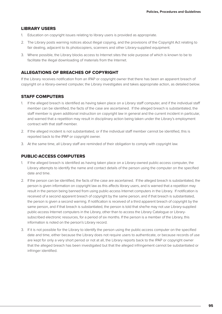#### LIBRARY USERS

- 1. Education on copyright issues relating to library users is provided as appropriate.
- 2. The Library posts warning notices about illegal copying, and the provisions of the Copyright Act relating to fair dealing, adjacent to its photocopiers, scanners and other Library-supplied equipment.
- 3. Where possible, the Library blocks access to Internet sites the sole purpose of which is known to be to facilitate the illegal downloading of materials from the Internet.

#### ALLEGATIONS OF BREACHES OF COPYRIGHT

If the Library receives notification from an IPAP or copyright owner that there has been an apparent breach of copyright on a library-owned computer, the Library investigates and takes appropriate action, as detailed below.

#### STAFF COMPUTERS

- 1. If the alleged breach is identified as having taken place on a Library staff computer, and if the individual staff member can be identified, the facts of the case are ascertained. If the alleged breach is substantiated, the staff member is given additional instruction on copyright law in general and the current incident in particular, and warned that a repetition may result in disciplinary action being taken under the Library's employment contract with that staff member.
- 2. If the alleged incident is not substantiated, or if the individual staff member cannot be identified, this is reported back to the IPAP or copyright owner.
- 3. At the same time, all Library staff are reminded of their obligation to comply with copyright law.

#### PUBLIC-ACCESS COMPUTERS

- 1. If the alleged breach is identified as having taken place on a Library-owned public-access computer, the Library attempts to identify the name and contact details of the person using the computer on the specified date and time.
- 2. If the person can be identified, the facts of the case are ascertained. If the alleged breach is substantiated, the person is given information on copyright law as this affects library users, and is warned that a repetition may result in the person being banned from using public-access Internet computers in the Library. If notification is received of a second apparent breach of copyright by the same person, and if that breach is substantiated, the person is given a second warning. If notification is received of a third apparent breach of copyright by the same person, and if that breach is substantiated, the person is told that she/he may not use Library-supplied public-access Internet computers in the Library, other than to access the Library Catalogue or Librarysubscribed electronic resources, for a period of six months. If the person is a member of the Library, this information is noted on the person's Library record.
- 3. If it is not possible for the Library to identify the person using the public-access computer on the specified date and time, either because the Library does not require users to authenticate, or because records of use are kept for only a very short period or not at all, the Library reports back to the IPAP or copyright owner that the alleged breach has been investigated but that the alleged infringement cannot be substantiated or infringer identified.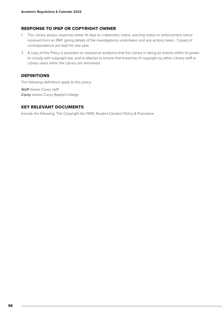#### RESPONSE TO IPAP OR COPYRIGHT OWNER

- 1. The Library always responds within 14 days to a detection notice, warning notice or enforcement notice received from an IPAP, giving details of the investigations undertaken and any actions taken. Copies of correspondence are kept for one year.
- 2. A copy of this Policy is provided on request as evidence that the Library is taking all actions within its power to comply with copyright law, and to attempt to ensure that breaches of copyright by either Library staff or Library users within the Library are minimised.

#### DEFINITIONS

The following definitions apply to this policy:

*Staff* means Carey staff *Carey* means Carey Baptist College

#### KEY RELEVANT DOCUMENTS

Include the following: The Copyright Act 1994, Student Conduct Policy & Procedure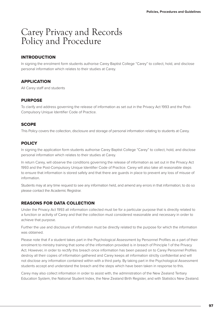### Carey Privacy and Records Policy and Procedure

#### INTRODUCTION

In signing the enrolment form students authorise Carey Baptist College "Carey" to collect, hold, and disclose personal information which relates to their studies at Carey.

#### APPLICATION

All Carey staff and students

#### **PURPOSE**

To clarify and address governing the release of information as set out in the Privacy Act 1993 and the Post-Compulsory Unique Identifier Code of Practice.

#### **SCOPE**

This Policy covers the collection, disclosure and storage of personal information relating to students at Carey.

#### **POLICY**

In signing the application form students authorise Carey Baptist College "Carey" to collect, hold, and disclose personal information which relates to their studies at Carey.

In return Carey, will observe the conditions governing the release of information as set out in the Privacy Act 1993 and the Post-Compulsory Unique Identifier Code of Practice. Carey will also take all reasonable steps to ensure that information is stored safely and that there are guards in place to prevent any loss of misuse of information.

Students may at any time request to see any information held, and amend any errors in that information; to do so please contact the Academic Registrar.

#### REASONS FOR DATA COLLECTION

Under the Privacy Act 1993 all information collected must be for a particular purpose that is directly related to a function or activity of Carey and that the collection must considered reasonable and necessary in order to achieve that purpose.

Further the use and disclosure of information must be directly related to the purpose for which the information was obtained.

Please note that if a student takes part in the Psychological Assessment by Personnel Profiles as a part of their enrolment to ministry training that some of the information provided is in breach of Principle 1 of the Privacy Act. However, in order to rectify this breach once information has been passed on to Carey Personnel Profiles destroy all their copies of information gathered and Carey keeps all information strictly confidential and will not disclose any information contained within with a third party. By taking part in the Psychological Assessment students accept and understand the breach and the steps which have been taken in response to this.

Carey may also collect information in order to assist with, the administration of the New Zealand Tertiary Education System, the National Student Index, the New Zealand Birth Register, and with Statistics New Zealand.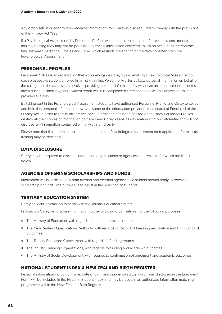Any organisation or agency who receives information from Carey is also required to comply with the provisions of the Privacy Act 1993.

If a Psychological Assessment by Personnel Profiles was undertaken as a part of a student's enrolment to ministry training they may not be permitted to review information collected, this is on account of the contract held between Personnel Profiles and Carey which restricts the sharing of the data collected from the Psychological Assessment.

#### PERSONNEL PROFILES

Personnel Profiles is an organisation that works alongside Carey by undertaking a Psychological Assessment of each prospective student enrolled in ministry training. Personnel Profiles collects personal information on behalf of the college and the assessment involves providing personal information by way of an online questionnaire, notes taken during an interview, and a written report which is completed by Personnel Profile. This information is then provided to Carey.

By taking part in the Psychological Assessment students have authorised Personnel Profile and Carey to collect and hold this personal information however, some of the information provided is in breach of Principle 1 of the Privacy Act; in order to rectify this breach once information has been passed on to Carey Personnel Profiles destroy all their copies of information gathered and Carey keeps all information strictly confidential and will not disclose any information contained within with a third party.

Please note that if a student chooses not to take part in Psychological Assessment their application for ministry training may be declined.

#### DATA DISCLOSURE

Carey may be required to disclose information organisations or agencies, the reasons for which are listed below.

#### AGENCIES OFFERING SCHOLARSHIPS AND FUNDS

Information will be disclosed to both internal and external agencies if a student should apply to receive a scholarship or funds. The purpose is to assist in the selection of students.

#### TERTIARY EDUCATION SYSTEM

Carey collects information to assist with the Tertiary Education System.

In doing so Carey will disclose information to the following organisations, for the following purposes:

- ◊ The Ministry of Education, with regards to student statistical returns.
- ◊ The New Zealand Qualifications Authority, with regards to Record of Learning registration and Unit Standard outcomes.
- ◊ The Tertiary Education Commission, with regards to funding returns.
- ◊ The Industry Training Organisations, with regards to funding and academic outcomes
- ◊ The Ministry of Social Development, with regards to confirmation of enrolment and academic outcomes.

#### NATIONAL STUDENT INDEX & NEW ZEALAND BIRTH REGISTER

Personal information including, name, date of birth, and residency status, which was disclosed in the Enrolment Form, will be included in the National Student Index and may be used in an authorized information matching programme within the New Zealand Birth Register.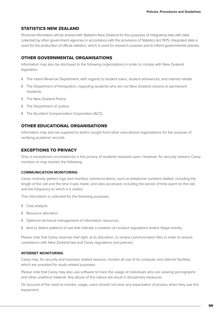#### STATISTICS NEW ZEALAND

Personal information will be shared with Statistics New Zealand for the purposes of integrating data with data collected by other government agencies in accordance with the provisions of Statistics Act 1975. Integrated data is used for the production of official statistics, which is used for research purpose and to inform governmental policies.

#### OTHER GOVERNMENTAL ORGANISATIONS

Information may also be disclosed to the following organisations in order to comply with New Zealand legislation.

- ◊ The Inland Revenue Department, with regards to student loans, student allowances, and interest rebate.
- ◊ The Department of Immigration, regarding students who are not New Zealand citizens or permanent residents.
- ◊ The New Zealand Police.
- ◊ The Department of Justice.
- ◊ The Accident Compensation Corporation (ACC).

#### OTHER EDUCATIONAL ORGANISATIONS

Information may also be supplied to and/or sought from other educational organisations for the purpose of verifying academic records.

#### EXCEPTIONS TO PRIVACY

Only in exceptional circumstances is the privacy of students imposed upon. However, for security reasons Carey monitors or may monitor the following:

#### **COMMUNICATION MONITORING**

Carey routinely gathers logs and monitors communications; such as telephone numbers dialled, including the length of the call and the time it was made, and sites accessed, including the period of time spent on the site and the frequency to which it is visited.

This information is collected for the following purposes:

- ◊ Cost analysis.
- ◊ Resource allocation.
- ◊ Optimum technical management of information resources.
- ◊ And to detect patterns of use that indicate a violation of conduct regulations and/or illegal activity.

Please note that Carey reserves that right, at its discretion, to review communication files in order to ensure compliance with New Zealand law and Carey regulations and policies.

#### **INTERNET MONITORING**

Carey may, for security and business related reasons, monitor all use of its computer and internet facilities, which are provided for study related purposes.

Please note that Carey may also use software to track the usage of individuals who are viewing pornographic and other unethical material. Any abuse of this nature will result in disciplinary measures.

On account of the need to monitor usage, users should not have any expectation of privacy when they use this equipment.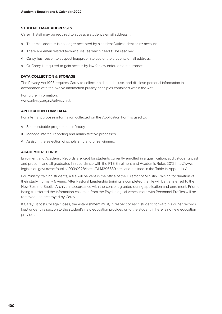#### **STUDENT EMAIL ADDRESSES**

Carey IT staff may be required to access a student's email address if;

- ◊ The email address is no longer accepted by a studentID@lcstudent.ac.nz account.
- ◊ There are email related technical issues which need to be resolved.
- ◊ Carey has reason to suspect inappropriate use of the students email address.
- ◊ Or Carey is required to gain access by law for law enforcement purposes.

#### **DATA COLLECTION & STORAGE**

The Privacy Act 1993 requires Carey to collect, hold, handle, use, and disclose personal information in accordance with the twelve information privacy principles contained within the Act.

For further information: www.privacy.org.nz/privacy-act.

#### **APPLICATION FORM DATA**

For internal purposes information collected on the Application Form is used to:

- ◊ Select suitable programmes of study.
- ◊ Manage internal reporting and administrative processes.
- ◊ Assist in the selection of scholarship and prize winners.

#### **ACADEMIC RECORDS**

Enrolment and Academic Records are kept for students currently enrolled in a qualification, audit students past and present, and all graduates in accordance with the PTE Enrolment and Academic Rules 2012 http://www. legislation.govt.nz/act/public/1993/0028/latest/DLM296639.html and outlined in the Table in Appendix A.

For ministry training students, a file will be kept in the office of the Director of Ministry Training for duration of their study, normally 5 years. After Pastoral Leadership training is completed the file will be transferred to the New Zealand Baptist Archive in accordance with the consent granted during application and enrolment. Prior to being transferred the information collected from the Psychological Assessment with Personnel Profiles will be removed and destroyed by Carey.

If Carey Baptist College closes, the establishment must, in respect of each student, forward his or her records kept under this section to the student's new education provider, or to the student if there is no new education provider.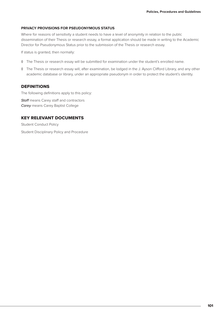#### **PRIVACY PROVISIONS FOR PSEUDONYMOUS STATUS**

Where for reasons of sensitivity a student needs to have a level of anonymity in relation to the public dissemination of their Thesis or research essay, a formal application should be made in writing to the Academic Director for Pseudonymous Status prior to the submission of the Thesis or research essay.

If status is granted, then normally:

- ◊ The Thesis or research essay will be submitted for examination under the student's enrolled name.
- ◊ The Thesis or research essay will, after examination, be lodged in the J. Ayson Clifford Library, and any other academic database or library, under an appropriate pseudonym in order to protect the student's identity.

#### **DEFINITIONS**

The following definitions apply to this policy:

**Staff** means Carey staff and contractors *Carey* means Carey Baptist College

#### KEY RELEVANT DOCUMENTS

Student Conduct Policy Student Disciplinary Policy and Procedure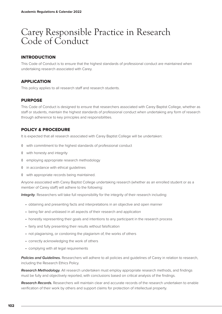### Carey Responsible Practice in Research Code of Conduct

#### INTRODUCTION

This Code of Conduct is to ensure that the highest standards of professional conduct are maintained when undertaking research associated with Carey.

#### APPLICATION

This policy applies to all research staff and research students.

#### **PURPOSE**

This Code of Conduct is designed to ensure that researchers associated with Carey Baptist College, whether as staff or students, maintain the highest standards of professional conduct when undertaking any form of research through adherence to key principles and responsibilities.

#### POLICY & PROCEDURE

It is expected that all research associated with Carey Baptist College will be undertaken:

- ◊ with commitment to the highest standards of professional conduct
- ◊ with honesty and integrity
- ◊ employing appropriate research methodology
- ◊ in accordance with ethical guidelines
- ◊ with appropriate records being maintained.

Anyone associated with Carey Baptist College undertaking research (whether as an enrolled student or as a member of Carey staff) will adhere to the following:

*Integrity*. Researchers will take full responsibility for the integrity of their research including:

- obtaining and presenting facts and interpretations in an objective and open manner
- being fair and unbiased in all aspects of their research and application
- honestly representing their goals and intentions to any participant in the research process
- fairly and fully presenting their results without falsification
- not plagiarising, or condoning the plagiarism of, the works of others
- correctly acknowledging the work of others
- complying with all legal requirements

*Policies and Guidelines.* Researchers will adhere to all policies and guidelines of Carey in relation to research, including the Research Ethics Policy.

*Research Methodology.* All research undertaken must employ appropriate research methods, and findings must be fully and objectively reported, with conclusions based on critical analysis of the findings.

*Research Records.* Researchers will maintain clear and accurate records of the research undertaken to enable verification of their work by others and support claims for protection of intellectual property.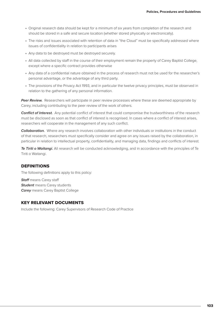- Original research data should be kept for a minimum of six years from completion of the research and should be stored in a safe and secure location (whether stored physically or electronically).
- The risks and issues associated with retention of data in "the Cloud" must be specifically addressed where issues of confidentiality in relation to participants arises
- Any data to be destroyed must be destroyed securely.
- All data collected by staff in the course of their employment remain the property of Carey Baptist College, except where a specific contract provides otherwise
- Any data of a confidential nature obtained in the process of research must not be used for the researcher's personal advantage, or the advantage of any third party.
- The provisions of the Privacy Act 1993, and in particular the twelve privacy principles, must be observed in relation to the gathering of any personal information.

*Peer Review.* Researchers will participate in peer review processes where these are deemed appropriate by Carey, including contributing to the peer review of the work of others.

*Conflict of Interest.* Any potential conflict of interest that could compromise the trustworthiness of the research must be disclosed as soon as that conflict of interest is recognised. In cases where a conflict of interest arises, researchers will cooperate in the management of any such conflict.

*Collaboration.* Where any research involves collaboration with other individuals or institutions in the conduct of that research, researchers must specifically consider and agree on any issues raised by the collaboration, in particular in relation to intellectual property, confidentiality, and managing data, findings and conflicts of interest.

*Te Tiriti o Waitangi.* All research will be conducted acknowledging, and in accordance with the principles of Te Tiriti o Waitangi.

#### DEFINITIONS

The following definitions apply to this policy:

*Staff* means Carey staff **Student** means Carey students *Carey* means Carey Baptist College

#### KEY RELEVANT DOCUMENTS

Include the following: Carey Supervisors of Research Code of Practice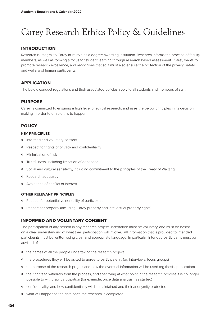# Carey Research Ethics Policy & Guidelines

#### INTRODUCTION

Research is integral to Carey in its role as a degree awarding institution. Research informs the practice of faculty members, as well as forming a focus for student learning through research based assessment. Carey wants to promote research excellence, and recognises that so it must also ensure the protection of the privacy, safety, and welfare of human participants.

#### APPLICATION

The below conduct regulations and their associated policies apply to all students and members of staff.

#### PURPOSE

Carey is committed to ensuring a high level of ethical research, and uses the below principles in its decision making in order to enable this to happen.

#### **POLICY**

#### **KEY PRINCIPLES**

- ◊ Informed and voluntary consent
- ◊ Respect for rights of privacy and confidentiality
- ◊ Minimisation of risk
- ◊ Truthfulness, including limitation of deception
- ◊ Social and cultural sensitivity, including commitment to the principles of the Treaty of Waitangi
- ◊ Research adequacy
- ◊ Avoidance of conflict of interest

#### **OTHER RELEVANT PRINCIPLES**

- ◊ Respect for potential vulnerability of participants
- ◊ Respect for property (including Carey property and intellectual property rights)

#### INFORMED AND VOLUNTARY CONSENT

The participation of any person in any research project undertaken must be voluntary, and must be based on a clear understanding of what their participation will involve. All information that is provided to intended participants must be written using clear and appropriate language. In particular, intended participants must be advised of:

- ◊ the names of all the people undertaking the research project
- ◊ the procedures they will be asked to agree to participate in, (eg interviews, focus groups)
- ◊ the purpose of the research project and how the eventual information will be used (eg thesis, publication)
- ◊ their rights to withdraw from the process, and specifying at what point in the research process it is no longer possible to withdraw participation (for example, once data analysis has started)
- ◊ confidentiality, and how confidentiality will be maintained and their anonymity protected
- ◊ what will happen to the data once the research is completed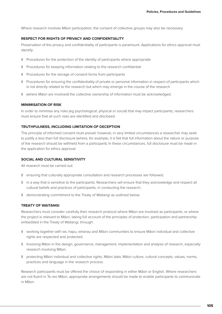Where research involves Māori participation, the consent of collective groups may also be necessary.

#### **RESPECT FOR RIGHTS OF PRIVACY AND CONFIDENTIALITY**

Preservation of the privacy and confidentiality of participants is paramount. Applications for ethics approval must identify:

- ◊ Procedures for the protection of the identity of participants where appropriate
- ◊ Procedures for keeping information relating to the research confidential
- ◊ Procedures for the storage of consent forms from participants
- ◊ Procedures for ensuring the confidentiality of private or personal information in respect of participants which is not directly related to the research but which may emerge in the course of the research
- ◊ (where Māori are involved) the collective ownership of information must be acknowledged.

#### **MINIMISATION OF RISK**

In order to minimise any risks (eg psychological, physical or social) that may impact participants, researchers must ensure that all such risks are identified and disclosed.

#### **TRUTHFULNESS, INCLUDING LIMITATION OF DECEPTION**

The principle of informed consent must prevail; however, in very limited circumstances a researcher may seek to justify a less than full disclosure (where, for example, it is felt that full information about the nature or purpose of the research should be withheld from a participant). In these circumstances, full disclosure must be made in the application for ethics approval.

#### **SOCIAL AND CULTURAL SENSITIVITY**

All research must be carried out:

- ◊ ensuring that culturally appropriate consultation and research processes are followed.
- ◊ in a way that is sensitive to the participants. Researchers will ensure that they acknowledge and respect all cultural beliefs and practices of participants, in conducting the research.
- ◊ demonstrating commitment to the Treaty of Waitangi as outlined below.

#### **TREATY OF WAITANGI**

Researchers must consider carefully their research protocol where Māori are involved as participants, or where the project is relevant to Māori, taking full account of the principles of protection, participation and partnership embedded in the Treaty of Waitangi, through:

- ◊ working together with iwi, hapu, whanau and Māori communities to ensure Māori individual and collective rights are respected and protected.
- ◊ Involving Māori in the design, governance, management, implementation and analysis of research, especially research involving Māori.
- ◊ protecting Māori individual and collective rights, Māori data, Māori culture, cultural concepts, values, norms, practices and language in the research process.

Research participants must be offered the choice of responding in either Māori or English. Where researchers are not fluent in Te reo Māori, appropriate arrangements should be made to enable participants to communicate in Māori.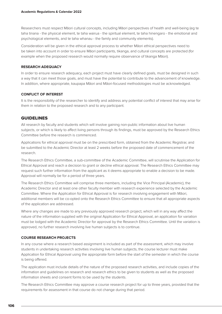Researchers must respect Māori cultural concepts, including Māori perspectives of health and well-being (eg te taha tinana - the physical element, te taha wairua - the spiritual element, te taha hinengaro - the emotional and psychological elements, and te taha whanau - the family and community elements).

Consideration will be given in the ethical approval process to whether Māori ethical perspectives need to be taken into account in order to ensure Māori participants, tikanga, and cultural concepts are protected (for example when the proposed research would normally require observance of tikanga Māori).

#### **RESEARCH ADEQUACY**

In order to ensure research adequacy, each project must have clearly defined goals, must be designed in such a way that it can meet those goals, and must have the potential to contribute to the advancement of knowledge. In addition, where appropriate, kaupapa Māori and Māori-focused methodologies must be acknowledged.

#### **CONFLICT OF INTEREST**

It is the responsibility of the researcher to identify and address any potential conflict of interest that may arise for them in relation to the proposed research and to any participant.

#### GUIDELINES

All research by faculty and students which will involve gaining non-public information about live human subjects, or which is likely to affect living persons through its findings, must be approved by the Research Ethics Committee before the research is commenced.

Applications for ethical approval must be on the prescribed form, obtained from the Academic Registrar, and be submitted to the Academic Director at least 2 weeks before the proposed date of commencement of the research.

The Research Ethics Committee, a sub-committee of the Academic Committee, will scrutinise the Application for Ethical Approval and reach a decision to grant or decline ethical approval. The Research Ethics Committee may request such further information from the applicant as it deems appropriate to enable a decision to be made. Approval will normally be for a period of three years.

The Research Ethics Committee will comprise three members, including the Vice Principal (Academic), the Academic Director and at least one other faculty member with research experience selected by the Academic Committee. Where the Application for Ethical Approval is for research involving engagement with Māori, additional members will be co-opted onto the Research Ethics Committee to ensure that all appropriate aspects of the application are addressed.

Where any changes are made to any previously approved research project, which will in any way affect the nature of the information supplied with the original Application for Ethical Approval, an application for variation must be lodged with the Academic Director for approval by the Research Ethics Committee. Until the variation is approved, no further research involving live human subjects is to continue.

#### **COURSE RESEARCH PROJECTS**

In any course where a research based assignment is included as part of the assessment, which may involve students in undertaking research activities involving live human subjects, the course lecturer must make Application for Ethical Approval using the appropriate form before the start of the semester in which the course is being offered.

The application must include details of the nature of the proposed research activities, and include copies of the information and guidelines on research and research ethics to be given to students as well as the proposed information sheets and consent forms to be used by the students.

The Research Ethics Committee may approve a course research project for up to three years, provided that the requirements for assessment in that course do not change during that period.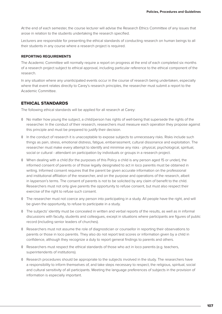At the end of each semester, the course lecturer will advise the Research Ethics Committee of any issues that arose in relation to the students undertaking the research specified.

Lecturers are responsible for presenting the ethical standards of conducting research on human beings to all their students in any course where a research project is required.

#### **REPORTING REQUIREMENTS**

The Academic Committee will normally require a report on progress at the end of each completed six months of a research project subject to ethical approval, including particular reference to the ethical component of the research.

In any situation where any unanticipated events occur in the course of research being undertaken, especially where that event relates directly to Carey's research principles, the researcher must submit a report to the Academic Committee.

#### ETHICAL STANDARDS

The following ethical standards will be applied for all research at Carey:

- ◊ No matter how young the subject, a child/person has rights of well-being that supersede the rights of the researcher. In the conduct of their research, researchers must measure each operation they propose against this principle and must be prepared to justify their decision.
- ◊ In the conduct of research it is unacceptable to expose subjects to unnecessary risks. Risks include such things as pain, stress, emotional distress, fatigue, embarrassment, cultural dissonance and exploitation. The researcher must make every attempt to identify and minimise any risks - physical, psychological, spiritual, social or cultural - attendant on participation by individuals or groups in a research project.
- ◊ When dealing with a child (for the purposes of this Policy a child is any person aged 15 or under), the informed consent of parents or of those legally designated to act in loco parentis must be obtained in writing. Informed consent requires that the parent be given accurate information on the professional and institutional affiliation of the researcher, and on the purpose and operations of the research, albeit in layperson's terms. The consent of parents is not to be solicited by any claim of benefit to the child. Researchers must not only give parents the opportunity to refuse consent, but must also respect their exercise of the right to refuse such consent.
- ◊ The researcher must not coerce any person into participating in a study. All people have the right, and will be given the opportunity, to refuse to participate in a study.
- ◊ The subjects' identity must be concealed in written and verbal reports of the results, as well as in informal discussions with faculty, students and colleagues, except in situations where participants are figures of public record (including senior leaders of churches).
- ◊ Researchers must not assume the role of diagnostician or counsellor in reporting their observations to parents or those in loco parentis. They also do not report test scores or information given by a child in confidence, although they recognize a duty to report general findings to parents and others.
- ◊ Researchers must respect the ethical standards of those who act in loco parentis (e.g. teachers, superintendents of institutions).
- ◊ Research procedures should be appropriate to the subjects involved in the study. The researchers have a responsibility to inform themselves of, and take steps necessary to respect, the religious, spiritual, social and cultural sensitivity of all participants. Meeting the language preferences of subjects in the provision of information is especially important.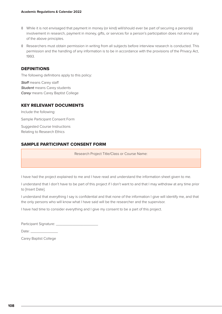- ◊ While it is not envisaged that payment in money (or kind) will/should ever be part of securing a person(s) involvement in research, payment in money, gifts, or services for a person's participation does not annul any of the above principles.
- ◊ Researchers must obtain permission in writing from all subjects before interview research is conducted. This permission and the handling of any information is to be in accordance with the provisions of the Privacy Act, 1993.

#### DEFINITIONS

The following definitions apply to this policy:

*Staff* means Carey staff *Student* means Carey students *Carey* means Carey Baptist College

#### KEY RELEVANT DOCUMENTS

Include the following: Sample Participant Consent Form Suggested Course Instructions Relating to Research Ethics

#### SAMPLE PARTICIPANT CONSENT FORM

Research Project Title/Class or Course Name:

I have had the project explained to me and I have read and understand the information sheet given to me.

I understand that I don't have to be part of this project if I don't want to and that I may withdraw at any time prior to [Insert Date].

I understand that everything I say is confidential and that none of the information I give will identify me, and that the only persons who will know what I have said will be the researcher and the supervisor.

I have had time to consider everything and I give my consent to be a part of this project.

Participant Signature:

Date:

Carey Baptist College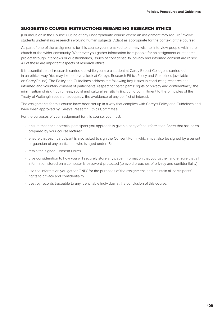#### SUGGESTED COURSE INSTRUCTIONS REGARDING RESEARCH ETHICS

(For inclusion in the Course Outline of any undergraduate course where an assignment may require/involve students undertaking research involving human subjects. Adapt as appropriate for the context of the course.)

As part of one of the assignments for this course you are asked to, or may wish to, interview people within the church or the wider community. Whenever you gather information from people for an assignment or research project through interviews or questionnaires, issues of confidentiality, privacy and informed consent are raised. All of these are important aspects of research ethics.

It is essential that all research carried out while you are a student at Carey Baptist College is carried out in an ethical way. You may like to have a look at Carey's Research Ethics Policy and Guidelines (available on CareyOnline). The Policy and Guidelines address the following key issues in conducting research: the informed and voluntary consent of participants; respect for participants' rights of privacy and confidentiality; the minimisation of risk; truthfulness; social and cultural sensitivity (including commitment to the principles of the Treaty of Waitangi); research adequacy; the avoidance of any conflict of interest.

The assignments for this course have been set up in a way that complies with Carey's Policy and Guidelines and have been approved by Carey's Research Ethics Committee.

For the purposes of your assignment for this course, you must:

- ensure that each potential participant you approach is given a copy of the Information Sheet that has been prepared by your course lecturer
- ensure that each participant is also asked to sign the Consent Form (which must also be signed by a parent or guardian of any participant who is aged under 18)
- retain the signed Consent Forms
- give consideration to how you will securely store any paper information that you gather, and ensure that all information stored on a computer is password-protected (to avoid breaches of privacy and confidentiality)
- use the information you gather ONLY for the purposes of the assignment, and maintain all participants' rights to privacy and confidentiality
- destroy records traceable to any identifiable individual at the conclusion of this course.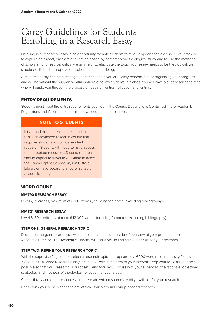# Carey Guidelines for Students Enrolling in a Research Essay

Enrolling in a Research Essay is an opportunity for able students to study a specific topic or issue. Your task is to explore an aspect, problem or question posed by contemporary theological study and to use the methods of scholarship to resolve, critically examine or to elucidate the topic. Your essay needs to be theological, well structured, limited in scope and disciplined in methodology.

A research essay can be a testing experience in that you are solely responsible for organising your progress and will be without the supportive atmosphere of fellow students in a class. You will have a supervisor appointed who will guide you through the process of research, critical reflection and writing.

# ENTRY REQUIREMENTS

Students must meet the entry requirements outlined in the Course Descriptions (contained in the Academic Regulations and Calendar) to enrol in advanced research courses.

# NOTE TO STUDENTS

It is critical that students understand that this is an advanced research course that requires students to do independent research. Students will need to have access to appropriate resources. Distance students should expect to travel to Auckland to access the Carey Baptist College, Ayson Clifford Library or have access to another suitable academic library.

# WORD COUNT

#### **MM790 RESEARCH ESSAY**

Level 7, 15 credits, maximum of 6000 words (including footnotes, excluding bibliography)

#### **MM821 RESEARCH ESSAY**

Level 8, 30 credits, maximum of 12,000 words (including footnotes, excluding bibliography)

#### **STEP ONE: GENERAL RESEARCH TOPIC**

Decide on the general area you wish to research and submit a brief overview of your proposed topic to the Academic Director. The Academic Director will assist you in finding a supervisor for your research.

#### **STEP TWO: REFINE YOUR RESEARCH TOPIC**

With the supervisor's guidance select a research topic, appropriate to a 6000 word research essay for Level 7, and a 15,000 word research essay for Level 8, within the area of your interest. Keep your topic as specific as possible so that your research is purposeful and focused. Discuss with your supervisor the rationale, objectives, strategies, and methods of theological reflection for your study.

Check library and other resources that there are written sources readily available for your research.

Check with your supervisor as to any ethical issues around your proposed research.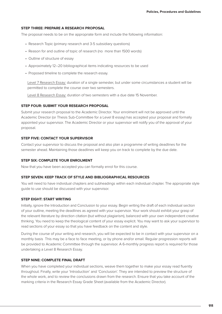#### **STEP THREE: PREPARE A RESEARCH PROPOSAL**

The proposal needs to be on the appropriate form and include the following information:

- Research Topic (primary research and 3-5 subsidiary questions)
- Reason for and outline of topic of research (no more than 1500 words)
- Outline of structure of essay
- Approximately 12–20 bibliographical items indicating resources to be used
- Proposed timeline to complete the research essay.

Level 7 Research Essay: duration of a single semester, but under some circumstances a student will be permitted to complete the course over two semesters.

Level 8 Research Essay: duration of two semesters with a due date 15 November.

#### **STEP FOUR: SUBMIT YOUR RESEARCH PROPOSAL**

Submit your research proposal to the Academic Director. Your enrolment will not be approved until the Academic Director (or Thesis Sub-Committee for a Level 8 essay) has accepted your proposal and formally appointed your supervisor. The Academic Director or your supervisor will notify you of the approval of your proposal.

#### **STEP FIVE: CONTACT YOUR SUPERVISOR**

Contact your supervisor to discuss the proposal and also plan a programme of writing deadlines for the semester ahead. Maintaining those deadlines will keep you on track to complete by the due date.

#### **STEP SIX: COMPLETE YOUR ENROLMENT**

Now that you have been accepted you can formally enrol for this course.

#### **STEP SEVEN: KEEP TRACK OF STYLE AND BIBLIOGRAPHICAL RESOURCES**

You will need to have individual chapters and subheadings within each individual chapter. The appropriate style guide to use should be discussed with your supervisor.

#### **STEP EIGHT: START WRITING**

Initially, ignore the Introduction and Conclusion to your essay. Begin writing the draft of each individual section of your outline, meeting the deadlines as agreed with your supervisor. Your work should exhibit your grasp of the relevant literature by direction citation (but without plagiarism), balanced with your own independent creative thinking. You need to keep the theological content of your essay explicit. You may want to ask your supervisor to read sections of your essay so that you have feedback on the content and style.

During the course of your writing and research, you will be expected to be in contact with your supervisor on a monthly basis This may be a face to face meeting, or by phone and/or email. Regular progression reports will be provided to Academic Committee through the supervisor. A 6-monthly progress report is required for those undertaking a Level 8 Research Essay.

#### **STEP NINE: COMPLETE FINAL DRAFT**

When you have completed your individual sections, weave them together to make your essay read fluently throughout. Finally, write your 'Introduction' and 'Conclusion'. They are intended to preview the structure of the whole work, and to review the conclusions drawn from the research. Ensure that you take account of the marking criteria in the Research Essay Grade Sheet (available from the Academic Director).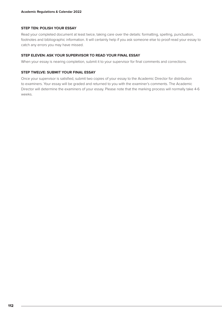#### **STEP TEN: POLISH YOUR ESSAY**

Read your completed document at least twice, taking care over the details: formatting, spelling, punctuation, footnotes and bibliographic information. It will certainly help if you ask someone else to proof-read your essay to catch any errors you may have missed.

#### **STEP ELEVEN: ASK YOUR SUPERVISOR TO READ YOUR FINAL ESSAY**

When your essay is nearing completion, submit it to your supervisor for final comments and corrections.

#### **STEP TWELVE: SUBMIT YOUR FINAL ESSAY**

Once your supervisor is satisfied, submit two copies of your essay to the Academic Director for distribution to examiners. Your essay will be graded and returned to you with the examiner's comments. The Academic Director will determine the examiners of your essay. Please note that the marking process will normally take 4-6 weeks.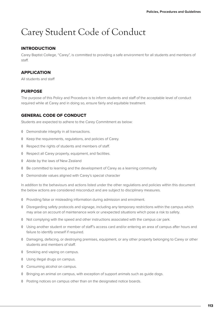# Carey Student Code of Conduct

# INTRODUCTION

Carey Baptist College, "Carey", is committed to providing a safe environment for all students and members of staff.

# **APPLICATION**

All students and staff

#### PURPOSE

The purpose of this Policy and Procedure is to inform students and staff of the acceptable level of conduct required while at Carey and in doing so, ensure fairly and equitable treatment.

# GENERAL CODE OF CONDUCT

Students are expected to adhere to the Carey Commitment as below:

- ◊ Demonstrate integrity in all transactions.
- ◊ Keep the requirements, regulations, and policies of Carey.
- ◊ Respect the rights of students and members of staff.
- ◊ Respect all Carey property, equipment, and facilities.
- ◊ Abide by the laws of New Zealand
- ◊ Be committed to learning and the development of Carey as a learning community
- ◊ Demonstrate values aligned with Carey's special character

In addition to the behaviours and actions listed under the other regulations and policies within this document the below actions are considered misconduct and are subject to disciplinary measures.

- ◊ Providing false or misleading information during admission and enrolment.
- ◊ Disregarding safety protocols and signage, including any temporary restrictions within the campus which may arise on account of maintenance work or unexpected situations which pose a risk to safety.
- ◊ Not complying with the speed and other instructions associated with the campus car park.
- ◊ Using another student or member of staff's access card and/or entering an area of campus after hours and failure to identify oneself if required.
- ◊ Damaging, defacing, or destroying premises, equipment, or any other property belonging to Carey or other students and members of staff.
- ◊ Smoking and vaping on campus.
- ◊ Using illegal drugs on campus.
- ◊ Consuming alcohol on campus.
- ◊ Bringing an animal on campus, with exception of support animals such as guide dogs.
- ◊ Posting notices on campus other than on the designated notice boards.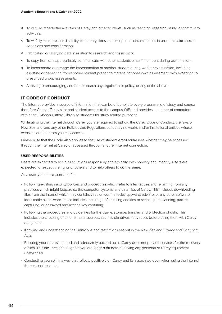- ◊ To wilfully impede the activities of Carey and other students; such as teaching, research, study, or community activities.
- ◊ To wilfully misrepresent disability, temporary illness, or exceptional circumstances in order to claim special conditions and consideration.
- ◊ Fabricating or falsifying data in relation to research and thesis work.
- ◊ To copy from or inappropriately communicate with other students or staff members during examination.
- ◊ To impersonate or arrange the impersonation of another student during work or examination, including assisting or benefiting from another student preparing material for ones-own assessment; with exception to prescribed group assessments.
- ◊ Assisting or encouraging another to breach any regulation or policy, or any of the above.

# IT CODE OF CONDUCT

The internet provides a source of information that can be of benefit to every programme of study and course therefore Carey offers visitor and student access to the campus WiFi and provides a number of computers within the J. Ayson Clifford Library to students for study related purposes.

While utilising the internet through Carey you are required to uphold the Carey Code of Conduct, the laws of New Zealand, and any other Policies and Regulations set out by networks and/or institutional entities whose websites or databases you may access.

Please note that the Code also applies to the use of student email addresses whether they be accessed through the internet at Carey or accessed through another internet connection.

#### **USER RESPONSIBILITIES**

Users are expected to act in all situations responsibly and ethically, with honesty and integrity. Users are expected to respect the rights of others and to help others to do the same.

As a user, you are responsible for:

- Following existing security policies and procedures which refer to Internet use and refraining from any practices which might jeopardise the computer systems and data files of Carey. This includes downloading files from the Internet which may contain; virus or worm attacks, spyware, adware, or any other software identifiable as malware. It also includes the usage of; tracking cookies or scripts, port scanning, packet capturing, or password and access-key capturing.
- Following the procedures and guidelines for the usage, storage, transfer, and protection of data. This includes the checking of external data sources, such as pin drives, for viruses before using them with Carey equipment.
- Knowing and understanding the limitations and restrictions set out in the New Zealand Privacy and Copyright Acts.
- Ensuring your data is secured and adequately backed up as Carey does not provide services for the recovery of files. This includes ensuring that you are logged off before leaving any personal or Carey equipment unattended.
- Conducting yourself in a way that reflects positively on Carey and its associates even when using the internet for personal reasons.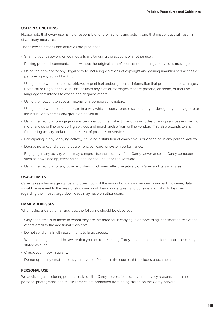#### **USER RESTRICTIONS**

Please note that every user is held responsible for their actions and activity and that misconduct will result in disciplinary measures.

The following actions and activities are prohibited:

- Sharing your password or login details and/or using the account of another user.
- Posting personal communications without the original author's consent or posting anonymous messages.
- Using the network for any illegal activity, including violations of copyright and gaining unauthorised access or performing any acts of hacking.
- Using the network to access, retrieve, or print text and/or graphical information that promotes or encourages unethical or illegal behaviour. This includes any files or messages that are profane, obscene, or that use language that intends to offend and degrade others.
- Using the network to access material of a pornographic nature.
- Using the network to communicate in a way which is considered discriminatory or derogatory to any group or individual, or to harass any group or individual.
- Using the network to engage in any personal commercial activities, this includes offering services and selling merchandise online or ordering services and merchandise from online vendors. This also extends to any fundraising activity and/or endorsement of products or services.
- Participating in any lobbying activity, including distribution of chain emails or engaging in any political activity.
- Degrading and/or disrupting equipment, software, or system performance.
- Engaging in any activity which may compromise the security of the Carey server and/or a Carey computer; such as downloading, exchanging, and storing unauthorized software.
- Using the network for any other activities which may reflect negatively on Carey and its associates.

#### **USAGE LIMITS**

Carey takes a fair usage stance and does not limit the amount of data a user can download. However, data should be relevant to the area of study and work being undertaken and consideration should be given regarding the impact large downloads may have on other users.

#### **EMAIL ADDRESSES**

When using a Carey email address, the following should be observed:

- Only send emails to those to whom they are intended for. If copying in or forwarding, consider the relevance of that email to the additional recipients.
- Do not send emails with attachments to large groups.
- When sending an email be aware that you are representing Carey, any personal opinions should be clearly stated as such.
- Check your inbox regularly.
- Do not open any emails unless you have confidence in the source, this includes attachments.

#### **PERSONAL USE**

We advise against storing personal data on the Carey servers for security and privacy reasons; please note that personal photographs and music libraries are prohibited from being stored on the Carey servers.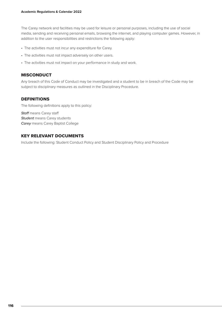The Carey network and facilities may be used for leisure or personal purposes, including the use of social media, sending and receiving personal emails, browsing the internet, and playing computer games. However, in addition to the user responsibilities and restrictions the following apply:

- The activities must not incur any expenditure for Carey.
- The activities must not impact adversely on other users.
- The activities must not impact on your performance in study and work.

#### MISCONDUCT

Any breach of this Code of Conduct may be investigated and a student to be in breach of the Code may be subject to disciplinary measures as outlined in the Disciplinary Procedure.

#### DEFINITIONS

The following definitions apply to this policy:

*Staff* means Carey staff *Student* means Carey students *Carey* means Carey Baptist College

# KEY RELEVANT DOCUMENTS

Include the following: Student Conduct Policy and Student Disciplinary Policy and Procedure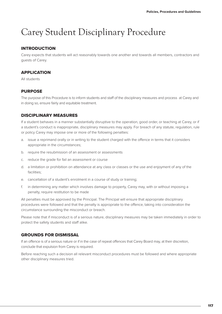# Carey Student Disciplinary Procedure

# INTRODUCTION

Carey expects that students will act reasonably towards one another and towards all members, contractors and guests of Carey.

# **APPLICATION**

All students

# PURPOSE

The purpose of this Procedure is to inform students and staff of the disciplinary measures and process at Carey and in doing so, ensure fairly and equitable treatment.

# DISCIPLINARY MEASURES

If a student behaves in a manner substantially disruptive to the operation, good order, or teaching at Carey, or if a student's conduct is inappropriate, disciplinary measures may apply. For breach of any statute, regulation, rule or policy Carey may impose one or more of the following penalties:

- a. issue a reprimand orally or in writing to the student charged with the offence in terms that it considers appropriate in the circumstances;
- b. require the resubmission of an assessment or assessments
- c. reduce the grade for fail an assessment or course
- d. a limitation or prohibition on attendance at any class or classes or the use and enjoyment of any of the facilities;
- e. cancellation of a student's enrolment in a course of study or training;
- f. in determining any matter which involves damage to property, Carey may, with or without imposing a penalty, require restitution to be made

All penalties must be approved by the Principal. The Principal will ensure that appropriate disciplinary procedures were followed and that the penalty is appropriate to the offence, taking into consideration the circumstance surrounding the misconduct or breach.

Please note that if misconduct is of a serious nature, disciplinary measures may be taken immediately in order to protect the safety students and staff alike.

# GROUNDS FOR DISMISSAL

If an offence is of a serious nature or if in the case of repeat offences that Carey Board may, at their discretion, conclude that expulsion from Carey is required.

Before reaching such a decision all relevant misconduct procedures must be followed and where appropriate other disciplinary measures tried.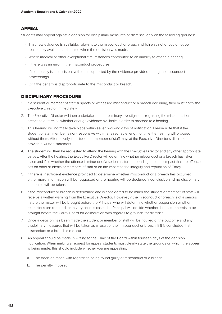# APPEAL

Students may appeal against a decision for disciplinary measures or dismissal only on the following grounds:

- That new evidence is available, relevant to the misconduct or breach, which was not or could not be reasonably available at the time when the decision was made.
- Where medical or other exceptional circumstances contributed to an inability to attend a hearing.
- If there was an error in the misconduct procedures.
- If the penalty is inconsistent with or unsupported by the evidence provided during the misconduct proceedings.
- Or if the penalty is disproportionate to the misconduct or breach.

#### DISCIPLINARY PROCEDURE

- 1. If a student or member of staff suspects or witnessed misconduct or a breach occurring, they must notify the Executive Director immediately
- 2. The Executive Director will then undertake some preliminary investigations regarding the misconduct or breach to determine whether enough evidence available in order to proceed to a hearing.
- 3. This hearing will normally take place within seven working days of notification. Please note that if the student or staff member is non-responsive within a reasonable length of time the hearing will proceed without them. Alternatively, the student or member of staff may, at the Executive Director's discretion, provide a written statement.
- 4. The student will then be requested to attend the hearing with the Executive Director and any other appropriate parties. After the hearing, the Executive Director will determine whether misconduct or a breach has taken place and if so whether the offence is minor or of a serious nature depending upon the impact that the offence has on other students or members of staff or on the impact to the integrity and reputation of Carey.
- 5. If there is insufficient evidence provided to determine whether misconduct or a breach has occurred either more information will be requested or the hearing will be declared inconclusive and no disciplinary measures will be taken.
- 6. If the misconduct or breach is determined and is considered to be minor the student or member of staff will receive a written warning from the Executive Director. However, if the misconduct or breach is of a serious nature the matter will be brought before the Principal who will determine whether suspension or other restrictions are required, or in very serious cases the Principal will decide whether the matter needs to be brought before the Carey Board for deliberation with regards to grounds for dismissal.
- 7. Once a decision has been made the student or member of staff will be notified of the outcome and any disciplinary measures that will be taken as a result of their misconduct or breach, if it is concluded that misconduct or a breach did occur.
- 8. An appeal should be made in writing to the Chair of the Board within fourteen days of the decision notification. When making a request for appeal students must clearly state the grounds on which the appeal is being made; this should include whether you are appealing:
	- a. The decision made with regards to being found guilty of misconduct or a breach.
	- b. The penalty imposed.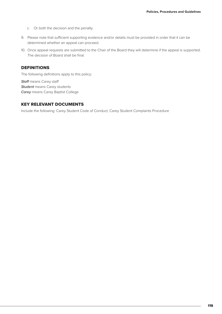- c. Or both the decision and the penalty.
- 9. Please note that sufficient supporting evidence and/or details must be provided in order that it can be determined whether an appeal can proceed.
- 10. Once appeal requests are submitted to the Chair of the Board they will determine if the appeal is supported. The decision of Board shall be final.

# DEFINITIONS

The following definitions apply to this policy:

*Staff* means Carey staff *Student* means Carey students *Carey* means Carey Baptist College

# KEY RELEVANT DOCUMENTS

Include the following: Carey Student Code of Conduct, Carey Student Complaints Procedure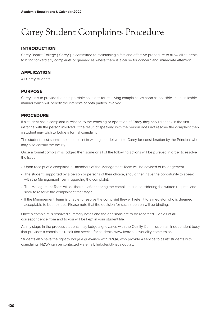# Carey Student Complaints Procedure

# INTRODUCTION

Carey Baptist College ("Carey") is committed to maintaining a fast and effective procedure to allow all students to bring forward any complaints or grievances where there is a cause for concern and immediate attention.

# **APPLICATION**

All Carey students.

# PURPOSE

Carey aims to provide the best possible solutions for resolving complaints as soon as possible, in an amicable manner which will benefit the interests of both parties involved.

# PROCEDURE

If a student has a complaint in relation to the teaching or operation of Carey they should speak in the first instance with the person involved. If the result of speaking with the person does not resolve the complaint then a student may wish to lodge a formal complaint.

The student must submit their complaint in writing and deliver it to Carey for consideration by the Principal who may also consult the faculty.

Once a formal complaint is lodged then some or all of the following actions will be pursued in order to resolve the issue:

- Upon receipt of a complaint, all members of the Management Team will be advised of its lodgement.
- The student, supported by a person or persons of their choice, should then have the opportunity to speak with the Management Team regarding the complaint.
- The Management Team will deliberate, after hearing the complaint and considering the written request, and seek to resolve the complaint at that stage.
- If the Management Team is unable to resolve the complaint they will refer it to a mediator who is deemed acceptable to both parties. Please note that the decision for such a person will be binding.

Once a complaint is resolved summary notes and the decisions are to be recorded. Copies of all correspondence from and to you will be kept in your student file.

At any stage in the process students may lodge a grievance with the Quality Commission, an independent body that provides a complaints resolution service for students: www.itenz.co.nz/quality-commission

Students also have the right to lodge a grievance with NZQA, who provide a service to assist students with complaints. NZQA can be contacted via email, helpdesk@nzqa.govt.nz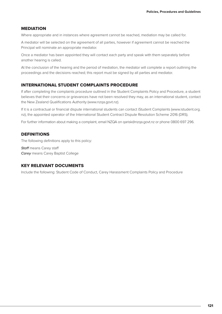#### MEDIATION

Where appropriate and in instances where agreement cannot be reached, mediation may be called for.

A mediator will be selected on the agreement of all parties, however if agreement cannot be reached the Principal will nominate an appropriate mediator.

Once a mediator has been appointed they will contact each party and speak with them separately before another hearing is called.

At the conclusion of the hearing and the period of mediation, the mediator will complete a report outlining the proceedings and the decisions reached; this report must be signed by all parties and mediator.

#### INTERNATIONAL STUDENT COMPLAINTS PROCEDURE

If after completing the complaints procedure outlined in the Student Complaints Policy and Procedure, a student believes that their concerns or grievances have not been resolved they may, as an international student, contact the New Zealand Qualifications Authority (www.nzqa.govt.nz).

If it is a contractual or financial dispute international students can contact iStudent Complaints (www.istudent.org. nz), the appointed operator of the International Student Contract Dispute Resolution Scheme 2016 (DRS).

For further information about making a complaint, email NZQA on qarisk@nzqa.govt.nz or phone 0800 697 296.

## **DEFINITIONS**

The following definitions apply to this policy:

*Staff* means Carey staff *Carey* means Carey Baptist College

# KEY RELEVANT DOCUMENTS

Include the following: Student Code of Conduct, Carey Harassment Complaints Policy and Procedure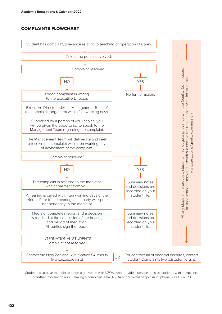# COMPLAINTS FLOWCHART



Students also have the right to lodge a grievance with NZQA, who provide a service to assist students with complaints. For further information about making a complaint, email NZQA at qarisk@nzqa.govt.nz or phone 0800 697 296.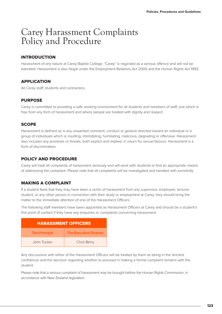# Carey Harassment Complaints Policy and Procedure

# INTRODUCTION

Harassment of any nature at Carey Baptist College, "Carey" is regarded as a serious offence and will not be tolerated. Harassment is also illegal under the Employment Relations Act 2000 and the Human Rights Act 1993.

# APPLICATION

All Carey staff, students and contractors.

# **PURPOSE**

Carey is committed to providing a safe working environment for all students and members of staff, one which is free from any form of harassment and where people are treated with dignity and respect.

# **SCOPE**

Harassment is defined as is any unwanted comment, conduct or gesture directed toward an individual or a group of individuals which is insulting, intimidating, humiliating, malicious, degrading or offensive. Harassment also includes any promises or threats, both explicit and implied, in return for sexual favours. Harassment is a form of discrimination.

# POLICY AND PROCEDURE

Carey will treat all complaints of harassment seriously and will work with students to find an appropriate means of addressing the complaint. Please note that all complaints will be investigated and handled with sensitivity.

# MAKING A COMPLAINT

If a student feels that they may have been a victim of harassment from any supervisor, employee, lecturer, student, or any other person in connection with their study or employment at Carey, they should bring the matter to the immediate attention of one of the Harassment Officers.

The following staff members have been appointed as Harassment Officers at Carey and should be a student's first point of contact if they have any enquiries or complaints concerning harassment.

| <b>HARASSMENT OFFICERS</b> |                               |  |
|----------------------------|-------------------------------|--|
| <b>The Principal</b>       | <b>The Executive Director</b> |  |
| John Tucker                | <b>Chris Berry</b>            |  |

Any discussions with either of the Harassment Officers will be treated by them as being in the strictest confidence and the decision regarding whether to proceed in making a formal complaint remains with the student.

Please note that a serious complaint of harassment may be brought before the Human Rights Commission, in accordance with New Zealand legislation.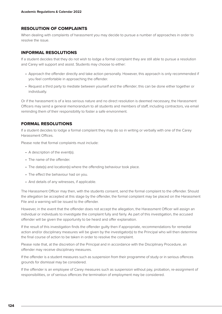# RESOLUTION OF COMPLAINTS

When dealing with complaints of harassment you may decide to pursue a number of approaches in order to resolve the issue.

#### INFORMAL RESOLUTIONS

If a student decides that they do not wish to lodge a formal complaint they are still able to pursue a resolution and Carey will support and assist. Students may choose to either:

- Approach the offender directly and take action personally. However, this approach is only recommended if you feel comfortable in approaching the offender.
- Request a third party to mediate between yourself and the offender; this can be done either together or individually.

Or if the harassment is of a less serious nature and no direct resolution is deemed necessary, the Harassment Officers may send a general memorandum to all students and members of staff, including contractors, via email reminding them of their responsibility to foster a safe environment.

# FORMAL RESOLUTIONS

If a student decides to lodge a formal complaint they may do so in writing or verbally with one of the Carey Harassment Offices.

Please note that formal complaints must include:

- A description of the event(s).
- The name of the offender.
- The date(s) and location(s) where the offending behaviour took place.
- The effect the behaviour had on you.
- And details of any witnesses, if applicable.

The Harassment Officer may then, with the students consent, send the formal complaint to the offender. Should the allegation be accepted at this stage by the offender, the formal complaint may be placed on the Harassment File and a warning will be issued to the offender.

However, in the event that the offender does not accept the allegation, the Harassment Officer will assign an individual or individuals to investigate the complaint fully and fairly. As part of this investigation, the accused offender will be given the opportunity to be heard and offer explanation.

If the result of this investigation finds the offender guilty then if appropriate, recommendations for remedial action and/or disciplinary measures will be given by the investigator(s) to the Principal who will then determine the final course of action to be taken in order to resolve the complaint.

Please note that, at the discretion of the Principal and in accordance with the Disciplinary Procedure, an offender may receive disciplinary measures.

If the offender is a student measures such as suspension from their programme of study or in serious offences grounds for dismissal may be considered.

If the offender is an employee of Carey measures such as suspension without pay, probation, re-assignment of responsibilities, or of serious offences the termination of employment may be considered.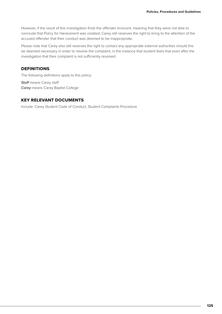However, if the result of this investigation finds the offender innocent, meaning that they were not able to conclude that Policy for Harassment was violated, Carey still reserves the right to bring to the attention of the accused offender that their conduct was deemed to be inappropriate.

Please note that Carey also still reserves the right to contact any appropriate external authorities should this be deemed necessary in order to resolve the complaint, in the instance that student feels that even after the investigation that their complaint is not sufficiently resolved.

# DEFINITIONS

The following definitions apply to this policy:

*Staff* means Carey staff *Carey* means Carey Baptist College

#### KEY RELEVANT DOCUMENTS

Include: Carey Student Code of Conduct, Student Complaints Procedure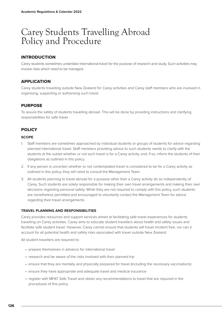# Carey Students Travelling Abroad Policy and Procedure

# INTRODUCTION

Carey students sometimes undertake international travel for the purpose of research and study. Such activities may involve risks which need to be managed.

# APPLICATION

Carey students travelling outside New Zealand for Carey activities and Carey staff members who are involved in organising, supporting or authorising such travel.

# PURPOSE

To assure the safety of students travelling abroad. This will be done by providing instructions and clarifying responsibilities for safe travel.

# **POLICY**

#### **SCOPE**

- 1. Staff members are sometimes approached by individual students or groups of students for advice regarding planned international travel. Staff members providing advice to such students needs to clarify with the students at the outset whether or not such travel is for a Carey activity, and, if so, inform the students of their obligations as outlined in this policy.
- 2. If any person is uncertain whether or not contemplated travel is considered to be for a Carey activity as outlined in this policy, they will need to consult the Management Team.
- 3. All students planning to travel abroad for a purpose other than a Carey activity do so independently of Carey. Such students are solely responsible for making their own travel arrangements and making their own decisions regarding personal safety. While they are not required to comply with this policy, such students are nonetheless permitted and encouraged to voluntarily contact the Management Team for advice regarding their travel arrangements.

#### **TRAVEL PLANNING AND RESPONSIBILITIES**

Carey provides resources and support services aimed at facilitating safe travel experiences for students travelling on Carey activities. Carey aims to educate student travellers about health and safety issues and facilitate safe student travel. However, Carey cannot ensure that students will travel incident free, nor can it account for all potential health and safety risks associated with travel outside New Zealand

All student travellers are required to:

- prepare themselves in advance for international travel
- research and be aware of the risks involved with their planned trip
- ensure that they are mentally and physically prepared for travel (including the necessary vaccinations)
- ensure they have appropriate and adequate travel and medical insurance
- register with MFAT Safe Travel and obtain any recommendations to travel that are required in the procedures of this policy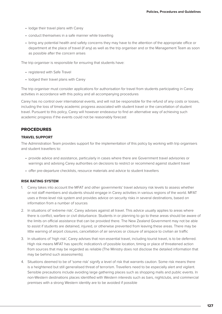- lodge their travel plans with Carey
- conduct themselves in a safe manner while travelling
- bring any potential health and safety concerns they may have to the attention of the appropriate office or department at the place of travel (if any) as well as the trip organiser and or the Management Team as soon as possible after the concern arises

The trip organiser is responsible for ensuring that students have:

- registered with Safe Travel
- lodged their travel plans with Carey

The trip organiser must consider applications for authorisation for travel from students participating in Carey activities in accordance with this policy and all accompanying procedures

Carey has no control over international events, and will not be responsible for the refund of any costs or losses, including the loss of timely academic progress associated with student travel or the cancellation of student travel. Pursuant to this policy, Carey will however endeavour to find an alternative way of achieving such academic progress if the events could not be reasonably forecast

#### PROCEDURES

#### **TRAVEL SUPPORT**

The Administration Team provides support for the implementation of this policy by working with trip organisers and student travellers to:

- provide advice and assistance, particularly in cases where there are Government travel advisories or warnings and advising Carey authorities on decisions to restrict or recommend against student travel
- offer pre-departure checklists, resource materials and advice to student travellers

#### **RISK RATING SYSTEM**

- 1. Carey takes into account the MFAT and other governments' travel advisory risk levels to assess whether or not staff members and students should engage in Carey activities in various regions of the world. MFAT uses a three-level risk system and provides advice on security risks in several destinations, based on information from a number of sources
- 2. In situations of 'extreme risk', Carey advises against all travel. This advice usually applies to areas where there is conflict, warfare or civil disturbance. Students in or planning to go to these areas should be aware of the limits on official assistance that can be provided there. The New Zealand Government may not be able to assist if students are detained, injured, or otherwise prevented from leaving these areas. There may be little warning of airport closures, cancellation of air services or closure of airspace to civilian air traffic
- 3. In situations of 'high risk', Carey advises that non-essential travel, including tourist travel, is to be deferred. High risk means MFAT has specific indication/s of possible location, timing or place of threatened action from sources that may be regarded as reliable (The Ministry does not disclose the detailed information that may be behind such assessments).
- 4. Situations deemed to be of 'some risk' signify a level of risk that warrants caution. Some risk means there is a heightened but still generalised threat of terrorism. Travellers need to be especially alert and vigilant. Sensible precautions include avoiding large gathering places such as shopping malls and public events. In non-Western destinations places identified with Western interests such as bars, nightclubs, and commercial premises with a strong Western identity are to be avoided if possible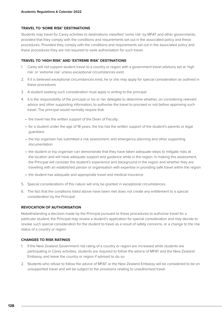#### **TRAVEL TO 'SOME RISK' DESTINATIONS**

Students may travel for Carey activities to destinations classified 'some risk' by MFAT and other governments, provided that they comply with the conditions and requirements set out in the associated policy and these procedures. Provided they comply with the conditions and requirements set out in the associated policy and these procedures they are not required to seek authorisation for such travel.

#### **TRAVEL TO 'HIGH RISK' AND 'EXTREME RISK' DESTINATIONS**

- 1. Carey will not support student travel to a country or region with a government travel advisory set at 'high risk' or 'extreme risk' unless exceptional circumstances exist.
- 2. If it is believed exceptional circumstances exist, he or she may apply for special consideration as outlined in these procedures
- 3. A student seeking such consideration must apply in writing to the principal
- 4. It is the responsibility of the principal or his or her delegate to determine whether, on considering relevant advice and other supporting information, to authorise the travel to proceed or not before approving such travel. The principal would normally require that:
	- the travel has the written support of the Dean of Faculty;
	- for a student under the age of 18 years, the trip has the written support of the student's parents or legal guardians
	- the trip organiser has submitted a risk assessment, and emergency planning and other supporting documentation
	- the student or trip organiser can demonstrate that they have taken adequate steps to mitigate risks at the location and will have adequate support and guidance while in the region. In making this assessment, the Principal will consider the student's experience and background in the region and whether they are travelling with an established person or organisation with expertise in providing safe travel within the region
	- the student has adequate and appropriate travel and medical insurance
- 5. Special considerations of this nature will only be granted in exceptional circumstances.
- 6. The fact that the conditions listed above have been met does not create any entitlement to a special consideration by the Principal

#### **REVOCATION OF AUTHORISATION**

Notwithstanding a decision made by the Principal pursuant to these procedures to authorise travel for a particular student, the Principal may review a student's application for special consideration and may decide to revoke such special consideration for the student to travel as a result of safety concerns, or a change to the risk status of a country or region

#### **CHANGES TO RISK RATINGS**

- 1. If the New Zealand Government risk rating of a country or region are increased while students are participating in Carey activities, students are required to follow the advice of MFAT and the New Zealand Embassy, and leave the country or region if advised to do so.
- 2. Students who refuse to follow the advice of MFAT or the New Zealand Embassy will be considered to be on unsupported travel and will be subject to the provisions relating to unauthorised travel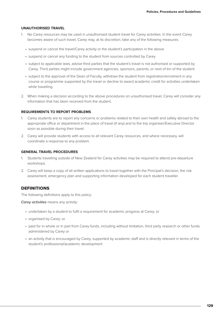#### **UNAUTHORISED TRAVEL**

- 1. No Carey resources may be used in unauthorised student travel for Carey activities. In the event Carey becomes aware of such travel, Carey may, at its discretion, take any of the following measures:
	- suspend or cancel the travel/Carey activity or the student's participation in the above
	- suspend or cancel any funding to the student from sources controlled by Carey
	- subject to applicable laws, advise third parties that the student's travel is not authorised or supported by Carey. Third parties might include government agencies, sponsors, parents, or next of kin of the student
	- subject to the approval of the Dean of Faculty, withdraw the student from registration/enrolment in any course or programme supported by the travel or decline to award academic credit for activities undertaken while travelling.
- 2. When making a decision according to the above procedures on unauthorised travel, Carey will consider any information that has been received from the student.

#### **REQUIREMENTS TO REPORT PROBLEMS**

- 1. Carey students are to report any concerns or problems related to their own health and safety abroad to the appropriate office or department in the place of travel (if any) and to the trip organiser/Executive Director soon as possible during their travel.
- 2. Carey will provide students with access to all relevant Carey resources, and where necessary, will coordinate a response to any problem.

#### **GENERAL TRAVEL PROCEDURES**

- 1. Students travelling outside of New Zealand for Carey activities may be required to attend pre-departure workshops.
- 2. Carey will keep a copy of all written applications to travel together with the Principal's decision, the risk assessment, emergency plan and supporting information developed for each student traveller.

#### DEFINITIONS

The following definitions apply to this policy:

*Carey activities* means any activity:

- undertaken by a student to fulfil a requirement for academic progress at Carey; or
- organised by Carey; or
- paid for in whole or in part from Carey funds, including without limitation, third party research or other funds administered by Carey or
- an activity that is encouraged by Carey, supported by academic staff and is directly relevant in terms of the student's professional/academic development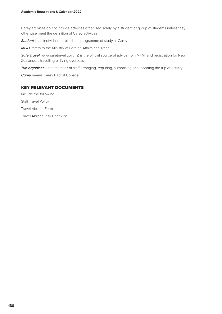Carey activities do not include activities organised solely by a student or group of students unless they otherwise meet the definition of Carey activities

*Student* is an individual enrolled in a programme of study at Carey

*MFAT* refers to the Ministry of Foreign Affairs and Trade

*Safe Travel* (www.safetravel.govt.nz) is the official source of advice from MFAT and registration for New Zealanders travelling or living overseas

*Trip organiser* is the member of staff arranging, requiring, authorising or supporting the trip or activity

*Carey* means Carey Baptist College

#### KEY RELEVANT DOCUMENTS

Include the following: Staff Travel Policy Travel Abroad Form Travel Abroad Risk Checklist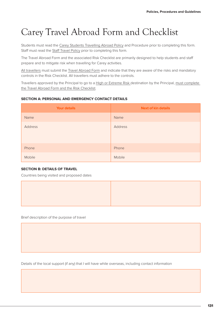# Carey Travel Abroad Form and Checklist

Students must read the Carey Students Travelling Abroad Policy and Procedure prior to completing this form. Staff must read the Staff Travel Policy prior to completing this form.

The Travel Abroad Form and the associated Risk Checklist are primarily designed to help students and staff prepare and to mitigate risk when travelling for Carey activities.

All travellers must submit the Travel Abroad Form and indicate that they are aware of the risks and mandatory controls in the Risk Checklist. All travellers must adhere to the controls.

Travellers approved by the Principal to go to a High or Extreme Risk destination by the Principal, must complete the Travel Abroad Form and the Risk Checklist.

#### **SECTION A: PERSONAL AND EMERGENCY CONTACT DETAILS**

| <b>Your details</b> | <b>Next of kin details</b> |
|---------------------|----------------------------|
| Name                | Name                       |
| Address             | Address                    |
| Phone               | Phone                      |
| Mobile              | Mobile                     |

#### **SECTION B: DETAILS OF TRAVEL**

Countries being visited and proposed dates



Brief description of the purpose of travel

Details of the local support (if any) that I will have while overseas, including contact information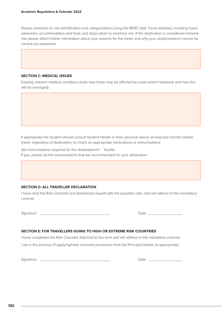Please comment on risk identification and categorization (using the MFAT Safe Travel website), including travel advisories, accommodation and food, and steps taken to minimize risk. If the destination is considered extreme risk please attach further information about your reasons for the travel, and why your study/research cannot be carried out elsewhere.

#### **SECTION C: MEDICAL ISSUES**

Existing relevant medical conditions (note how these may be affected by travel and/or fieldwork and how this will be managed).

If appropriate the student should consult Student Health or their personal doctor at least two months before travel, regardless of destination, to check on appropriate medications or immunisations.

Are Immunisations required for the destination/s? Yes/No If yes, please list the immunisations that are recommended for your destination:

#### **SECTION D: ALL TRAVELLER DECLARATION**

I have read the Risk Checklist and familiarized myself with the possible risks, and will adhere to the mandatory controls.

Signature : \_\_\_\_\_\_\_\_\_\_\_\_\_\_\_\_\_\_\_\_\_\_\_\_\_\_\_\_\_\_\_\_\_ Date: \_\_\_\_\_\_\_\_\_\_\_\_\_\_\_\_

#### **SECTION E: FOR TRAVELLERS GOING TO HIGH OR EXTREME RISK COUNTRIES**

I have completed the Risk Checklist attached to this form and will adhere to the mandatory controls.

I am in the process of applying/have received permission from the Principal [delete as appropriate]

Signature : \_\_\_\_\_\_\_\_\_\_\_\_\_\_\_\_\_\_\_\_\_\_\_\_\_\_\_\_\_\_\_\_\_ Date: \_\_\_\_\_\_\_\_\_\_\_\_\_\_\_\_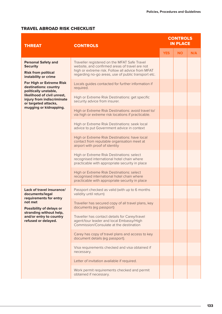# TRAVEL ABROAD RISK CHECKLIST

| <b>THREAT</b>                                                                                       | <b>CONTROLS</b>                                                                                                                                                                                            |            | <b>CONTROLS</b><br><b>IN PLACE</b> |     |  |
|-----------------------------------------------------------------------------------------------------|------------------------------------------------------------------------------------------------------------------------------------------------------------------------------------------------------------|------------|------------------------------------|-----|--|
|                                                                                                     |                                                                                                                                                                                                            | <b>YES</b> | <b>NO</b>                          | N/A |  |
| <b>Personal Safety and</b><br><b>Security</b><br><b>Risk from political</b><br>instability or crime | Traveller registered on the MFAT Safe Travel<br>website, and confirmed areas of travel are not<br>high or extreme risk. Follow all advice from MFAT<br>regarding no-go areas, use of public transport etc. |            |                                    |     |  |
| For High or Extreme Risk<br>destinations: country<br>politically unstable,                          | Locals guides contacted for further information if<br>required.                                                                                                                                            |            |                                    |     |  |
| likelihood of civil unrest,<br>injury from indiscriminate<br>or targeted attacks,                   | High or Extreme Risk Destinations: get specific<br>security advice from insurer.                                                                                                                           |            |                                    |     |  |
| mugging or kidnapping.                                                                              | High or Extreme Risk Destinations: avoid travel to/<br>via high or extreme risk locations if practicable.                                                                                                  |            |                                    |     |  |
|                                                                                                     | High or Extreme Risk Destinations: seek local<br>advice to put Government advice in context                                                                                                                |            |                                    |     |  |
|                                                                                                     | High or Extreme Risk Destinations: have local<br>contact from reputable organisation meet at<br>airport with proof of identity                                                                             |            |                                    |     |  |
|                                                                                                     | High or Extreme Risk Destinations: select<br>recognised international hotel chain where<br>practicable with appropriate security in place                                                                  |            |                                    |     |  |
|                                                                                                     | High or Extreme Risk Destinations: select<br>recognised international hotel chain where<br>practicable with appropriate security in place                                                                  |            |                                    |     |  |
| Lack of travel insurance/<br>documents/legal<br>requirements for entry                              | Passport checked as valid (with up to 6 months<br>validity until return)                                                                                                                                   |            |                                    |     |  |
| not met<br><b>Possibility of delays or</b>                                                          | Traveller has secured copy of all travel plans, key<br>documents (eg passport)                                                                                                                             |            |                                    |     |  |
| stranding without help,<br>and/or entry to country<br>refused or delayed.                           | Traveller has contact details for Carey/travel<br>agent/tour leader and local Embassy/High<br>Commission/Consulate at the destination                                                                      |            |                                    |     |  |
|                                                                                                     | Carey has copy of travel plans and access to key<br>document details (eg passport).                                                                                                                        |            |                                    |     |  |
|                                                                                                     | Visa requirements checked and visa obtained if<br>necessary.                                                                                                                                               |            |                                    |     |  |
|                                                                                                     | Letter of invitation available if required.                                                                                                                                                                |            |                                    |     |  |
|                                                                                                     | Work permit requirements checked and permit<br>obtained if necessary.                                                                                                                                      |            |                                    |     |  |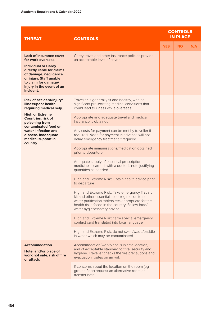| <b>THREAT</b>                                                                                                                                                                  | <b>CONTROLS</b>                                                                                                                                                                                                                              | <b>CONTROLS</b><br><b>IN PLACE</b> |           |     |
|--------------------------------------------------------------------------------------------------------------------------------------------------------------------------------|----------------------------------------------------------------------------------------------------------------------------------------------------------------------------------------------------------------------------------------------|------------------------------------|-----------|-----|
|                                                                                                                                                                                |                                                                                                                                                                                                                                              | <b>YES</b>                         | <b>NO</b> | N/A |
| <b>Lack of insurance cover</b><br>for work overseas.                                                                                                                           | Carey travel and other insurance policies provide<br>an acceptable level of cover.                                                                                                                                                           |                                    |           |     |
| <b>Individual or Carey</b><br>directly liable for claims<br>of damage, negligence<br>or injury. Staff unable<br>to claim for damage/<br>injury in the event of an<br>incident. |                                                                                                                                                                                                                                              |                                    |           |     |
| <b>Risk of accident/injury/</b><br>illness/poor health<br>requiring medical help.                                                                                              | Traveller is generally fit and healthy, with no<br>significant pre-existing medical conditions that<br>could lead to illness while overseas.                                                                                                 |                                    |           |     |
| <b>High or Extreme</b><br><b>Countries: risk of</b><br>poisoning from                                                                                                          | Appropriate and adequate travel and medical<br>insurance is obtained.                                                                                                                                                                        |                                    |           |     |
| contaminated food or<br>water, infection and<br>disease. Inadequate<br>medical support in<br>country                                                                           | Any costs for payment can be met by traveller if<br>required. Need for payment in advance will not<br>delay emergency treatment if required.                                                                                                 |                                    |           |     |
|                                                                                                                                                                                | Appropriate immunisations/medication obtained<br>prior to departure.                                                                                                                                                                         |                                    |           |     |
|                                                                                                                                                                                | Adequate supply of essential prescription<br>medicine is carried, with a doctor's note justifying<br>quantities as needed.                                                                                                                   |                                    |           |     |
|                                                                                                                                                                                | High and Extreme Risk: Obtain health advice prior<br>to departure                                                                                                                                                                            |                                    |           |     |
|                                                                                                                                                                                | High and Extreme Risk: Take emergency first aid<br>kit and other essential items (eg mosquito net,<br>water purification tablets etc) appropriate for the<br>health risks faced in the country. Follow food/<br>water hygiene/safety advice. |                                    |           |     |
|                                                                                                                                                                                | High and Extreme Risk: carry special emergency<br>contact card translated into local language                                                                                                                                                |                                    |           |     |
|                                                                                                                                                                                | High and Extreme Risk: do not swim/wade/paddle<br>in water which may be contaminated                                                                                                                                                         |                                    |           |     |
| <b>Accommodation</b><br>Hotel and/or place of<br>work not safe, risk of fire<br>or attack.                                                                                     | Accommodation/workplace is in safe location,<br>and of acceptable standard for fire, security and<br>hygiene. Traveller checks the fire precautions and<br>evacuation routes on arrival.                                                     |                                    |           |     |
|                                                                                                                                                                                | If concerns about the location on the room (eg<br>ground floor) request an alternative room or<br>transfer hotel.                                                                                                                            |                                    |           |     |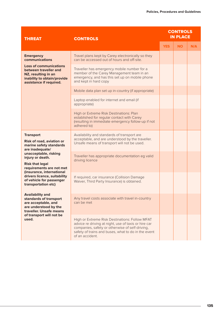| <b>THREAT</b>                                                                                                                                            | <b>CONTROLS</b>                                                                                                                                                                                                                     |            | <b>CONTROLS</b><br><b>IN PLACE</b> |     |  |
|----------------------------------------------------------------------------------------------------------------------------------------------------------|-------------------------------------------------------------------------------------------------------------------------------------------------------------------------------------------------------------------------------------|------------|------------------------------------|-----|--|
|                                                                                                                                                          |                                                                                                                                                                                                                                     | <b>YES</b> | <b>NO</b>                          | N/A |  |
| <b>Emergency</b><br>communications                                                                                                                       | Travel plans kept by Carey electronically so they<br>can be accessed out of hours and off-site.                                                                                                                                     |            |                                    |     |  |
| <b>Loss of communications</b><br>between traveller and<br>NZ, resulting in an<br>inability to obtain/provide<br>assistance if required.                  | Traveller has emergency mobile number for a<br>member of the Carey Management team in an<br>emergency, and has this set up on mobile phone<br>and kept in hard copy                                                                 |            |                                    |     |  |
|                                                                                                                                                          | Mobile data plan set up in-country (if appropriate)                                                                                                                                                                                 |            |                                    |     |  |
|                                                                                                                                                          | Laptop enabled for internet and email (if<br>appropriate)                                                                                                                                                                           |            |                                    |     |  |
|                                                                                                                                                          | High or Extreme Risk Destinations: Plan<br>established for regular contact with Carey<br>(resulting in immediate emergency follow-up if not<br>adhered to)                                                                          |            |                                    |     |  |
| <b>Transport</b><br><b>Risk of road, aviation or</b><br>marine safety standards<br>are inadequate/                                                       | Availability and standards of transport are<br>acceptable, and are understood by the traveller.<br>Unsafe means of transport will not be used.                                                                                      |            |                                    |     |  |
| unacceptable, risking<br>injury or death.<br><b>Risk that legal</b><br>requirements are not met                                                          | Traveller has appropriate documentation eg valid<br>driving licence                                                                                                                                                                 |            |                                    |     |  |
| (insurance, international<br>drivers licence, suitability<br>of vehicle for passenger<br>transportation etc)                                             | If required, car insurance (Collision Damage<br>Waiver, Third Party Insurance) is obtained.                                                                                                                                         |            |                                    |     |  |
| <b>Availability and</b><br>standards of transport<br>are acceptable, and<br>are understood by the<br>traveller. Unsafe means<br>of transport will not be | Any travel costs associate with travel in-country<br>can be met                                                                                                                                                                     |            |                                    |     |  |
| used.                                                                                                                                                    | High or Extreme Risk Destinations: Follow MFAT<br>advice re driving at night, use of taxis or hire car<br>companies, safety or otherwise of self-driving,<br>safety of trains and buses, what to do in the event<br>of an accident. |            |                                    |     |  |
|                                                                                                                                                          |                                                                                                                                                                                                                                     |            |                                    |     |  |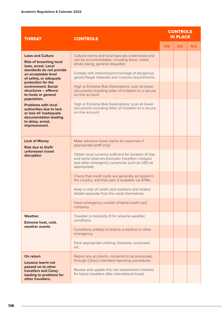| <b>THREAT</b>                                                                                                                                  | <b>CONTROLS</b>                                                                                                                                                          |            | <b>CONTROLS</b><br><b>IN PLACE</b> |     |  |
|------------------------------------------------------------------------------------------------------------------------------------------------|--------------------------------------------------------------------------------------------------------------------------------------------------------------------------|------------|------------------------------------|-----|--|
|                                                                                                                                                |                                                                                                                                                                          | <b>YES</b> | <b>NO</b>                          | N/A |  |
| <b>Laws and Culture</b><br><b>Risk of breaching local</b><br>laws, arrest. Local                                                               | Cultural norms and local laws are understood and<br>can be accommodated, including dress codes,<br>photo taking, general etiquette)                                      |            |                                    |     |  |
| standards do not provide<br>an acceptable level<br>of safety, or adequate                                                                      | Comply with import/export/carriage of dangerous<br>goods/illegal materials and customs requirements.                                                                     |            |                                    |     |  |
| protection for the<br>environment. Social<br>structures - offence<br>to hosts or general<br>population.                                        | High or Extreme Risk Destinations: scan all travel<br>documents including letter of invitation to a secure<br>on-line account.                                           |            |                                    |     |  |
| <b>Problems with local</b><br>authorities due to lack<br>or loss of/ inadequate<br>documentation leading<br>to delay, arrest,<br>imprisonment. | High or Extreme Risk Destinations: scan all travel<br>documents including letter of invitation to a secure<br>on-line account.                                           |            |                                    |     |  |
| <b>Lack of Money</b><br>Risk due to theft/<br>unforeseen travel<br>disruption                                                                  | Make advance travel claims for expenses if<br>appropriate (staff only)                                                                                                   |            |                                    |     |  |
|                                                                                                                                                | Obtain local currency sufficient for duration of stay<br>and some reserves (consider travellers cheques<br>and other emergency currencies such as USD as<br>appropriate) |            |                                    |     |  |
|                                                                                                                                                | Check that credit cards are generally accepted in<br>the country, and that cash is available via ATMs.                                                                   |            |                                    |     |  |
|                                                                                                                                                | Keep a note of credit card numbers and related<br>details separate from the cards themselves.                                                                            |            |                                    |     |  |
|                                                                                                                                                | Have emergency number of bank/credit card<br>company.                                                                                                                    |            |                                    |     |  |
| Weather<br><b>Extreme heat, cold,</b><br>weather events                                                                                        | Traveller is medically fit for adverse weather<br>conditions.                                                                                                            |            |                                    |     |  |
|                                                                                                                                                | Conditions unlikely to lead to a medical or other<br>emergency.                                                                                                          |            |                                    |     |  |
|                                                                                                                                                | Pack appropriate clothing, footwear, sunscreen<br>etc.                                                                                                                   |            |                                    |     |  |
| On return<br><b>Lessons learnt not</b>                                                                                                         | Report any accidents, incidents to be processed<br>through Carey's standard reporting procedures.                                                                        |            |                                    |     |  |
| passed on to other<br>travellers and Carey<br>leading to problems for<br>other travellers.                                                     | Review and update this risk assessment checklist<br>for future travellers after international travel.                                                                    |            |                                    |     |  |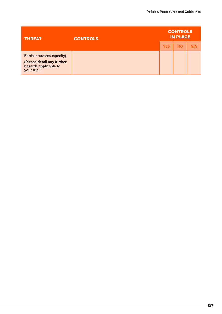| <b>THREAT</b>                                                                                          | <b>CONTROLS</b> | <b>CONTROLS</b><br><b>IN PLACE</b> |           |     |
|--------------------------------------------------------------------------------------------------------|-----------------|------------------------------------|-----------|-----|
|                                                                                                        |                 | <b>YES</b>                         | <b>NO</b> | N/A |
| <b>Further hazards (specify)</b><br>(Please detail any further<br>hazards applicable to<br>your trip.) |                 |                                    |           |     |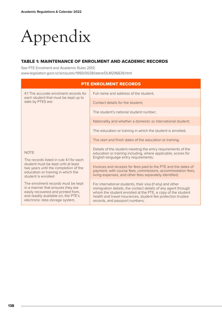# Appendix

# TABLE 1: MAINTENANCE OF ENROLMENT AND ACADEMIC RECORDS

See PTE Enrolment and Academic Rules 2012: www.legislation.govt.nz/act/public/1993/0028/latest/DLM296639.html

| <b>PTE ENROLMENT RECORDS</b>                                                                                                                                                                  |                                                                                                                                                                                                                                                                                             |  |  |
|-----------------------------------------------------------------------------------------------------------------------------------------------------------------------------------------------|---------------------------------------------------------------------------------------------------------------------------------------------------------------------------------------------------------------------------------------------------------------------------------------------|--|--|
| 4.1 The accurate enrolment records for<br>each student that must be kept up to                                                                                                                | Full name and address of the student;                                                                                                                                                                                                                                                       |  |  |
| date by PTES are:                                                                                                                                                                             | Contact details for the student:                                                                                                                                                                                                                                                            |  |  |
|                                                                                                                                                                                               | The student's national student number;                                                                                                                                                                                                                                                      |  |  |
|                                                                                                                                                                                               | Nationality and whether a domestic or international student;                                                                                                                                                                                                                                |  |  |
|                                                                                                                                                                                               | The education or training in which the student is enrolled;                                                                                                                                                                                                                                 |  |  |
| NOTE:<br>The records listed in rule 4.1 for each<br>student must be kept until at least<br>two years until the completion of the<br>education or training in which the<br>student is enrolled | The start and finish dates of the education or training;                                                                                                                                                                                                                                    |  |  |
|                                                                                                                                                                                               | Details of the student meeting the entry requirements of the<br>education or training including, where applicable, scores for<br>English language entry requirements;                                                                                                                       |  |  |
|                                                                                                                                                                                               | Invoices and receipts for fees paid to the PTE and the dates of<br>payment, with course fees, commissions, accommodation fees,<br>living expenses, and other fees separately identified;                                                                                                    |  |  |
| The enrolment records must be kept<br>in a manner that ensures they are<br>easily recovered and printed from,<br>and readily available on, the PTE's<br>electronic data storage system.       | For international students, their visa (if any) and other<br>immigration details, the contact details of any agent through<br>whom the student enrolled at the PTE, a copy of the student<br>health and travel insurances, student fee protection trustee<br>records, and passport numbers. |  |  |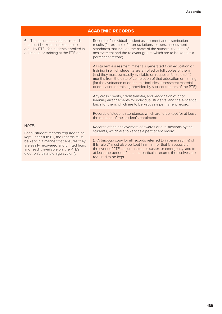| <b>ACADEMIC RECORDS</b>                                                                                                                                                                                                                                                                                                                                                                                             |                                                                                                                                                                                                                                                                                                                                                                                                                |  |
|---------------------------------------------------------------------------------------------------------------------------------------------------------------------------------------------------------------------------------------------------------------------------------------------------------------------------------------------------------------------------------------------------------------------|----------------------------------------------------------------------------------------------------------------------------------------------------------------------------------------------------------------------------------------------------------------------------------------------------------------------------------------------------------------------------------------------------------------|--|
| 6.1 The accurate academic records<br>that must be kept, and kept up to<br>date, by PTEs for students enrolled in<br>education or training at the PTE are:<br>NOTE:<br>For all student records required to be<br>kept under rule 6.1, the records must<br>be kept in a manner that ensures they<br>are easily recovered and printed from,<br>and readily available on, the PTE's<br>electronic data storage system); | Records of individual student assessment and examination<br>results (for example, for prescriptions, papers, assessment<br>standards) that include the name of the student, the date of<br>achievement and the relevant grade, which are to be kept as a<br>permanent record;                                                                                                                                  |  |
|                                                                                                                                                                                                                                                                                                                                                                                                                     | All student assessment materials generated from education or<br>training in which students are enrolled or full copies of them<br>(and they must be readily available on request), for at least 12<br>months from the date of completion of that education or training<br>(for the avoidance of doubt, this includes assessment materials<br>of education or training provided by sub-contractors of the PTE); |  |
|                                                                                                                                                                                                                                                                                                                                                                                                                     | Any cross credits, credit transfer, and recognition of prior<br>learning arrangements for individual students, and the evidential<br>basis for them, which are to be kept as a permanent record;                                                                                                                                                                                                               |  |
|                                                                                                                                                                                                                                                                                                                                                                                                                     | Records of student attendance, which are to be kept for at least<br>the duration of the student's enrolment:                                                                                                                                                                                                                                                                                                   |  |
|                                                                                                                                                                                                                                                                                                                                                                                                                     | Records of the achievement of awards or qualifications by the<br>students, which are to kept as a permanent record;                                                                                                                                                                                                                                                                                            |  |
|                                                                                                                                                                                                                                                                                                                                                                                                                     | (c) A back-up copy for all records referred to in paragraph (a) of<br>this rule 7.1 must also be kept in a manner that is accessible in<br>the event of PTE closure, natural disaster, or emergency, and for<br>at least the period of time the particular records themselves are<br>required to be kept.                                                                                                      |  |